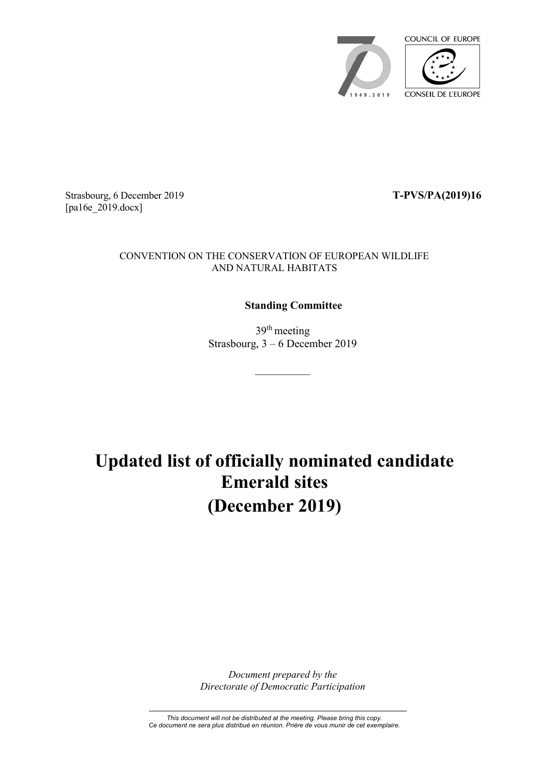

Strasbourg, 6 December 2019 **T-PVS/PA(2019)16** [pa16e 2019.docx]

#### CONVENTION ON THE CONSERVATION OF EUROPEAN WILDLIFE AND NATURAL HABITATS

### **Standing Committee**

39th meeting Strasbourg, 3 – 6 December 2019

 $\overline{\phantom{a}}$ 

## **Updated list of officially nominated candidate Emerald sites (December 2019)**

*Document prepared by the Directorate of Democratic Participation*

*This document will not be distributed at the meeting. Please bring this copy. Ce document ne sera plus distribué en réunion. Prière de vous munir de cet exemplaire.*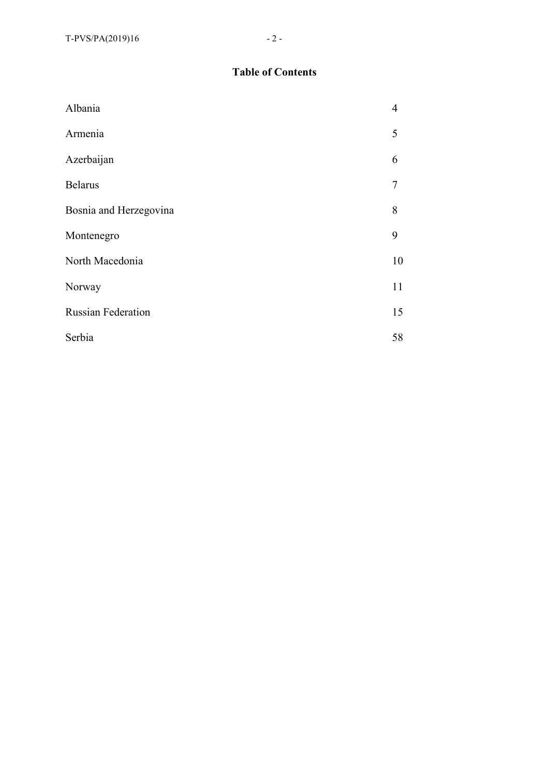### **Table of Contents**

| Albania                   | 4  |
|---------------------------|----|
| Armenia                   | 5  |
| Azerbaijan                | 6  |
| <b>Belarus</b>            | 7  |
| Bosnia and Herzegovina    | 8  |
| Montenegro                | 9  |
| North Macedonia           | 10 |
| Norway                    | 11 |
| <b>Russian Federation</b> | 15 |
| Serbia                    | 58 |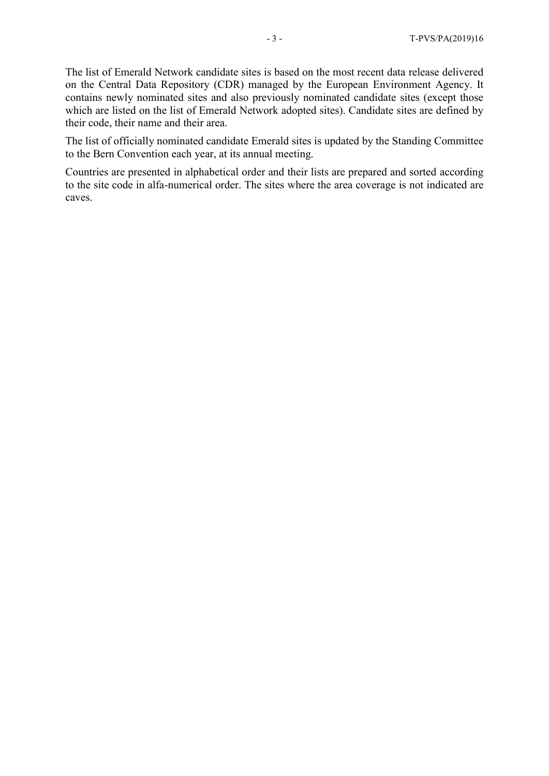The list of Emerald Network candidate sites is based on the most recent data release delivered on the Central Data Repository (CDR) managed by the European Environment Agency. It contains newly nominated sites and also previously nominated candidate sites (except those which are listed on the list of Emerald Network adopted sites). Candidate sites are defined by their code, their name and their area.

The list of officially nominated candidate Emerald sites is updated by the Standing Committee to the Bern Convention each year, at its annual meeting.

Countries are presented in alphabetical order and their lists are prepared and sorted according to the site code in alfa-numerical order. The sites where the area coverage is not indicated are caves.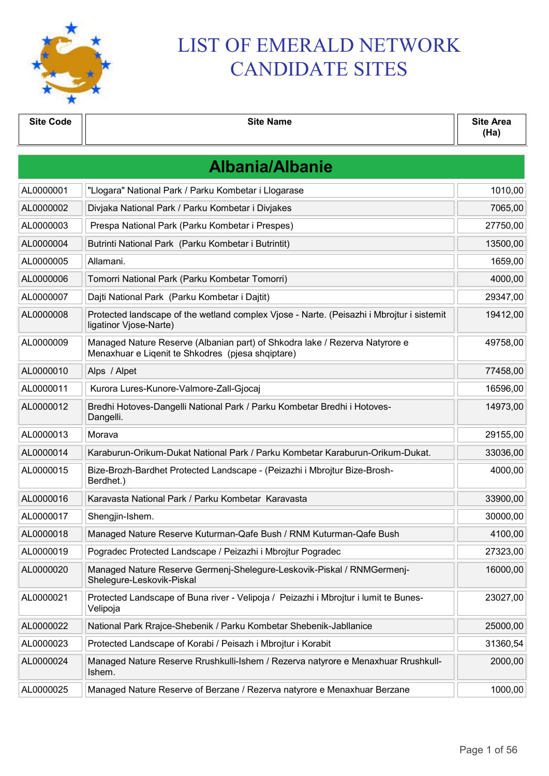

# LIST OF EMERALD NETWORK CANDIDATE SITES

| <b>Site Code</b> | <b>Site Name</b>                                                                                                                 | <b>Site Area</b><br>(Ha) |
|------------------|----------------------------------------------------------------------------------------------------------------------------------|--------------------------|
|                  | <b>Albania/Albanie</b>                                                                                                           |                          |
| AL0000001        | "Llogara" National Park / Parku Kombetar i Llogarase                                                                             | 1010,00                  |
| AL0000002        | Divjaka National Park / Parku Kombetar i Divjakes                                                                                | 7065,00                  |
| AL0000003        | Prespa National Park (Parku Kombetar i Prespes)                                                                                  | 27750,00                 |
| AL0000004        | Butrinti National Park (Parku Kombetar i Butrintit)                                                                              | 13500,00                 |
| AL0000005        | Allamani.                                                                                                                        | 1659,00                  |
| AL0000006        | Tomorri National Park (Parku Kombetar Tomorri)                                                                                   | 4000,00                  |
| AL0000007        | Dajti National Park (Parku Kombetar i Dajtit)                                                                                    | 29347,00                 |
| AL0000008        | Protected landscape of the wetland complex Vjose - Narte. (Peisazhi i Mbrojtur i sistemit<br>ligatinor Vjose-Narte)              | 19412,00                 |
| AL0000009        | Managed Nature Reserve (Albanian part) of Shkodra lake / Rezerva Natyrore e<br>Menaxhuar e Liqenit te Shkodres (pjesa shqiptare) | 49758,00                 |
| AL0000010        | Alps / Alpet                                                                                                                     | 77458,00                 |
| AL0000011        | Kurora Lures-Kunore-Valmore-Zall-Gjocaj                                                                                          | 16596,00                 |
| AL0000012        | Bredhi Hotoves-Dangelli National Park / Parku Kombetar Bredhi i Hotoves-<br>Dangelli.                                            | 14973,00                 |
| AL0000013        | Morava                                                                                                                           | 29155,00                 |
| AL0000014        | Karaburun-Orikum-Dukat National Park / Parku Kombetar Karaburun-Orikum-Dukat.                                                    | 33036,00                 |
| AL0000015        | Bize-Brozh-Bardhet Protected Landscape - (Peizazhi i Mbrojtur Bize-Brosh-<br>Berdhet.)                                           | 4000,00                  |
| AL0000016        | Karavasta National Park / Parku Kombetar Karavasta                                                                               | 33900,00                 |
| AL0000017        | Shengjin-Ishem.                                                                                                                  | 30000,00                 |
| AL0000018        | Managed Nature Reserve Kuturman-Qafe Bush / RNM Kuturman-Qafe Bush                                                               | 4100,00                  |
| AL0000019        | Pogradec Protected Landscape / Peizazhi i Mbrojtur Pogradec                                                                      | 27323,00                 |
| AL0000020        | Managed Nature Reserve Germenj-Shelegure-Leskovik-Piskal / RNMGermenj-<br>Shelegure-Leskovik-Piskal                              | 16000,00                 |
| AL0000021        | Protected Landscape of Buna river - Velipoja / Peizazhi i Mbrojtur i lumit te Bunes-<br>Velipoja                                 | 23027,00                 |
| AL0000022        | National Park Rrajce-Shebenik / Parku Kombetar Shebenik-Jabllanice                                                               | 25000,00                 |
| AL0000023        | Protected Landscape of Korabi / Peisazh i Mbrojtur i Korabit                                                                     | 31360,54                 |
| AL0000024        | Managed Nature Reserve Rrushkulli-Ishem / Rezerva natyrore e Menaxhuar Rrushkull-<br>Ishem.                                      | 2000,00                  |
| AL0000025        | Managed Nature Reserve of Berzane / Rezerva natyrore e Menaxhuar Berzane                                                         | 1000,00                  |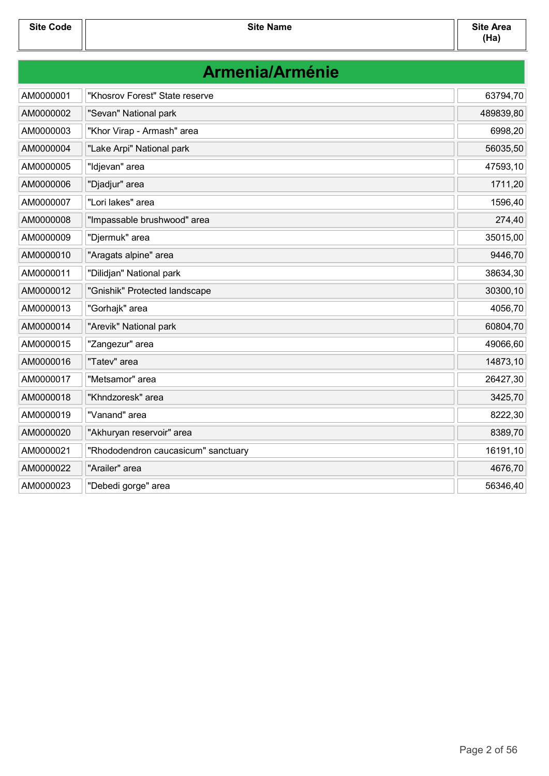| <b>Armenia/Arménie</b> |                                     |           |
|------------------------|-------------------------------------|-----------|
| AM0000001              | "Khosrov Forest" State reserve      | 63794,70  |
| AM0000002              | "Sevan" National park               | 489839,80 |
| AM0000003              | "Khor Virap - Armash" area          | 6998,20   |
| AM0000004              | "Lake Arpi" National park           | 56035,50  |
| AM0000005              | "Idjevan" area                      | 47593,10  |
| AM0000006              | "Djadjur" area                      | 1711,20   |
| AM0000007              | "Lori lakes" area                   | 1596,40   |
| AM0000008              | "Impassable brushwood" area         | 274,40    |
| AM0000009              | "Djermuk" area                      | 35015,00  |
| AM0000010              | "Aragats alpine" area               | 9446,70   |
| AM0000011              | "Dilidjan" National park            | 38634,30  |
| AM0000012              | "Gnishik" Protected landscape       | 30300,10  |
| AM0000013              | "Gorhajk" area                      | 4056,70   |
| AM0000014              | "Arevik" National park              | 60804,70  |
| AM0000015              | "Zangezur" area                     | 49066,60  |
| AM0000016              | "Tatev" area                        | 14873,10  |
| AM0000017              | "Metsamor" area                     | 26427,30  |
| AM0000018              | "Khndzoresk" area                   | 3425,70   |
| AM0000019              | "Vanand" area                       | 8222,30   |
| AM0000020              | "Akhuryan reservoir" area           | 8389,70   |
| AM0000021              | "Rhododendron caucasicum" sanctuary | 16191,10  |
| AM0000022              | "Arailer" area                      | 4676,70   |
| AM0000023              | "Debedi gorge" area                 | 56346,40  |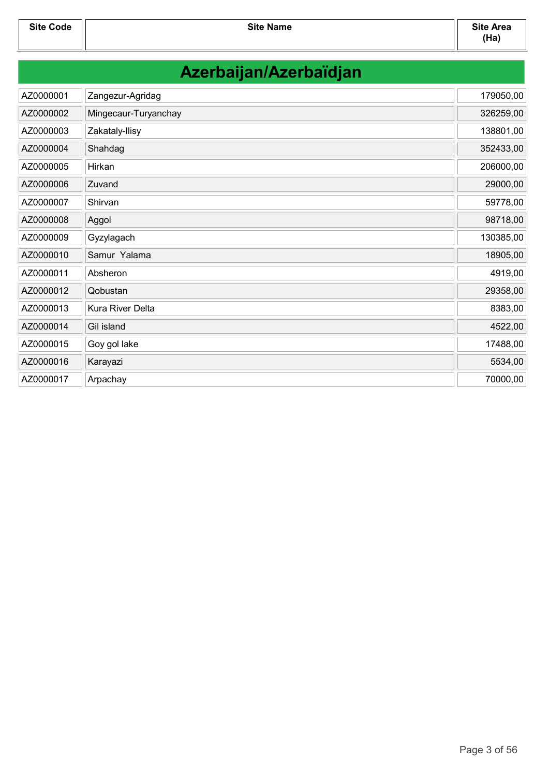| Azerbaijan/Azerbaïdjan |  |  |
|------------------------|--|--|
|                        |  |  |

| AZ0000001 | Zangezur-Agridag     | 179050,00 |
|-----------|----------------------|-----------|
| AZ0000002 | Mingecaur-Turyanchay | 326259,00 |
| AZ0000003 | Zakataly-Ilisy       | 138801,00 |
| AZ0000004 | Shahdag              | 352433,00 |
| AZ0000005 | Hirkan               | 206000,00 |
| AZ0000006 | Zuvand               | 29000,00  |
| AZ0000007 | Shirvan              | 59778,00  |
| AZ0000008 | Aggol                | 98718,00  |
| AZ0000009 | Gyzylagach           | 130385,00 |
| AZ0000010 | Samur Yalama         | 18905,00  |
| AZ0000011 | Absheron             | 4919,00   |
| AZ0000012 | Qobustan             | 29358,00  |
| AZ0000013 | Kura River Delta     | 8383,00   |
| AZ0000014 | Gil island           | 4522,00   |
| AZ0000015 | Goy gol lake         | 17488,00  |
| AZ0000016 | Karayazi             | 5534,00   |
| AZ0000017 | Arpachay             | 70000,00  |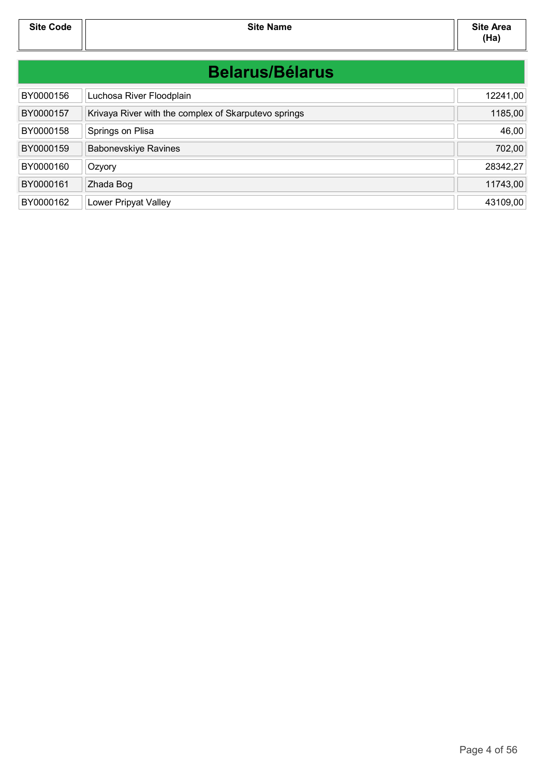| <b>Belarus/Bélarus</b> |                                                      |          |
|------------------------|------------------------------------------------------|----------|
| BY0000156              | Luchosa River Floodplain                             | 12241,00 |
| BY0000157              | Krivaya River with the complex of Skarputevo springs | 1185,00  |
| BY0000158              | Springs on Plisa                                     | 46,00    |
| BY0000159              | <b>Babonevskiye Ravines</b>                          | 702,00   |
| BY0000160              | Ozyory                                               | 28342,27 |
| BY0000161              | Zhada Bog                                            | 11743,00 |
| BY0000162              | Lower Pripyat Valley                                 | 43109,00 |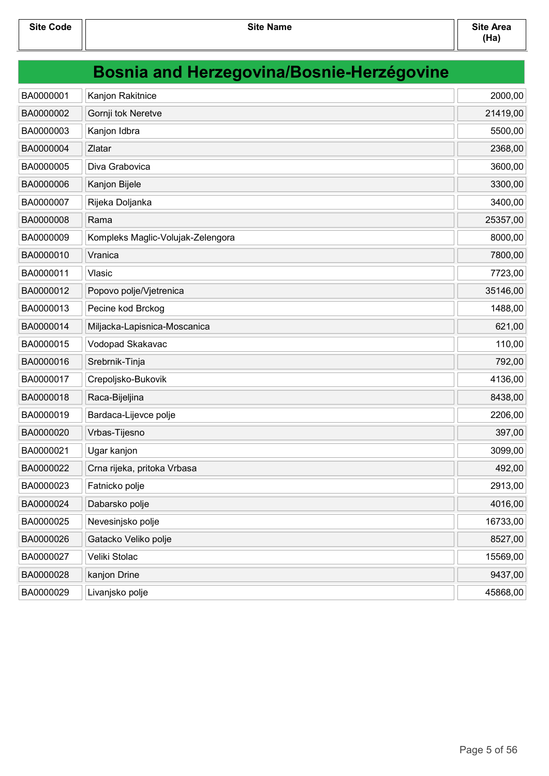| <b>Bosnia and Herzegovina/Bosnie-Herzégovine</b> |    |
|--------------------------------------------------|----|
| 00001 - Il Kanion Rakitnice.                     | 2Μ |

| BA0000001 | Kanjon Rakitnice                  | 2000,00  |
|-----------|-----------------------------------|----------|
| BA0000002 | Gornji tok Neretve                | 21419,00 |
| BA0000003 | Kanjon Idbra                      | 5500,00  |
| BA0000004 | Zlatar                            | 2368,00  |
| BA0000005 | Diva Grabovica                    | 3600,00  |
| BA0000006 | Kanjon Bijele                     | 3300,00  |
| BA0000007 | Rijeka Doljanka                   | 3400,00  |
| BA0000008 | Rama                              | 25357,00 |
| BA0000009 | Kompleks Maglic-Volujak-Zelengora | 8000,00  |
| BA0000010 | Vranica                           | 7800,00  |
| BA0000011 | Vlasic                            | 7723,00  |
| BA0000012 | Popovo polje/Vjetrenica           | 35146,00 |
| BA0000013 | Pecine kod Brckog                 | 1488,00  |
| BA0000014 | Miljacka-Lapisnica-Moscanica      | 621,00   |
| BA0000015 | Vodopad Skakavac                  | 110,00   |
| BA0000016 | Srebrnik-Tinja                    | 792,00   |
| BA0000017 | Crepoljsko-Bukovik                | 4136,00  |
| BA0000018 | Raca-Bijeljina                    | 8438,00  |
| BA0000019 | Bardaca-Lijevce polje             | 2206,00  |
| BA0000020 | Vrbas-Tijesno                     | 397,00   |
| BA0000021 | Ugar kanjon                       | 3099,00  |
| BA0000022 | Crna rijeka, pritoka Vrbasa       | 492,00   |
| BA0000023 | Fatnicko polje                    | 2913,00  |
| BA0000024 | Dabarsko polje                    | 4016,00  |
| BA0000025 | Nevesinjsko polje                 | 16733,00 |
| BA0000026 | Gatacko Veliko polje              | 8527,00  |
| BA0000027 | Veliki Stolac                     | 15569,00 |
| BA0000028 | kanjon Drine                      | 9437,00  |
| BA0000029 | Livanjsko polje                   | 45868,00 |
|           |                                   |          |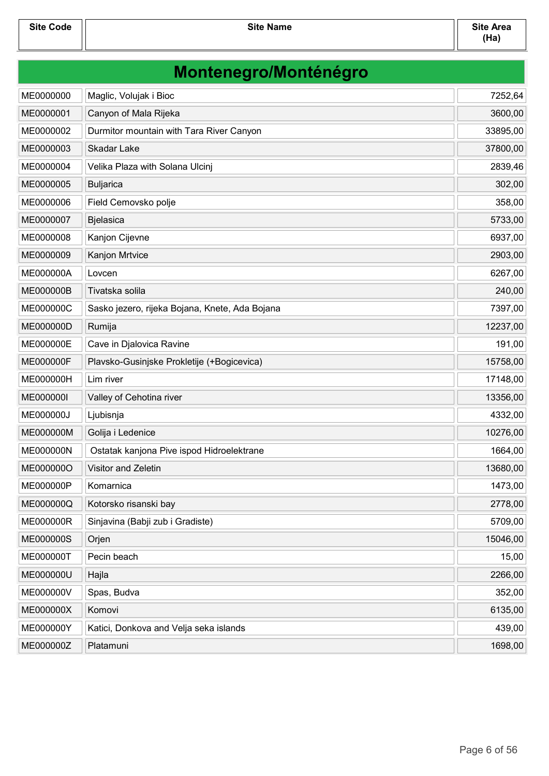| Montenegro/Monténégro |                                                |          |
|-----------------------|------------------------------------------------|----------|
| ME0000000             | Maglic, Volujak i Bioc                         | 7252,64  |
| ME0000001             | Canyon of Mala Rijeka                          | 3600,00  |
| ME0000002             | Durmitor mountain with Tara River Canyon       | 33895,00 |
| ME0000003             | <b>Skadar Lake</b>                             | 37800,00 |
| ME0000004             | Velika Plaza with Solana Ulcinj                | 2839,46  |
| ME0000005             | <b>Buljarica</b>                               | 302,00   |
| ME0000006             | Field Cemovsko polje                           | 358,00   |
| ME0000007             | <b>Bjelasica</b>                               | 5733,00  |
| ME0000008             | Kanjon Cijevne                                 | 6937,00  |
| ME0000009             | Kanjon Mrtvice                                 | 2903,00  |
| ME000000A             | Lovcen                                         | 6267,00  |
| ME000000B             | Tivatska solila                                | 240,00   |
| ME000000C             | Sasko jezero, rijeka Bojana, Knete, Ada Bojana | 7397,00  |
| ME000000D             | Rumija                                         | 12237,00 |
| ME000000E             | Cave in Djalovica Ravine                       | 191,00   |
| ME000000F             | Plavsko-Gusinjske Prokletije (+Bogicevica)     | 15758,00 |
| ME000000H             | Lim river                                      | 17148,00 |
| ME000000I             | Valley of Cehotina river                       | 13356,00 |
| ME000000J             | Ljubisnja                                      | 4332,00  |
| ME000000M             | Golija i Ledenice                              | 10276,00 |
| ME000000N             | Ostatak kanjona Pive ispod Hidroelektrane      | 1664,00  |
| ME000000O             | <b>Visitor and Zeletin</b>                     | 13680,00 |
| ME000000P             | Komarnica                                      | 1473,00  |
| ME000000Q             | Kotorsko risanski bay                          | 2778,00  |
| ME000000R             | Sinjavina (Babji zub i Gradiste)               | 5709,00  |
| ME000000S             | Orjen                                          | 15046,00 |
| ME000000T             | Pecin beach                                    | 15,00    |
| ME000000U             | Hajla                                          | 2266,00  |
| ME000000V             | Spas, Budva                                    | 352,00   |
| ME000000X             | Komovi                                         | 6135,00  |
| ME000000Y             | Katici, Donkova and Velja seka islands         | 439,00   |
| ME000000Z             | Platamuni                                      | 1698,00  |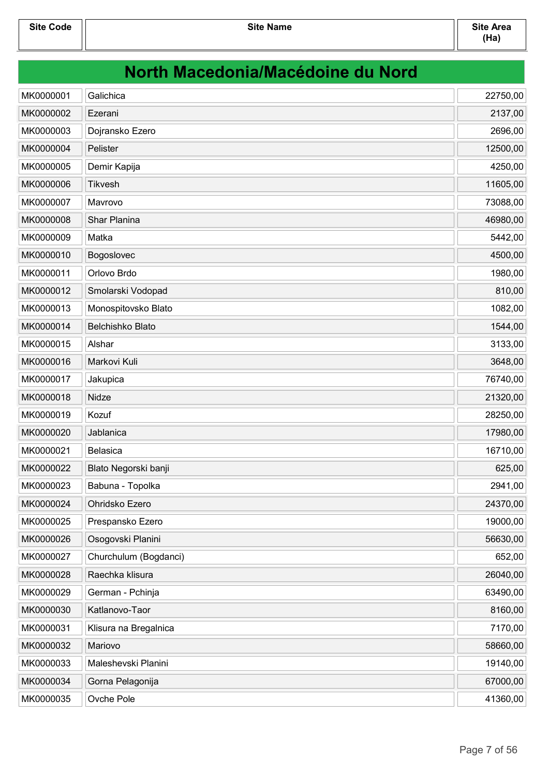| North Macedonia/Macédoine du Nord |                       |          |
|-----------------------------------|-----------------------|----------|
| MK0000001                         | Galichica             | 22750,00 |
| MK0000002                         | Ezerani               | 2137,00  |
| MK0000003                         | Dojransko Ezero       | 2696,00  |
| MK0000004                         | Pelister              | 12500,00 |
| MK0000005                         | Demir Kapija          | 4250,00  |
| MK0000006                         | Tikvesh               | 11605,00 |
| MK0000007                         | Mavrovo               | 73088,00 |
| MK0000008                         | Shar Planina          | 46980,00 |
| MK0000009                         | Matka                 | 5442,00  |
| MK0000010                         | Bogoslovec            | 4500,00  |
| MK0000011                         | Orlovo Brdo           | 1980,00  |
| MK0000012                         | Smolarski Vodopad     | 810,00   |
| MK0000013                         | Monospitovsko Blato   | 1082,00  |
| MK0000014                         | Belchishko Blato      | 1544,00  |
| MK0000015                         | Alshar                | 3133,00  |
| MK0000016                         | Markovi Kuli          | 3648,00  |
| MK0000017                         | Jakupica              | 76740,00 |
| MK0000018                         | Nidze                 | 21320,00 |
| MK0000019                         | Kozuf                 | 28250,00 |
| MK0000020                         | Jablanica             | 17980,00 |
| MK0000021                         | <b>Belasica</b>       | 16710,00 |
| MK0000022                         | Blato Negorski banji  | 625,00   |
| MK0000023                         | Babuna - Topolka      | 2941,00  |
| MK0000024                         | Ohridsko Ezero        | 24370,00 |
| MK0000025                         | Prespansko Ezero      | 19000,00 |
| MK0000026                         | Osogovski Planini     | 56630,00 |
| MK0000027                         | Churchulum (Bogdanci) | 652,00   |
| MK0000028                         | Raechka klisura       | 26040,00 |
| MK0000029                         | German - Pchinja      | 63490,00 |
| MK0000030                         | Katlanovo-Taor        | 8160,00  |
| MK0000031                         | Klisura na Bregalnica | 7170,00  |
| MK0000032                         | Mariovo               | 58660,00 |
| MK0000033                         | Maleshevski Planini   | 19140,00 |
| MK0000034                         | Gorna Pelagonija      | 67000,00 |
| MK0000035                         | Ovche Pole            | 41360,00 |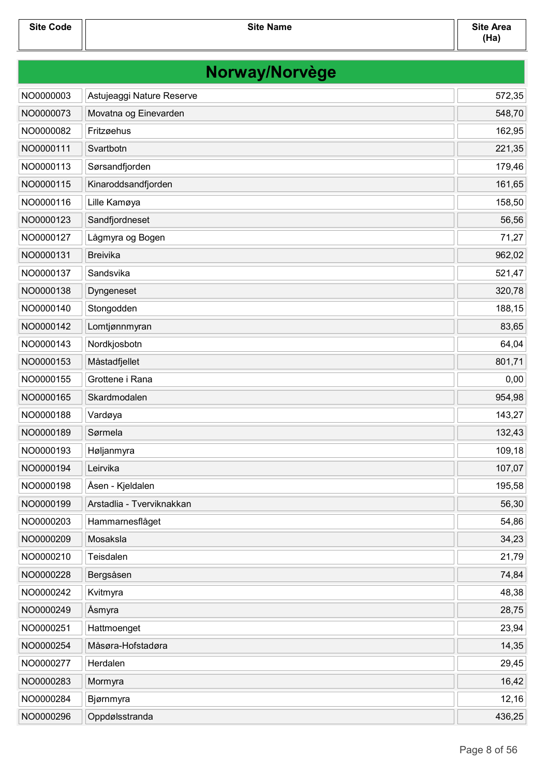| Norway/Norvège |                           |        |
|----------------|---------------------------|--------|
| NO0000003      | Astujeaggi Nature Reserve | 572,35 |
| NO0000073      | Movatna og Einevarden     | 548,70 |
| NO0000082      | Fritzøehus                | 162,95 |
| NO0000111      | Svartbotn                 | 221,35 |
| NO0000113      | Sørsandfjorden            | 179,46 |
| NO0000115      | Kinaroddsandfjorden       | 161,65 |
| NO0000116      | Lille Kamøya              | 158,50 |
| NO0000123      | Sandfjordneset            | 56,56  |
| NO0000127      | Lågmyra og Bogen          | 71,27  |
| NO0000131      | <b>Breivika</b>           | 962,02 |
| NO0000137      | Sandsvika                 | 521,47 |
| NO0000138      | Dyngeneset                | 320,78 |
| NO0000140      | Stongodden                | 188,15 |
| NO0000142      | Lomtjønnmyran             | 83,65  |
| NO0000143      | Nordkjosbotn              | 64,04  |
| NO0000153      | Måstadfjellet             | 801,71 |
| NO0000155      | Grottene i Rana           | 0,00   |
| NO0000165      | Skardmodalen              | 954,98 |
| NO0000188      | Vardøya                   | 143,27 |
| NO0000189      | Sørmela                   | 132,43 |
| NO0000193      | Høljanmyra                | 109,18 |
| NO0000194      | Leirvika                  | 107,07 |
| NO0000198      | Åsen - Kjeldalen          | 195,58 |
| NO0000199      | Arstadlia - Tverviknakkan | 56,30  |
| NO0000203      | Hammarnesflåget           | 54,86  |
| NO0000209      | Mosaksla                  | 34,23  |
| NO0000210      | Teisdalen                 | 21,79  |
| NO0000228      | Bergsåsen                 | 74,84  |
| NO0000242      | Kvitmyra                  | 48,38  |
| NO0000249      | Åsmyra                    | 28,75  |
| NO0000251      | Hattmoenget               | 23,94  |
| NO0000254      | Måsøra-Hofstadøra         | 14,35  |
| NO0000277      | Herdalen                  | 29,45  |
| NO0000283      | Mormyra                   | 16,42  |
| NO0000284      | Bjørnmyra                 | 12,16  |
| NO0000296      | Oppdølsstranda            | 436,25 |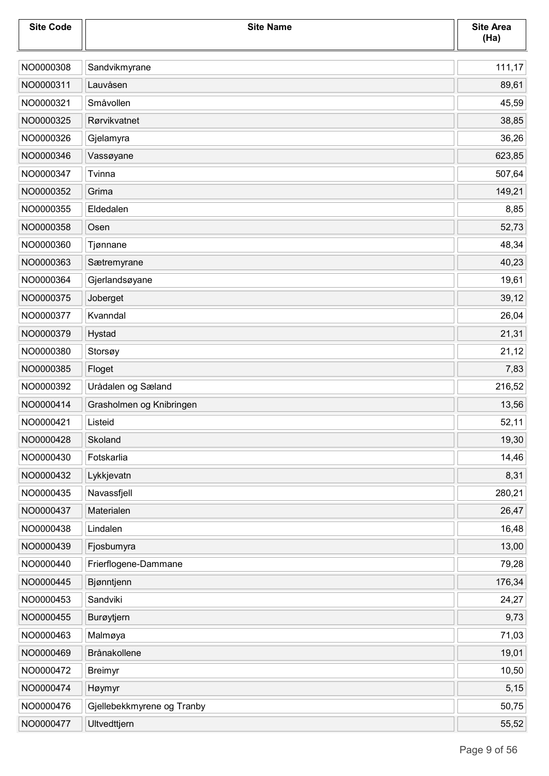| <b>Site Code</b> | <b>Site Name</b>           | <b>Site Area</b><br>(Ha) |
|------------------|----------------------------|--------------------------|
| NO0000308        | Sandvikmyrane              | 111, 17                  |
| NO0000311        | Lauvåsen                   | 89,61                    |
| NO0000321        | Småvollen                  | 45,59                    |
| NO0000325        | Rørvikvatnet               | 38,85                    |
| NO0000326        | Gjelamyra                  | 36,26                    |
| NO0000346        | Vassøyane                  | 623,85                   |
| NO0000347        | Tvinna                     | 507,64                   |
| NO0000352        | Grima                      | 149,21                   |
| NO0000355        | Eldedalen                  | 8,85                     |
| NO0000358        | Osen                       | 52,73                    |
| NO0000360        | Tjønnane                   | 48,34                    |
| NO0000363        | Sætremyrane                | 40,23                    |
| NO0000364        | Gjerlandsøyane             | 19,61                    |
| NO0000375        | Joberget                   | 39,12                    |
| NO0000377        | Kvanndal                   | 26,04                    |
| NO0000379        | Hystad                     | 21,31                    |
| NO0000380        | Storsøy                    | 21,12                    |
| NO0000385        | Floget                     | 7,83                     |
| NO0000392        | Urådalen og Sæland         | 216,52                   |
| NO0000414        | Grasholmen og Knibringen   | 13,56                    |
| NO0000421        | Listeid                    | 52,11                    |
| NO0000428        | Skoland                    | 19,30                    |
| NO0000430        | Fotskarlia                 | 14,46                    |
| NO0000432        | Lykkjevatn                 | 8,31                     |
| NO0000435        | Navassfjell                | 280,21                   |
| NO0000437        | Materialen                 | 26,47                    |
| NO0000438        | Lindalen                   | 16,48                    |
| NO0000439        | Fjosbumyra                 | 13,00                    |
| NO0000440        | Frierflogene-Dammane       | 79,28                    |
| NO0000445        | Bjønntjenn                 | 176,34                   |
| NO0000453        | Sandviki                   | 24,27                    |
| NO0000455        | Burøytjern                 | 9,73                     |
| NO0000463        | Malmøya                    | 71,03                    |
| NO0000469        | Brånakollene               | 19,01                    |
| NO0000472        | Breimyr                    | 10,50                    |
| NO0000474        | Høymyr                     | 5,15                     |
| NO0000476        | Gjellebekkmyrene og Tranby | 50,75                    |
| NO0000477        | Ultvedttjern               | 55,52                    |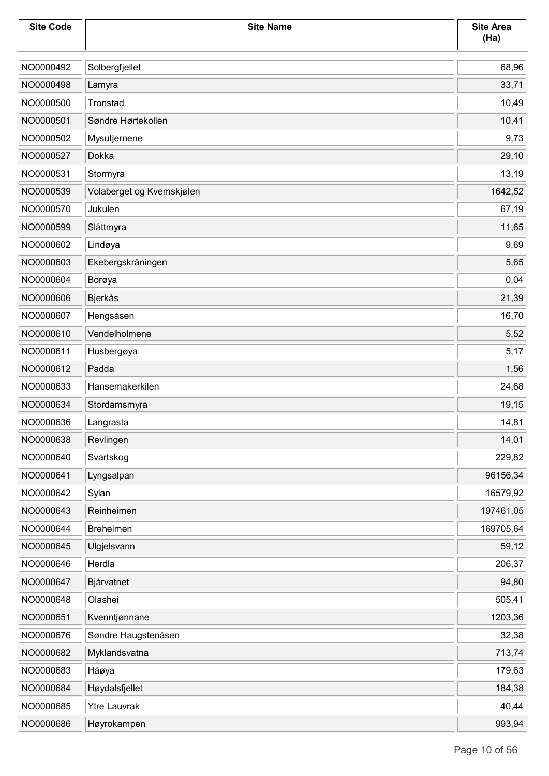| <b>Site Code</b> | <b>Site Name</b>          | <b>Site Area</b><br>(Ha) |
|------------------|---------------------------|--------------------------|
| NO0000492        | Solbergfjellet            | 68,96                    |
| NO0000498        | Lamyra                    | 33,71                    |
| NO0000500        | Tronstad                  | 10,49                    |
| NO0000501        | Søndre Hørtekollen        | 10,41                    |
| NO0000502        | Mysutjernene              | 9,73                     |
| NO0000527        | Dokka                     | 29,10                    |
| NO0000531        | Stormyra                  | 13,19                    |
| NO0000539        | Volaberget og Kvemskjølen | 1642,52                  |
| NO0000570        | Jukulen                   | 67,19                    |
| NO0000599        | Slåttmyra                 | 11,65                    |
| NO0000602        | Lindøya                   | 9,69                     |
| NO0000603        | Ekebergskråningen         | 5,65                     |
| NO0000604        | Borøya                    | 0,04                     |
| NO0000606        | Bjerkås                   | 21,39                    |
| NO0000607        | Hengsåsen                 | 16,70                    |
| NO0000610        | Vendelholmene             | 5,52                     |
| NO0000611        | Husbergøya                | 5,17                     |
| NO0000612        | Padda                     | 1,56                     |
| NO0000633        | Hansemakerkilen           | 24,68                    |
| NO0000634        | Stordamsmyra              | 19,15                    |
| NO0000636        | Langrasta                 | 14,81                    |
| NO0000638        | Revlingen                 | 14,01                    |
| NO0000640        | Svartskog                 | 229,82                   |
| NO0000641        | Lyngsalpan                | 96156,34                 |
| NO0000642        | Sylan                     | 16579,92                 |
| NO0000643        | Reinheimen                | 197461,05                |
| NO0000644        | Breheimen                 | 169705,64                |
| NO0000645        | Ulgjelsvann               | 59,12                    |
| NO0000646        | Herdla                    | 206,37                   |
| NO0000647        | Bjårvatnet                | 94,80                    |
| NO0000648        | Olashei                   | 505,41                   |
| NO0000651        | Kvenntjønnane             | 1203,36                  |
| NO0000676        | Søndre Haugstenåsen       | 32,38                    |
| NO0000682        | Myklandsvatna             | 713,74                   |
| NO0000683        | Håøya                     | 179,63                   |
| NO0000684        | Høydalsfjellet            | 184,38                   |
| NO0000685        | <b>Ytre Lauvrak</b>       | 40,44                    |
| NO0000686        | Høyrokampen               | 993,94                   |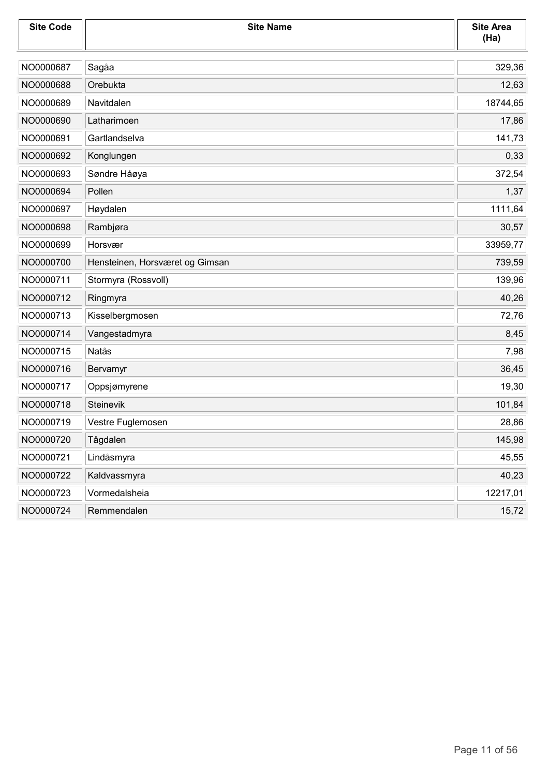| <b>Site Code</b> | <b>Site Name</b>                | <b>Site Area</b><br>(Ha) |
|------------------|---------------------------------|--------------------------|
| NO0000687        | Sagåa                           | 329,36                   |
| NO0000688        | Orebukta                        | 12,63                    |
| NO0000689        | Navitdalen                      | 18744,65                 |
| NO0000690        | Latharimoen                     | 17,86                    |
| NO0000691        | Gartlandselva                   | 141,73                   |
| NO0000692        | Konglungen                      | 0,33                     |
| NO0000693        | Søndre Håøya                    | 372,54                   |
| NO0000694        | Pollen                          | 1,37                     |
| NO0000697        | Høydalen                        | 1111,64                  |
| NO0000698        | Rambjøra                        | 30,57                    |
| NO0000699        | Horsvær                         | 33959,77                 |
| NO0000700        | Hensteinen, Horsværet og Gimsan | 739,59                   |
| NO0000711        | Stormyra (Rossvoll)             | 139,96                   |
| NO0000712        | Ringmyra                        | 40,26                    |
| NO0000713        | Kisselbergmosen                 | 72,76                    |
| NO0000714        | Vangestadmyra                   | 8,45                     |
| NO0000715        | Natås                           | 7,98                     |
| NO0000716        | Bervamyr                        | 36,45                    |
| NO0000717        | Oppsjømyrene                    | 19,30                    |
| NO0000718        | Steinevik                       | 101,84                   |
| NO0000719        | Vestre Fuglemosen               | 28,86                    |
| NO0000720        | Tågdalen                        | 145,98                   |
| NO0000721        | Lindåsmyra                      | 45,55                    |
| NO0000722        | Kaldvassmyra                    | 40,23                    |
| NO0000723        | Vormedalsheia                   | 12217,01                 |
| NO0000724        | Remmendalen                     | 15,72                    |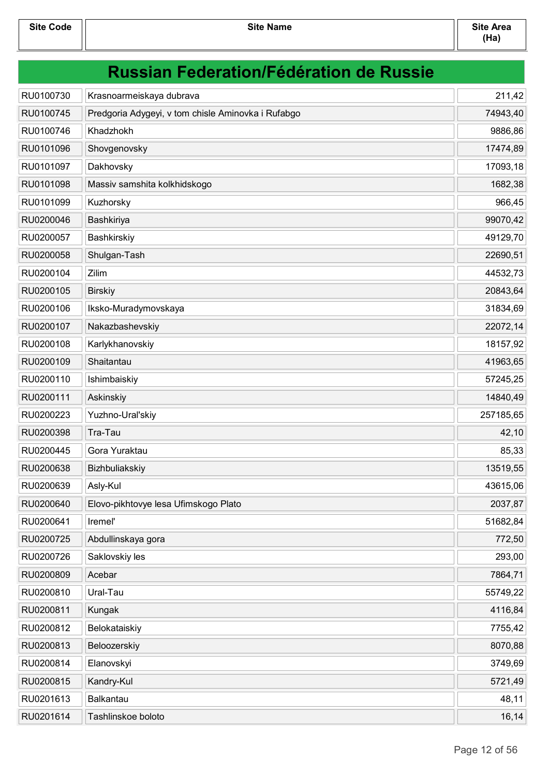| <b>Russian Federation/Fédération de Russie</b> |                                                    |           |
|------------------------------------------------|----------------------------------------------------|-----------|
| RU0100730                                      | Krasnoarmeiskaya dubrava                           | 211,42    |
| RU0100745                                      | Predgoria Adygeyi, v tom chisle Aminovka i Rufabgo | 74943,40  |
| RU0100746                                      | Khadzhokh                                          | 9886,86   |
| RU0101096                                      | Shovgenovsky                                       | 17474,89  |
| RU0101097                                      | Dakhovsky                                          | 17093,18  |
| RU0101098                                      | Massiv samshita kolkhidskogo                       | 1682,38   |
| RU0101099                                      | Kuzhorsky                                          | 966,45    |
| RU0200046                                      | Bashkiriya                                         | 99070,42  |
| RU0200057                                      | Bashkirskiy                                        | 49129,70  |
| RU0200058                                      | Shulgan-Tash                                       | 22690,51  |
| RU0200104                                      | Zilim                                              | 44532,73  |
| RU0200105                                      | <b>Birskiy</b>                                     | 20843,64  |
| RU0200106                                      | Iksko-Muradymovskaya                               | 31834,69  |
| RU0200107                                      | Nakazbashevskiy                                    | 22072,14  |
| RU0200108                                      | Karlykhanovskiy                                    | 18157,92  |
| RU0200109                                      | Shaitantau                                         | 41963,65  |
| RU0200110                                      | Ishimbaiskiy                                       | 57245,25  |
| RU0200111                                      | Askinskiy                                          | 14840,49  |
| RU0200223                                      | Yuzhno-Ural'skiy                                   | 257185,65 |
| RU0200398                                      | Tra-Tau                                            | 42,10     |
| RU0200445                                      | Gora Yuraktau                                      | 85,33     |
| RU0200638                                      | Bizhbuliakskiy                                     | 13519,55  |
| RU0200639                                      | Asly-Kul                                           | 43615,06  |
| RU0200640                                      | Elovo-pikhtovye lesa Ufimskogo Plato               | 2037,87   |
| RU0200641                                      | Iremel'                                            | 51682,84  |
| RU0200725                                      | Abdullinskaya gora                                 | 772,50    |
| RU0200726                                      | Saklovskiy les                                     | 293,00    |
| RU0200809                                      | Acebar                                             | 7864,71   |
| RU0200810                                      | Ural-Tau                                           | 55749,22  |
| RU0200811                                      | Kungak                                             | 4116,84   |
| RU0200812                                      | Belokataiskiy                                      | 7755,42   |
| RU0200813                                      | Beloozerskiy                                       | 8070,88   |
| RU0200814                                      | Elanovskyi                                         | 3749,69   |
| RU0200815                                      | Kandry-Kul                                         | 5721,49   |
| RU0201613                                      | Balkantau                                          | 48,11     |
| RU0201614                                      | Tashlinskoe boloto                                 | 16,14     |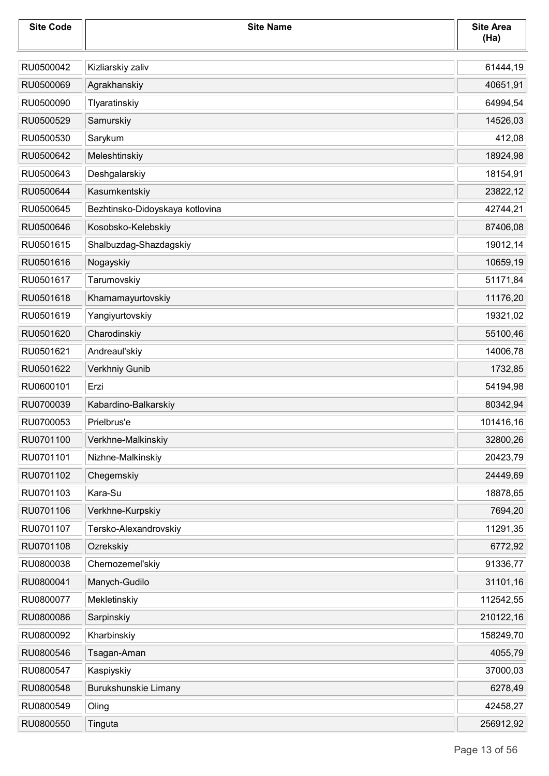| <b>Site Code</b> | <b>Site Name</b>                | <b>Site Area</b><br>(Ha) |
|------------------|---------------------------------|--------------------------|
| RU0500042        | Kizliarskiy zaliv               | 61444,19                 |
| RU0500069        | Agrakhanskiy                    | 40651,91                 |
| RU0500090        | Tlyaratinskiy                   | 64994,54                 |
| RU0500529        | Samurskiy                       | 14526,03                 |
| RU0500530        | Sarykum                         | 412,08                   |
| RU0500642        | Meleshtinskiy                   | 18924,98                 |
| RU0500643        | Deshgalarskiy                   | 18154,91                 |
| RU0500644        | Kasumkentskiy                   | 23822,12                 |
| RU0500645        | Bezhtinsko-Didoyskaya kotlovina | 42744,21                 |
| RU0500646        | Kosobsko-Kelebskiy              | 87406,08                 |
| RU0501615        | Shalbuzdag-Shazdagskiy          | 19012,14                 |
| RU0501616        | Nogayskiy                       | 10659,19                 |
| RU0501617        | Tarumovskiy                     | 51171,84                 |
| RU0501618        | Khamamayurtovskiy               | 11176,20                 |
| RU0501619        | Yangiyurtovskiy                 | 19321,02                 |
| RU0501620        | Charodinskiy                    | 55100,46                 |
| RU0501621        | Andreaul'skiy                   | 14006,78                 |
| RU0501622        | Verkhniy Gunib                  | 1732,85                  |
| RU0600101        | Erzi                            | 54194,98                 |
| RU0700039        | Kabardino-Balkarskiy            | 80342,94                 |
| RU0700053        | Prielbrus'e                     | 101416,16                |
| RU0701100        | Verkhne-Malkinskiy              | 32800,26                 |
| RU0701101        | Nizhne-Malkinskiy               | 20423,79                 |
| RU0701102        | Chegemskiy                      | 24449,69                 |
| RU0701103        | Kara-Su                         | 18878,65                 |
| RU0701106        | Verkhne-Kurpskiy                | 7694,20                  |
| RU0701107        | Tersko-Alexandrovskiy           | 11291,35                 |
| RU0701108        | Ozrekskiy                       | 6772,92                  |
| RU0800038        | Chernozemel'skiy                | 91336,77                 |
| RU0800041        | Manych-Gudilo                   | 31101,16                 |
| RU0800077        | Mekletinskiy                    | 112542,55                |
| RU0800086        | Sarpinskiy                      | 210122,16                |
| RU0800092        | Kharbinskiy                     | 158249,70                |
| RU0800546        | Tsagan-Aman                     | 4055,79                  |
| RU0800547        | Kaspiyskiy                      | 37000,03                 |
| RU0800548        | Burukshunskie Limany            | 6278,49                  |
| RU0800549        | Oling                           | 42458,27                 |
| RU0800550        | Tinguta                         | 256912,92                |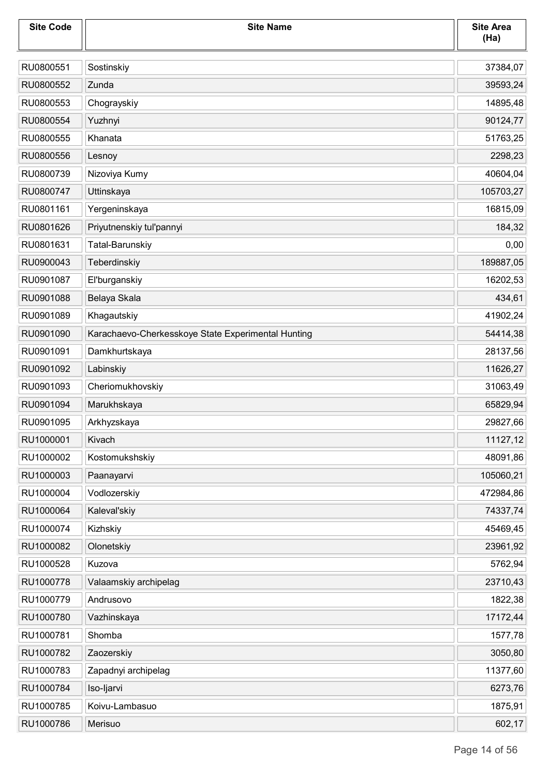| <b>Site Code</b> | <b>Site Name</b>                                   | <b>Site Area</b><br>(Ha) |
|------------------|----------------------------------------------------|--------------------------|
| RU0800551        | Sostinskiy                                         | 37384,07                 |
| RU0800552        | Zunda                                              | 39593,24                 |
| RU0800553        | Chograyskiy                                        | 14895,48                 |
| RU0800554        | Yuzhnyi                                            | 90124,77                 |
| RU0800555        | Khanata                                            | 51763,25                 |
| RU0800556        | Lesnoy                                             | 2298,23                  |
| RU0800739        | Nizoviya Kumy                                      | 40604,04                 |
| RU0800747        | Uttinskaya                                         | 105703,27                |
| RU0801161        | Yergeninskaya                                      | 16815,09                 |
| RU0801626        | Priyutnenskiy tul'pannyi                           | 184,32                   |
| RU0801631        | Tatal-Barunskiy                                    | 0,00                     |
| RU0900043        | Teberdinskiy                                       | 189887,05                |
| RU0901087        | El'burganskiy                                      | 16202,53                 |
| RU0901088        | Belaya Skala                                       | 434,61                   |
| RU0901089        | Khagautskiy                                        | 41902,24                 |
| RU0901090        | Karachaevo-Cherkesskoye State Experimental Hunting | 54414,38                 |
| RU0901091        | Damkhurtskaya                                      | 28137,56                 |
| RU0901092        | Labinskiy                                          | 11626,27                 |
| RU0901093        | Cheriomukhovskiy                                   | 31063,49                 |
| RU0901094        | Marukhskaya                                        | 65829,94                 |
| RU0901095        | Arkhyzskaya                                        | 29827,66                 |
| RU1000001        | Kivach                                             | 11127,12                 |
| RU1000002        | Kostomukshskiy                                     | 48091,86                 |
| RU1000003        | Paanayarvi                                         | 105060,21                |
| RU1000004        | Vodlozerskiy                                       | 472984,86                |
| RU1000064        | Kaleval'skiy                                       | 74337,74                 |
| RU1000074        | Kizhskiy                                           | 45469,45                 |
| RU1000082        | Olonetskiy                                         | 23961,92                 |
| RU1000528        | Kuzova                                             | 5762,94                  |
| RU1000778        | Valaamskiy archipelag                              | 23710,43                 |
| RU1000779        | Andrusovo                                          | 1822,38                  |
| RU1000780        | Vazhinskaya                                        | 17172,44                 |
| RU1000781        | Shomba                                             | 1577,78                  |
| RU1000782        | Zaozerskiy                                         | 3050,80                  |
| RU1000783        | Zapadnyi archipelag                                | 11377,60                 |
| RU1000784        | Iso-Ijarvi                                         | 6273,76                  |
| RU1000785        | Koivu-Lambasuo                                     | 1875,91                  |
| RU1000786        | Merisuo                                            | 602,17                   |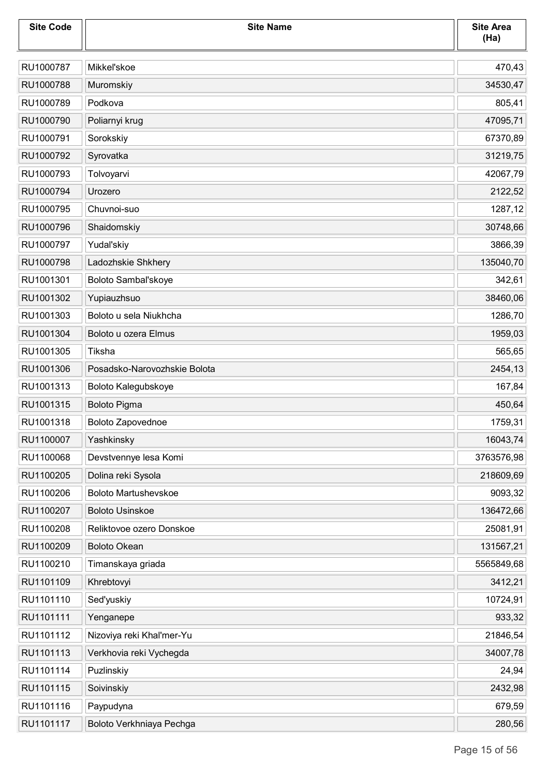| <b>Site Code</b> | <b>Site Name</b>             | <b>Site Area</b><br>(Ha) |
|------------------|------------------------------|--------------------------|
| RU1000787        | Mikkel'skoe                  | 470,43                   |
| RU1000788        | Muromskiy                    | 34530,47                 |
| RU1000789        | Podkova                      | 805,41                   |
| RU1000790        | Poliarnyi krug               | 47095,71                 |
| RU1000791        | Sorokskiy                    | 67370,89                 |
| RU1000792        | Syrovatka                    | 31219,75                 |
| RU1000793        | Tolvoyarvi                   | 42067,79                 |
| RU1000794        | Urozero                      | 2122,52                  |
| RU1000795        | Chuvnoi-suo                  | 1287,12                  |
| RU1000796        | Shaidomskiy                  | 30748,66                 |
| RU1000797        | Yudal'skiy                   | 3866,39                  |
| RU1000798        | Ladozhskie Shkhery           | 135040,70                |
| RU1001301        | Boloto Sambal'skoye          | 342,61                   |
| RU1001302        | Yupiauzhsuo                  | 38460,06                 |
| RU1001303        | Boloto u sela Niukhcha       | 1286,70                  |
| RU1001304        | Boloto u ozera Elmus         | 1959,03                  |
| RU1001305        | Tiksha                       | 565,65                   |
| RU1001306        | Posadsko-Narovozhskie Bolota | 2454,13                  |
| RU1001313        | Boloto Kalegubskoye          | 167,84                   |
| RU1001315        | <b>Boloto Pigma</b>          | 450,64                   |
| RU1001318        | Boloto Zapovednoe            | 1759,31                  |
| RU1100007        | Yashkinsky                   | 16043,74                 |
| RU1100068        | Devstvennye lesa Komi        | 3763576,98               |
| RU1100205        | Dolina reki Sysola           | 218609,69                |
| RU1100206        | <b>Boloto Martushevskoe</b>  | 9093,32                  |
| RU1100207        | <b>Boloto Usinskoe</b>       | 136472,66                |
| RU1100208        | Reliktovoe ozero Donskoe     | 25081,91                 |
| RU1100209        | <b>Boloto Okean</b>          | 131567,21                |
| RU1100210        | Timanskaya griada            | 5565849,68               |
| RU1101109        | Khrebtovyi                   | 3412,21                  |
| RU1101110        | Sed'yuskiy                   | 10724,91                 |
| RU1101111        | Yenganepe                    | 933,32                   |
| RU1101112        | Nizoviya reki Khal'mer-Yu    | 21846,54                 |
| RU1101113        | Verkhovia reki Vychegda      | 34007,78                 |
| RU1101114        | Puzlinskiy                   | 24,94                    |
| RU1101115        | Soivinskiy                   | 2432,98                  |
| RU1101116        | Paypudyna                    | 679,59                   |
| RU1101117        | Boloto Verkhniaya Pechga     | 280,56                   |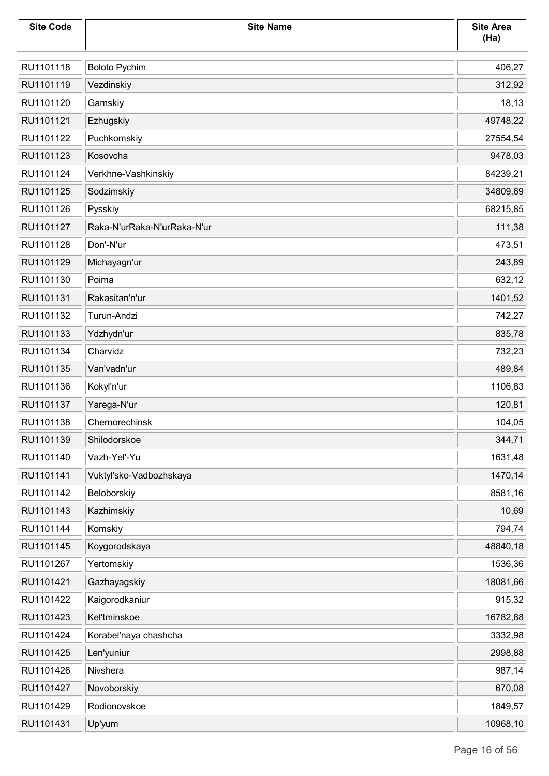| <b>Site Code</b> | <b>Site Name</b>            | <b>Site Area</b><br>(Ha) |
|------------------|-----------------------------|--------------------------|
| RU1101118        | <b>Boloto Pychim</b>        | 406,27                   |
| RU1101119        | Vezdinskiy                  | 312,92                   |
| RU1101120        | Gamskiy                     | 18,13                    |
| RU1101121        | Ezhugskiy                   | 49748,22                 |
| RU1101122        | Puchkomskiy                 | 27554,54                 |
| RU1101123        | Kosovcha                    | 9478,03                  |
| RU1101124        | Verkhne-Vashkinskiy         | 84239,21                 |
| RU1101125        | Sodzimskiy                  | 34809,69                 |
| RU1101126        | Pysskiy                     | 68215,85                 |
| RU1101127        | Raka-N'urRaka-N'urRaka-N'ur | 111,38                   |
| RU1101128        | Don'-N'ur                   | 473,51                   |
| RU1101129        | Michayagn'ur                | 243,89                   |
| RU1101130        | Poima                       | 632,12                   |
| RU1101131        | Rakasitan'n'ur              | 1401,52                  |
| RU1101132        | Turun-Andzi                 | 742,27                   |
| RU1101133        | Ydzhydn'ur                  | 835,78                   |
| RU1101134        | Charvidz                    | 732,23                   |
| RU1101135        | Van'vadn'ur                 | 489,84                   |
| RU1101136        | Kokyl'n'ur                  | 1106,83                  |
| RU1101137        | Yarega-N'ur                 | 120,81                   |
| RU1101138        | Chernorechinsk              | 104,05                   |
| RU1101139        | Shilodorskoe                | 344,71                   |
| RU1101140        | Vazh-Yel'-Yu                | 1631,48                  |
| RU1101141        | Vuktyl'sko-Vadbozhskaya     | 1470,14                  |
| RU1101142        | Beloborskiy                 | 8581,16                  |
| RU1101143        | Kazhimskiy                  | 10,69                    |
| RU1101144        | Komskiy                     | 794,74                   |
| RU1101145        | Koygorodskaya               | 48840,18                 |
| RU1101267        | Yertomskiy                  | 1536,36                  |
| RU1101421        | Gazhayagskiy                | 18081,66                 |
| RU1101422        | Kaigorodkaniur              | 915,32                   |
| RU1101423        | Kel'tminskoe                | 16782,88                 |
| RU1101424        | Korabel'naya chashcha       | 3332,98                  |
| RU1101425        | Len'yuniur                  | 2998,88                  |
| RU1101426        | Nivshera                    | 987,14                   |
| RU1101427        | Novoborskiy                 | 670,08                   |
| RU1101429        | Rodionovskoe                | 1849,57                  |
| RU1101431        | Up'yum                      | 10968,10                 |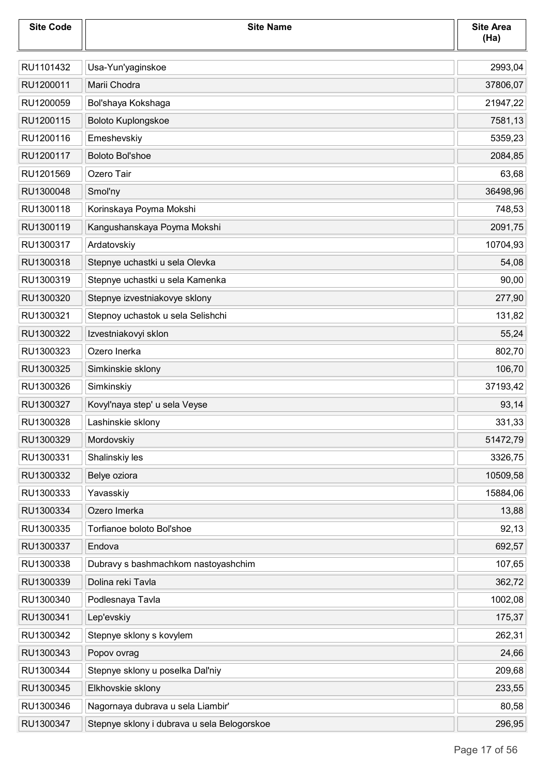| <b>Site Code</b> | <b>Site Name</b>                            | <b>Site Area</b><br>(Ha) |
|------------------|---------------------------------------------|--------------------------|
| RU1101432        | Usa-Yun'yaginskoe                           | 2993,04                  |
| RU1200011        | Marii Chodra                                | 37806,07                 |
| RU1200059        | Bol'shaya Kokshaga                          | 21947,22                 |
| RU1200115        | Boloto Kuplongskoe                          | 7581,13                  |
| RU1200116        | Emeshevskiy                                 | 5359,23                  |
| RU1200117        | <b>Boloto Bol'shoe</b>                      | 2084,85                  |
| RU1201569        | Ozero Tair                                  | 63,68                    |
| RU1300048        | Smol'ny                                     | 36498,96                 |
| RU1300118        | Korinskaya Poyma Mokshi                     | 748,53                   |
| RU1300119        | Kangushanskaya Poyma Mokshi                 | 2091,75                  |
| RU1300317        | Ardatovskiy                                 | 10704,93                 |
| RU1300318        | Stepnye uchastki u sela Olevka              | 54,08                    |
| RU1300319        | Stepnye uchastki u sela Kamenka             | 90,00                    |
| RU1300320        | Stepnye izvestniakovye sklony               | 277,90                   |
| RU1300321        | Stepnoy uchastok u sela Selishchi           | 131,82                   |
| RU1300322        | Izvestniakovyi sklon                        | 55,24                    |
| RU1300323        | Ozero Inerka                                | 802,70                   |
| RU1300325        | Simkinskie sklony                           | 106,70                   |
| RU1300326        | Simkinskiy                                  | 37193,42                 |
| RU1300327        | Kovyl'naya step' u sela Veyse               | 93,14                    |
| RU1300328        | Lashinskie sklony                           | 331,33                   |
| RU1300329        | Mordovskiy                                  | 51472,79                 |
| RU1300331        | Shalinskiy les                              | 3326,75                  |
| RU1300332        | Belye oziora                                | 10509,58                 |
| RU1300333        | Yavasskiy                                   | 15884,06                 |
| RU1300334        | Ozero Imerka                                | 13,88                    |
| RU1300335        | Torfianoe boloto Bol'shoe                   | 92,13                    |
| RU1300337        | Endova                                      | 692,57                   |
| RU1300338        | Dubravy s bashmachkom nastoyashchim         | 107,65                   |
| RU1300339        | Dolina reki Tavla                           | 362,72                   |
| RU1300340        | Podlesnaya Tavla                            | 1002,08                  |
| RU1300341        | Lep'evskiy                                  | 175,37                   |
| RU1300342        | Stepnye sklony s kovylem                    | 262,31                   |
| RU1300343        | Popov ovrag                                 | 24,66                    |
| RU1300344        | Stepnye sklony u poselka Dal'niy            | 209,68                   |
| RU1300345        | Elkhovskie sklony                           | 233,55                   |
| RU1300346        | Nagornaya dubrava u sela Liambir'           | 80,58                    |
| RU1300347        | Stepnye sklony i dubrava u sela Belogorskoe | 296,95                   |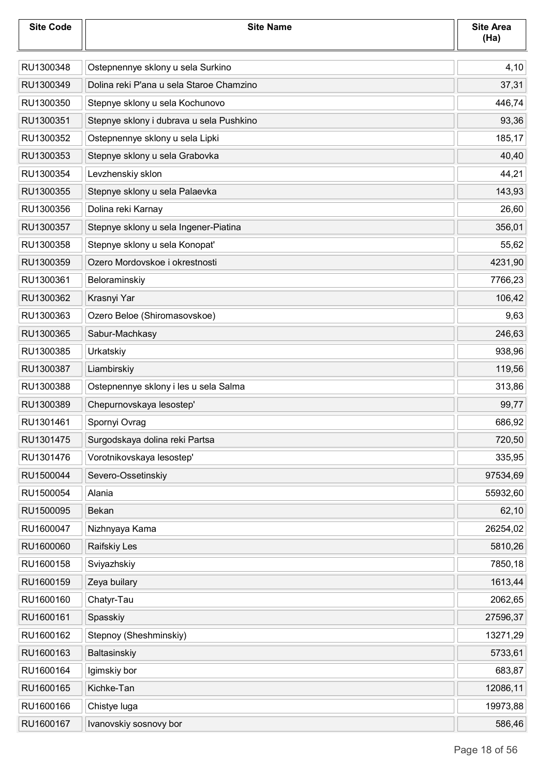| <b>Site Code</b> | <b>Site Name</b>                         | <b>Site Area</b><br>(Ha) |
|------------------|------------------------------------------|--------------------------|
| RU1300348        | Ostepnennye sklony u sela Surkino        | 4,10                     |
| RU1300349        | Dolina reki P'ana u sela Staroe Chamzino | 37,31                    |
| RU1300350        | Stepnye sklony u sela Kochunovo          | 446,74                   |
| RU1300351        | Stepnye sklony i dubrava u sela Pushkino | 93,36                    |
| RU1300352        | Ostepnennye sklony u sela Lipki          | 185,17                   |
| RU1300353        | Stepnye sklony u sela Grabovka           | 40,40                    |
| RU1300354        | Levzhenskiy sklon                        | 44,21                    |
| RU1300355        | Stepnye sklony u sela Palaevka           | 143,93                   |
| RU1300356        | Dolina reki Karnay                       | 26,60                    |
| RU1300357        | Stepnye sklony u sela Ingener-Piatina    | 356,01                   |
| RU1300358        | Stepnye sklony u sela Konopat'           | 55,62                    |
| RU1300359        | Ozero Mordovskoe i okrestnosti           | 4231,90                  |
| RU1300361        | Beloraminskiy                            | 7766,23                  |
| RU1300362        | Krasnyi Yar                              | 106,42                   |
| RU1300363        | Ozero Beloe (Shiromasovskoe)             | 9,63                     |
| RU1300365        | Sabur-Machkasy                           | 246,63                   |
| RU1300385        | Urkatskiy                                | 938,96                   |
| RU1300387        | Liambirskiy                              | 119,56                   |
| RU1300388        | Ostepnennye sklony i les u sela Salma    | 313,86                   |
| RU1300389        | Chepurnovskaya lesostep'                 | 99,77                    |
| RU1301461        | Spornyi Ovrag                            | 686,92                   |
| RU1301475        | Surgodskaya dolina reki Partsa           | 720,50                   |
| RU1301476        | Vorotnikovskaya lesostep'                | 335,95                   |
| RU1500044        | Severo-Ossetinskiy                       | 97534,69                 |
| RU1500054        | Alania                                   | 55932,60                 |
| RU1500095        | Bekan                                    | 62,10                    |
| RU1600047        | Nizhnyaya Kama                           | 26254,02                 |
| RU1600060        | Raifskiy Les                             | 5810,26                  |
| RU1600158        | Sviyazhskiy                              | 7850,18                  |
| RU1600159        | Zeya builary                             | 1613,44                  |
| RU1600160        | Chatyr-Tau                               | 2062,65                  |
| RU1600161        | Spasskiy                                 | 27596,37                 |
| RU1600162        | Stepnoy (Sheshminskiy)                   | 13271,29                 |
| RU1600163        | Baltasinskiy                             | 5733,61                  |
| RU1600164        | Igimskiy bor                             | 683,87                   |
| RU1600165        | Kichke-Tan                               | 12086,11                 |
| RU1600166        | Chistye luga                             | 19973,88                 |
| RU1600167        | Ivanovskiy sosnovy bor                   | 586,46                   |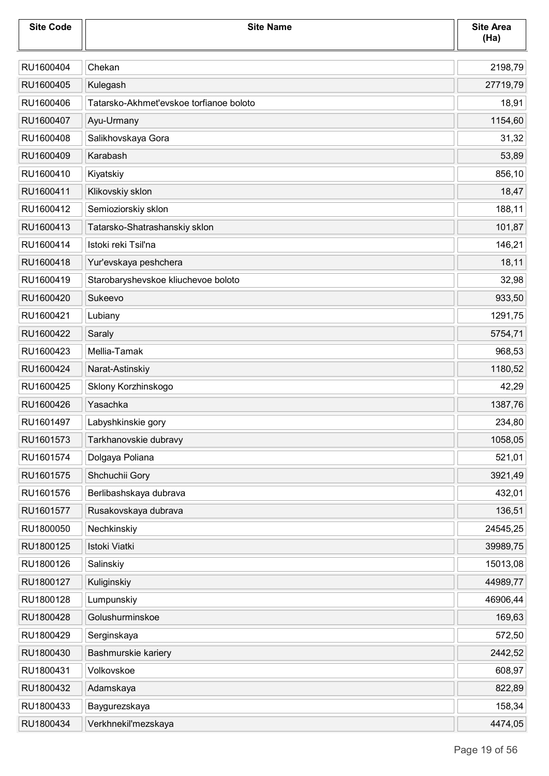| <b>Site Code</b> | <b>Site Name</b>                        | <b>Site Area</b><br>(Ha) |
|------------------|-----------------------------------------|--------------------------|
| RU1600404        | Chekan                                  | 2198,79                  |
| RU1600405        | Kulegash                                | 27719,79                 |
| RU1600406        | Tatarsko-Akhmet'evskoe torfianoe boloto | 18,91                    |
| RU1600407        | Ayu-Urmany                              | 1154,60                  |
| RU1600408        | Salikhovskaya Gora                      | 31,32                    |
| RU1600409        | Karabash                                | 53,89                    |
| RU1600410        | Kiyatskiy                               | 856,10                   |
| RU1600411        | Klikovskiy sklon                        | 18,47                    |
| RU1600412        | Semioziorskiy sklon                     | 188,11                   |
| RU1600413        | Tatarsko-Shatrashanskiy sklon           | 101,87                   |
| RU1600414        | Istoki reki Tsil'na                     | 146,21                   |
| RU1600418        | Yur'evskaya peshchera                   | 18,11                    |
| RU1600419        | Starobaryshevskoe kliuchevoe boloto     | 32,98                    |
| RU1600420        | Sukeevo                                 | 933,50                   |
| RU1600421        | Lubiany                                 | 1291,75                  |
| RU1600422        | Saraly                                  | 5754,71                  |
| RU1600423        | Mellia-Tamak                            | 968,53                   |
| RU1600424        | Narat-Astinskiy                         | 1180,52                  |
| RU1600425        | Sklony Korzhinskogo                     | 42,29                    |
| RU1600426        | Yasachka                                | 1387,76                  |
| RU1601497        | Labyshkinskie gory                      | 234,80                   |
| RU1601573        | Tarkhanovskie dubravy                   | 1058,05                  |
| RU1601574        | Dolgaya Poliana                         | 521,01                   |
| RU1601575        | Shchuchii Gory                          | 3921,49                  |
| RU1601576        | Berlibashskaya dubrava                  | 432,01                   |
| RU1601577        | Rusakovskaya dubrava                    | 136,51                   |
| RU1800050        | Nechkinskiy                             | 24545,25                 |
| RU1800125        | Istoki Viatki                           | 39989,75                 |
| RU1800126        | Salinskiy                               | 15013,08                 |
| RU1800127        | Kuliginskiy                             | 44989,77                 |
| RU1800128        | Lumpunskiy                              | 46906,44                 |
| RU1800428        | Golushurminskoe                         | 169,63                   |
| RU1800429        | Serginskaya                             | 572,50                   |
| RU1800430        | Bashmurskie kariery                     | 2442,52                  |
| RU1800431        | Volkovskoe                              | 608,97                   |
| RU1800432        | Adamskaya                               | 822,89                   |
| RU1800433        | Baygurezskaya                           | 158,34                   |
| RU1800434        | Verkhnekil'mezskaya                     | 4474,05                  |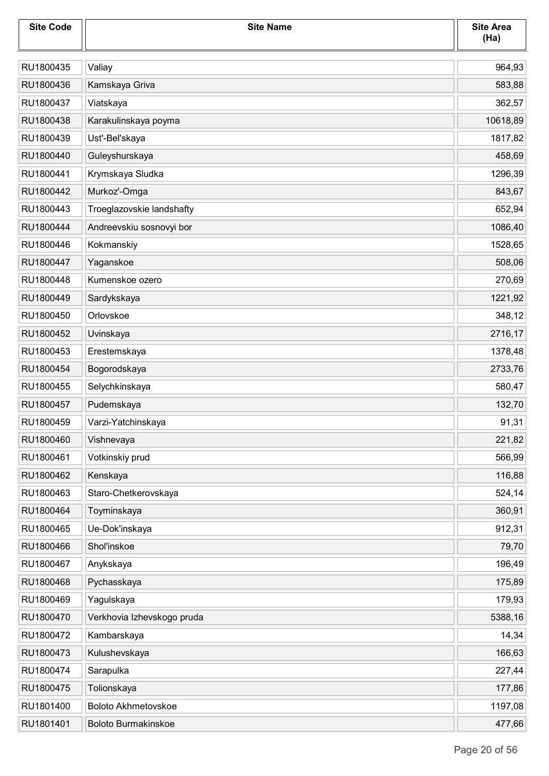| <b>Site Code</b> | <b>Site Name</b>           | <b>Site Area</b><br>(Ha) |
|------------------|----------------------------|--------------------------|
| RU1800435        | Valiay                     | 964,93                   |
| RU1800436        | Kamskaya Griva             | 583,88                   |
| RU1800437        | Viatskaya                  | 362,57                   |
| RU1800438        | Karakulinskaya poyma       | 10618,89                 |
| RU1800439        | Ust'-Bel'skaya             | 1817,82                  |
| RU1800440        | Guleyshurskaya             | 458,69                   |
| RU1800441        | Krymskaya Sludka           | 1296,39                  |
| RU1800442        | Murkoz'-Omga               | 843,67                   |
| RU1800443        | Troeglazovskie landshafty  | 652,94                   |
| RU1800444        | Andreevskiu sosnovyi bor   | 1086,40                  |
| RU1800446        | Kokmanskiy                 | 1528,65                  |
| RU1800447        | Yaganskoe                  | 508,06                   |
| RU1800448        | Kumenskoe ozero            | 270,69                   |
| RU1800449        | Sardykskaya                | 1221,92                  |
| RU1800450        | Orlovskoe                  | 348,12                   |
| RU1800452        | Uvinskaya                  | 2716,17                  |
| RU1800453        | Erestemskaya               | 1378,48                  |
| RU1800454        | Bogorodskaya               | 2733,76                  |
| RU1800455        | Selychkinskaya             | 580,47                   |
| RU1800457        | Pudemskaya                 | 132,70                   |
| RU1800459        | Varzi-Yatchinskaya         | 91,31                    |
| RU1800460        | Vishnevaya                 | 221,82                   |
| RU1800461        | Votkinskiy prud            | 566,99                   |
| RU1800462        | Kenskaya                   | 116,88                   |
| RU1800463        | Staro-Chetkerovskaya       | 524,14                   |
| RU1800464        | Toyminskaya                | 360,91                   |
| RU1800465        | Ue-Dok'inskaya             | 912,31                   |
| RU1800466        | Shol'inskoe                | 79,70                    |
| RU1800467        | Anykskaya                  | 196,49                   |
| RU1800468        | Pychasskaya                | 175,89                   |
| RU1800469        | Yagulskaya                 | 179,93                   |
| RU1800470        | Verkhovia Izhevskogo pruda | 5388,16                  |
| RU1800472        | Kambarskaya                | 14,34                    |
| RU1800473        | Kulushevskaya              | 166,63                   |
| RU1800474        | Sarapulka                  | 227,44                   |
| RU1800475        | Tolionskaya                | 177,86                   |
| RU1801400        | <b>Boloto Akhmetovskoe</b> | 1197,08                  |
| RU1801401        | <b>Boloto Burmakinskoe</b> | 477,66                   |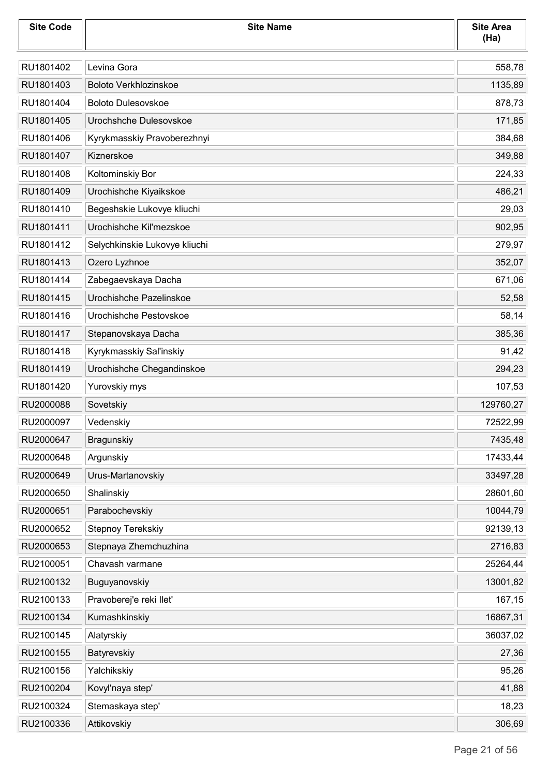| <b>Site Code</b> | <b>Site Name</b>              | <b>Site Area</b><br>(Ha) |
|------------------|-------------------------------|--------------------------|
| RU1801402        | Levina Gora                   | 558,78                   |
| RU1801403        | Boloto Verkhlozinskoe         | 1135,89                  |
| RU1801404        | <b>Boloto Dulesovskoe</b>     | 878,73                   |
| RU1801405        | Urochshche Dulesovskoe        | 171,85                   |
| RU1801406        | Kyrykmasskiy Pravoberezhnyi   | 384,68                   |
| RU1801407        | Kiznerskoe                    | 349,88                   |
| RU1801408        | Koltominskiy Bor              | 224,33                   |
| RU1801409        | Urochishche Kiyaikskoe        | 486,21                   |
| RU1801410        | Begeshskie Lukovye kliuchi    | 29,03                    |
| RU1801411        | Urochishche Kil'mezskoe       | 902,95                   |
| RU1801412        | Selychkinskie Lukovye kliuchi | 279,97                   |
| RU1801413        | Ozero Lyzhnoe                 | 352,07                   |
| RU1801414        | Zabegaevskaya Dacha           | 671,06                   |
| RU1801415        | Urochishche Pazelinskoe       | 52,58                    |
| RU1801416        | Urochishche Pestovskoe        | 58,14                    |
| RU1801417        | Stepanovskaya Dacha           | 385,36                   |
| RU1801418        | Kyrykmasskiy Sal'inskiy       | 91,42                    |
| RU1801419        | Urochishche Chegandinskoe     | 294,23                   |
| RU1801420        | Yurovskiy mys                 | 107,53                   |
| RU2000088        | Sovetskiy                     | 129760,27                |
| RU2000097        | Vedenskiy                     | 72522,99                 |
| RU2000647        | Bragunskiy                    | 7435,48                  |
| RU2000648        | Argunskiy                     | 17433,44                 |
| RU2000649        | Urus-Martanovskiy             | 33497,28                 |
| RU2000650        | Shalinskiy                    | 28601,60                 |
| RU2000651        | Parabochevskiy                | 10044,79                 |
| RU2000652        | Stepnoy Terekskiy             | 92139,13                 |
| RU2000653        | Stepnaya Zhemchuzhina         | 2716,83                  |
| RU2100051        | Chavash varmane               | 25264,44                 |
| RU2100132        | Buguyanovskiy                 | 13001,82                 |
| RU2100133        | Pravoberej'e reki llet'       | 167,15                   |
| RU2100134        | Kumashkinskiy                 | 16867,31                 |
| RU2100145        | Alatyrskiy                    | 36037,02                 |
| RU2100155        | Batyrevskiy                   | 27,36                    |
| RU2100156        | Yalchikskiy                   | 95,26                    |
| RU2100204        | Kovyl'naya step'              | 41,88                    |
| RU2100324        | Stemaskaya step'              | 18,23                    |
| RU2100336        | Attikovskiy                   | 306,69                   |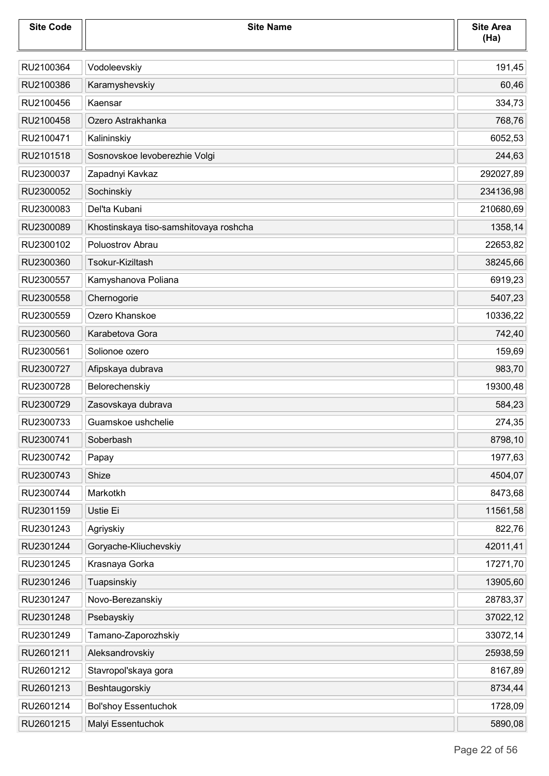| <b>Site Code</b> | <b>Site Name</b>                       | <b>Site Area</b><br>(Ha) |
|------------------|----------------------------------------|--------------------------|
| RU2100364        | Vodoleevskiy                           | 191,45                   |
| RU2100386        | Karamyshevskiy                         | 60,46                    |
| RU2100456        | Kaensar                                | 334,73                   |
| RU2100458        | Ozero Astrakhanka                      | 768,76                   |
| RU2100471        | Kalininskiy                            | 6052,53                  |
| RU2101518        | Sosnovskoe levoberezhie Volgi          | 244,63                   |
| RU2300037        | Zapadnyi Kavkaz                        | 292027,89                |
| RU2300052        | Sochinskiy                             | 234136,98                |
| RU2300083        | Del'ta Kubani                          | 210680,69                |
| RU2300089        | Khostinskaya tiso-samshitovaya roshcha | 1358,14                  |
| RU2300102        | Poluostrov Abrau                       | 22653,82                 |
| RU2300360        | Tsokur-Kiziltash                       | 38245,66                 |
| RU2300557        | Kamyshanova Poliana                    | 6919,23                  |
| RU2300558        | Chernogorie                            | 5407,23                  |
| RU2300559        | Ozero Khanskoe                         | 10336,22                 |
| RU2300560        | Karabetova Gora                        | 742,40                   |
| RU2300561        | Solionoe ozero                         | 159,69                   |
| RU2300727        | Afipskaya dubrava                      | 983,70                   |
| RU2300728        | Belorechenskiy                         | 19300,48                 |
| RU2300729        | Zasovskaya dubrava                     | 584,23                   |
| RU2300733        | Guamskoe ushchelie                     | 274,35                   |
| RU2300741        | Soberbash                              | 8798,10                  |
| RU2300742        | Papay                                  | 1977,63                  |
| RU2300743        | Shize                                  | 4504,07                  |
| RU2300744        | Markotkh                               | 8473,68                  |
| RU2301159        | Ustie Ei                               | 11561,58                 |
| RU2301243        | Agriyskiy                              | 822,76                   |
| RU2301244        | Goryache-Kliuchevskiy                  | 42011,41                 |
| RU2301245        | Krasnaya Gorka                         | 17271,70                 |
| RU2301246        | Tuapsinskiy                            | 13905,60                 |
| RU2301247        | Novo-Berezanskiy                       | 28783,37                 |
| RU2301248        | Psebayskiy                             | 37022,12                 |
| RU2301249        | Tamano-Zaporozhskiy                    | 33072,14                 |
| RU2601211        | Aleksandrovskiy                        | 25938,59                 |
| RU2601212        | Stavropol'skaya gora                   | 8167,89                  |
| RU2601213        | Beshtaugorskiy                         | 8734,44                  |
| RU2601214        | <b>Bol'shoy Essentuchok</b>            | 1728,09                  |
| RU2601215        | Malyi Essentuchok                      | 5890,08                  |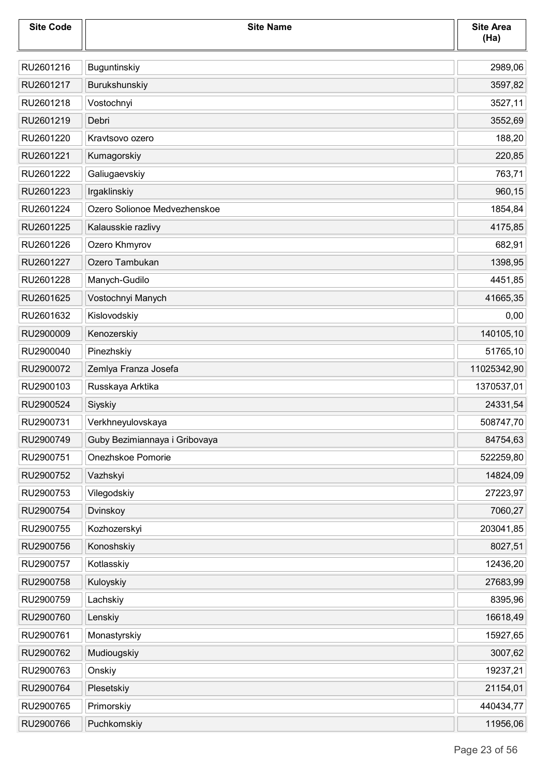| <b>Site Code</b> | <b>Site Name</b>              | <b>Site Area</b><br>(Ha) |
|------------------|-------------------------------|--------------------------|
| RU2601216        | Buguntinskiy                  | 2989,06                  |
| RU2601217        | Burukshunskiy                 | 3597,82                  |
| RU2601218        | Vostochnyi                    | 3527,11                  |
| RU2601219        | Debri                         | 3552,69                  |
| RU2601220        | Kravtsovo ozero               | 188,20                   |
| RU2601221        | Kumagorskiy                   | 220,85                   |
| RU2601222        | Galiugaevskiy                 | 763,71                   |
| RU2601223        | Irgaklinskiy                  | 960,15                   |
| RU2601224        | Ozero Solionoe Medvezhenskoe  | 1854,84                  |
| RU2601225        | Kalausskie razlivy            | 4175,85                  |
| RU2601226        | Ozero Khmyrov                 | 682,91                   |
| RU2601227        | Ozero Tambukan                | 1398,95                  |
| RU2601228        | Manych-Gudilo                 | 4451,85                  |
| RU2601625        | Vostochnyi Manych             | 41665,35                 |
| RU2601632        | Kislovodskiy                  | 0,00                     |
| RU2900009        | Kenozerskiy                   | 140105,10                |
| RU2900040        | Pinezhskiy                    | 51765,10                 |
| RU2900072        | Zemlya Franza Josefa          | 11025342,90              |
| RU2900103        | Russkaya Arktika              | 1370537,01               |
| RU2900524        | Siyskiy                       | 24331,54                 |
| RU2900731        | Verkhneyulovskaya             | 508747,70                |
| RU2900749        | Guby Bezimiannaya i Gribovaya | 84754,63                 |
| RU2900751        | Onezhskoe Pomorie             | 522259,80                |
| RU2900752        | Vazhskyi                      | 14824,09                 |
| RU2900753        | Vilegodskiy                   | 27223,97                 |
| RU2900754        | Dvinskoy                      | 7060,27                  |
| RU2900755        | Kozhozerskyi                  | 203041,85                |
| RU2900756        | Konoshskiy                    | 8027,51                  |
| RU2900757        | Kotlasskiy                    | 12436,20                 |
| RU2900758        | Kuloyskiy                     | 27683,99                 |
| RU2900759        | Lachskiy                      | 8395,96                  |
| RU2900760        | Lenskiy                       | 16618,49                 |
| RU2900761        | Monastyrskiy                  | 15927,65                 |
| RU2900762        | Mudiougskiy                   | 3007,62                  |
| RU2900763        | Onskiy                        | 19237,21                 |
| RU2900764        | Plesetskiy                    | 21154,01                 |
| RU2900765        | Primorskiy                    | 440434,77                |
| RU2900766        | Puchkomskiy                   | 11956,06                 |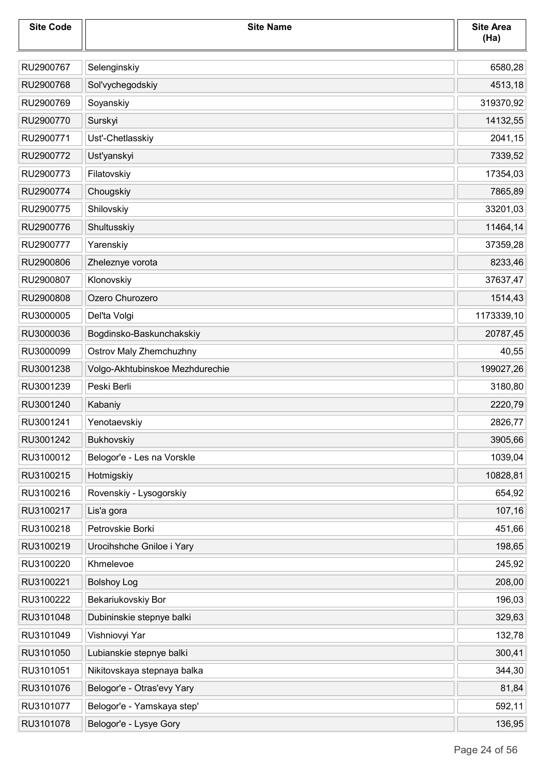| <b>Site Code</b> | <b>Site Name</b>                | <b>Site Area</b><br>(Ha) |
|------------------|---------------------------------|--------------------------|
| RU2900767        | Selenginskiy                    | 6580,28                  |
| RU2900768        | Sol'vychegodskiy                | 4513,18                  |
| RU2900769        | Soyanskiy                       | 319370,92                |
| RU2900770        | Surskyi                         | 14132,55                 |
| RU2900771        | Ust'-Chetlasskiy                | 2041,15                  |
| RU2900772        | Ust'yanskyi                     | 7339,52                  |
| RU2900773        | Filatovskiy                     | 17354,03                 |
| RU2900774        | Chougskiy                       | 7865,89                  |
| RU2900775        | Shilovskiy                      | 33201,03                 |
| RU2900776        | Shultusskiy                     | 11464,14                 |
| RU2900777        | Yarenskiy                       | 37359,28                 |
| RU2900806        | Zheleznye vorota                | 8233,46                  |
| RU2900807        | Klonovskiy                      | 37637,47                 |
| RU2900808        | Ozero Churozero                 | 1514,43                  |
| RU3000005        | Del'ta Volgi                    | 1173339,10               |
| RU3000036        | Bogdinsko-Baskunchakskiy        | 20787,45                 |
| RU3000099        | Ostrov Maly Zhemchuzhny         | 40,55                    |
| RU3001238        | Volgo-Akhtubinskoe Mezhdurechie | 199027,26                |
| RU3001239        | Peski Berli                     | 3180,80                  |
| RU3001240        | Kabaniy                         | 2220,79                  |
| RU3001241        | Yenotaevskiy                    | 2826,77                  |
| RU3001242        | Bukhovskiy                      | 3905,66                  |
| RU3100012        | Belogor'e - Les na Vorskle      | 1039,04                  |
| RU3100215        | Hotmigskiy                      | 10828,81                 |
| RU3100216        | Rovenskiy - Lysogorskiy         | 654,92                   |
| RU3100217        | Lis'a gora                      | 107,16                   |
| RU3100218        | Petrovskie Borki                | 451,66                   |
| RU3100219        | Urocihshche Gniloe i Yary       | 198,65                   |
| RU3100220        | Khmelevoe                       | 245,92                   |
| RU3100221        | <b>Bolshoy Log</b>              | 208,00                   |
| RU3100222        | Bekariukovskiy Bor              | 196,03                   |
| RU3101048        | Dubininskie stepnye balki       | 329,63                   |
| RU3101049        | Vishniovyi Yar                  | 132,78                   |
| RU3101050        | Lubianskie stepnye balki        | 300,41                   |
| RU3101051        | Nikitovskaya stepnaya balka     | 344,30                   |
| RU3101076        | Belogor'e - Otras'evy Yary      | 81,84                    |
| RU3101077        | Belogor'e - Yamskaya step'      | 592,11                   |
| RU3101078        | Belogor'e - Lysye Gory          | 136,95                   |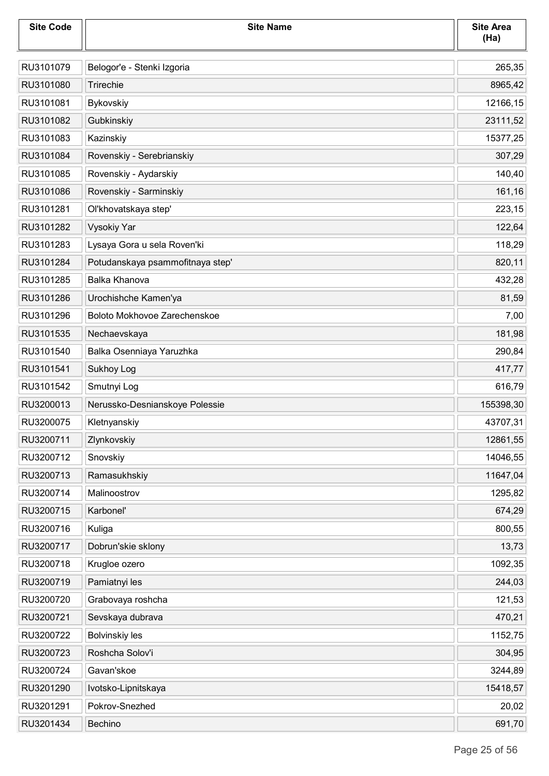| <b>Site Code</b> | <b>Site Name</b>                 | <b>Site Area</b><br>(Ha) |
|------------------|----------------------------------|--------------------------|
| RU3101079        | Belogor'e - Stenki Izgoria       | 265,35                   |
| RU3101080        | Trirechie                        | 8965,42                  |
| RU3101081        | Bykovskiy                        | 12166,15                 |
| RU3101082        | Gubkinskiy                       | 23111,52                 |
| RU3101083        | Kazinskiy                        | 15377,25                 |
| RU3101084        | Rovenskiy - Serebrianskiy        | 307,29                   |
| RU3101085        | Rovenskiy - Aydarskiy            | 140,40                   |
| RU3101086        | Rovenskiy - Sarminskiy           | 161,16                   |
| RU3101281        | Ol'khovatskaya step'             | 223,15                   |
| RU3101282        | Vysokiy Yar                      | 122,64                   |
| RU3101283        | Lysaya Gora u sela Roven'ki      | 118,29                   |
| RU3101284        | Potudanskaya psammofitnaya step' | 820,11                   |
| RU3101285        | Balka Khanova                    | 432,28                   |
| RU3101286        | Urochishche Kamen'ya             | 81,59                    |
| RU3101296        | Boloto Mokhovoe Zarechenskoe     | 7,00                     |
| RU3101535        | Nechaevskaya                     | 181,98                   |
| RU3101540        | Balka Osenniaya Yaruzhka         | 290,84                   |
| RU3101541        | Sukhoy Log                       | 417,77                   |
| RU3101542        | Smutnyi Log                      | 616,79                   |
| RU3200013        | Nerussko-Desnianskoye Polessie   | 155398,30                |
| RU3200075        | Kletnyanskiy                     | 43707,31                 |
| RU3200711        | Zlynkovskiy                      | 12861,55                 |
| RU3200712        | Snovskiy                         | 14046,55                 |
| RU3200713        | Ramasukhskiy                     | 11647,04                 |
| RU3200714        | Malinoostrov                     | 1295,82                  |
| RU3200715        | Karbonel'                        | 674,29                   |
| RU3200716        | Kuliga                           | 800,55                   |
| RU3200717        | Dobrun'skie sklony               | 13,73                    |
| RU3200718        | Krugloe ozero                    | 1092,35                  |
| RU3200719        | Pamiatnyi les                    | 244,03                   |
| RU3200720        | Grabovaya roshcha                | 121,53                   |
| RU3200721        | Sevskaya dubrava                 | 470,21                   |
| RU3200722        | Bolvinskiy les                   | 1152,75                  |
| RU3200723        | Roshcha Solov'i                  | 304,95                   |
| RU3200724        | Gavan'skoe                       | 3244,89                  |
| RU3201290        | Ivotsko-Lipnitskaya              | 15418,57                 |
| RU3201291        | Pokrov-Snezhed                   | 20,02                    |
| RU3201434        | Bechino                          | 691,70                   |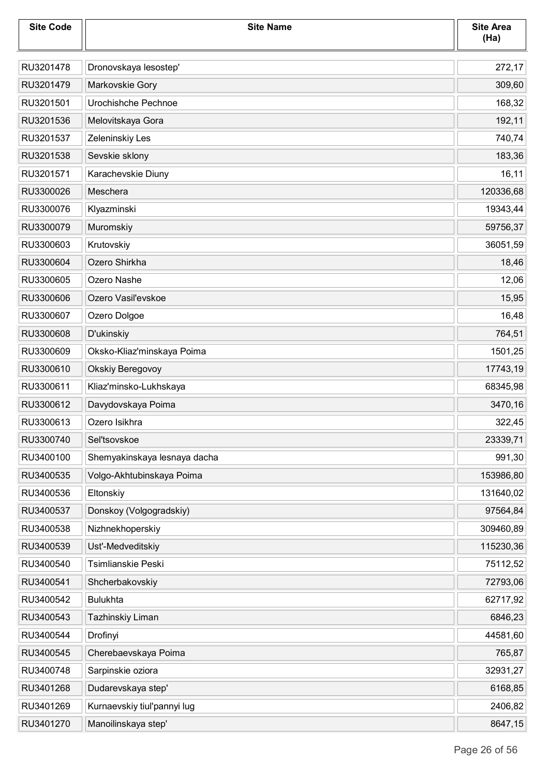| <b>Site Code</b> | <b>Site Name</b>             | <b>Site Area</b><br>(Ha) |
|------------------|------------------------------|--------------------------|
| RU3201478        | Dronovskaya lesostep'        | 272,17                   |
| RU3201479        | Markovskie Gory              | 309,60                   |
| RU3201501        | Urochishche Pechnoe          | 168,32                   |
| RU3201536        | Melovitskaya Gora            | 192,11                   |
| RU3201537        | Zeleninskiy Les              | 740,74                   |
| RU3201538        | Sevskie sklony               | 183,36                   |
| RU3201571        | Karachevskie Diuny           | 16,11                    |
| RU3300026        | Meschera                     | 120336,68                |
| RU3300076        | Klyazminski                  | 19343,44                 |
| RU3300079        | Muromskiy                    | 59756,37                 |
| RU3300603        | Krutovskiy                   | 36051,59                 |
| RU3300604        | Ozero Shirkha                | 18,46                    |
| RU3300605        | Ozero Nashe                  | 12,06                    |
| RU3300606        | Ozero Vasil'evskoe           | 15,95                    |
| RU3300607        | Ozero Dolgoe                 | 16,48                    |
| RU3300608        | D'ukinskiy                   | 764,51                   |
| RU3300609        | Oksko-Kliaz'minskaya Poima   | 1501,25                  |
| RU3300610        | Okskiy Beregovoy             | 17743,19                 |
| RU3300611        | Kliaz'minsko-Lukhskaya       | 68345,98                 |
| RU3300612        | Davydovskaya Poima           | 3470,16                  |
| RU3300613        | Ozero Isikhra                | 322,45                   |
| RU3300740        | Sel'tsovskoe                 | 23339,71                 |
| RU3400100        | Shemyakinskaya lesnaya dacha | 991,30                   |
| RU3400535        | Volgo-Akhtubinskaya Poima    | 153986,80                |
| RU3400536        | Eltonskiy                    | 131640,02                |
| RU3400537        | Donskoy (Volgogradskiy)      | 97564,84                 |
| RU3400538        | Nizhnekhoperskiy             | 309460,89                |
| RU3400539        | Ust'-Medveditskiy            | 115230,36                |
| RU3400540        | Tsimlianskie Peski           | 75112,52                 |
| RU3400541        | Shcherbakovskiy              | 72793,06                 |
| RU3400542        | <b>Bulukhta</b>              | 62717,92                 |
| RU3400543        | Tazhinskiy Liman             | 6846,23                  |
| RU3400544        | Drofinyi                     | 44581,60                 |
| RU3400545        | Cherebaevskaya Poima         | 765,87                   |
| RU3400748        | Sarpinskie oziora            | 32931,27                 |
| RU3401268        | Dudarevskaya step'           | 6168,85                  |
| RU3401269        | Kurnaevskiy tiul'pannyi lug  | 2406,82                  |
| RU3401270        | Manoilinskaya step'          | 8647,15                  |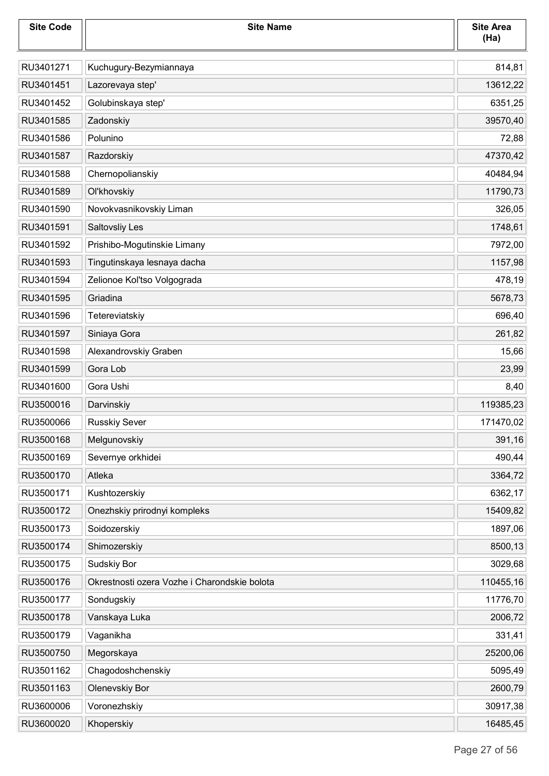| <b>Site Code</b> | <b>Site Name</b>                             | <b>Site Area</b><br>(Ha) |
|------------------|----------------------------------------------|--------------------------|
| RU3401271        | Kuchugury-Bezymiannaya                       | 814,81                   |
| RU3401451        | Lazorevaya step'                             | 13612,22                 |
| RU3401452        | Golubinskaya step'                           | 6351,25                  |
| RU3401585        | Zadonskiy                                    | 39570,40                 |
| RU3401586        | Polunino                                     | 72,88                    |
| RU3401587        | Razdorskiy                                   | 47370,42                 |
| RU3401588        | Chernopolianskiy                             | 40484,94                 |
| RU3401589        | Ol'khovskiy                                  | 11790,73                 |
| RU3401590        | Novokvasnikovskiy Liman                      | 326,05                   |
| RU3401591        | Saltovsliy Les                               | 1748,61                  |
| RU3401592        | Prishibo-Mogutinskie Limany                  | 7972,00                  |
| RU3401593        | Tingutinskaya lesnaya dacha                  | 1157,98                  |
| RU3401594        | Zelionoe Kol'tso Volgograda                  | 478,19                   |
| RU3401595        | Griadina                                     | 5678,73                  |
| RU3401596        | Tetereviatskiy                               | 696,40                   |
| RU3401597        | Siniaya Gora                                 | 261,82                   |
| RU3401598        | Alexandrovskiy Graben                        | 15,66                    |
| RU3401599        | Gora Lob                                     | 23,99                    |
| RU3401600        | Gora Ushi                                    | 8,40                     |
| RU3500016        | Darvinskiy                                   | 119385,23                |
| RU3500066        | <b>Russkiy Sever</b>                         | 171470,02                |
| RU3500168        | Melgunovskiy                                 | 391,16                   |
| RU3500169        | Severnye orkhidei                            | 490,44                   |
| RU3500170        | Atleka                                       | 3364,72                  |
| RU3500171        | Kushtozerskiy                                | 6362,17                  |
| RU3500172        | Onezhskiy prirodnyi kompleks                 | 15409,82                 |
| RU3500173        | Soidozerskiy                                 | 1897,06                  |
| RU3500174        | Shimozerskiy                                 | 8500,13                  |
| RU3500175        | Sudskiy Bor                                  | 3029,68                  |
| RU3500176        | Okrestnosti ozera Vozhe i Charondskie bolota | 110455,16                |
| RU3500177        | Sondugskiy                                   | 11776,70                 |
| RU3500178        | Vanskaya Luka                                | 2006,72                  |
| RU3500179        | Vaganikha                                    | 331,41                   |
| RU3500750        | Megorskaya                                   | 25200,06                 |
| RU3501162        | Chagodoshchenskiy                            | 5095,49                  |
| RU3501163        | Olenevskiy Bor                               | 2600,79                  |
| RU3600006        | Voronezhskiy                                 | 30917,38                 |
| RU3600020        | Khoperskiy                                   | 16485,45                 |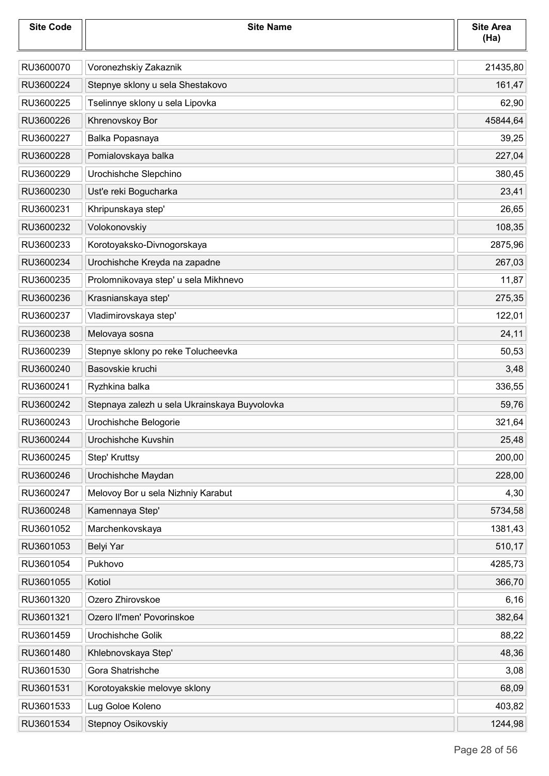| <b>Site Code</b> | <b>Site Name</b>                              | <b>Site Area</b><br>(Ha) |
|------------------|-----------------------------------------------|--------------------------|
| RU3600070        | Voronezhskiy Zakaznik                         | 21435,80                 |
| RU3600224        | Stepnye sklony u sela Shestakovo              | 161,47                   |
| RU3600225        | Tselinnye sklony u sela Lipovka               | 62,90                    |
| RU3600226        | Khrenovskoy Bor                               | 45844,64                 |
| RU3600227        | Balka Popasnaya                               | 39,25                    |
| RU3600228        | Pomialovskaya balka                           | 227,04                   |
| RU3600229        | Urochishche Slepchino                         | 380,45                   |
| RU3600230        | Ust'e reki Bogucharka                         | 23,41                    |
| RU3600231        | Khripunskaya step'                            | 26,65                    |
| RU3600232        | Volokonovskiy                                 | 108,35                   |
| RU3600233        | Korotoyaksko-Divnogorskaya                    | 2875,96                  |
| RU3600234        | Urochishche Kreyda na zapadne                 | 267,03                   |
| RU3600235        | Prolomnikovaya step' u sela Mikhnevo          | 11,87                    |
| RU3600236        | Krasnianskaya step'                           | 275,35                   |
| RU3600237        | Vladimirovskaya step'                         | 122,01                   |
| RU3600238        | Melovaya sosna                                | 24,11                    |
| RU3600239        | Stepnye sklony po reke Tolucheevka            | 50,53                    |
| RU3600240        | Basovskie kruchi                              | 3,48                     |
| RU3600241        | Ryzhkina balka                                | 336,55                   |
| RU3600242        | Stepnaya zalezh u sela Ukrainskaya Buyvolovka | 59,76                    |
| RU3600243        | Urochishche Belogorie                         | 321,64                   |
| RU3600244        | Urochishche Kuvshin                           | 25,48                    |
| RU3600245        | Step' Kruttsy                                 | 200,00                   |
| RU3600246        | Urochishche Maydan                            | 228,00                   |
| RU3600247        | Melovoy Bor u sela Nizhniy Karabut            | 4,30                     |
| RU3600248        | Kamennaya Step'                               | 5734,58                  |
| RU3601052        | Marchenkovskaya                               | 1381,43                  |
| RU3601053        | Belyi Yar                                     | 510,17                   |
| RU3601054        | Pukhovo                                       | 4285,73                  |
| RU3601055        | Kotiol                                        | 366,70                   |
| RU3601320        | Ozero Zhirovskoe                              | 6, 16                    |
| RU3601321        | Ozero II'men' Povorinskoe                     | 382,64                   |
| RU3601459        | Urochishche Golik                             | 88,22                    |
| RU3601480        | Khlebnovskaya Step'                           | 48,36                    |
| RU3601530        | Gora Shatrishche                              | 3,08                     |
| RU3601531        | Korotoyakskie melovye sklony                  | 68,09                    |
| RU3601533        | Lug Goloe Koleno                              | 403,82                   |
| RU3601534        | Stepnoy Osikovskiy                            | 1244,98                  |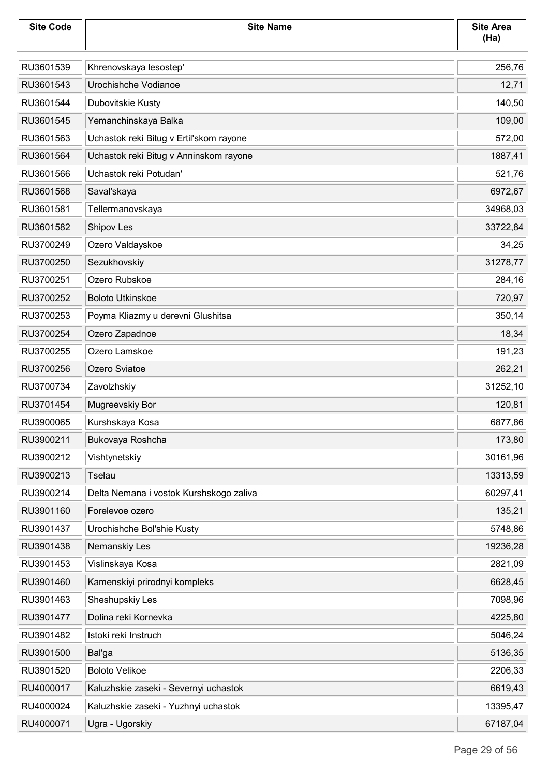| <b>Site Code</b> | <b>Site Name</b>                        | <b>Site Area</b><br>(Ha) |
|------------------|-----------------------------------------|--------------------------|
| RU3601539        | Khrenovskaya lesostep'                  | 256,76                   |
| RU3601543        | Urochishche Vodianoe                    | 12,71                    |
| RU3601544        | Dubovitskie Kusty                       | 140,50                   |
| RU3601545        | Yemanchinskaya Balka                    | 109,00                   |
| RU3601563        | Uchastok reki Bitug v Ertil'skom rayone | 572,00                   |
| RU3601564        | Uchastok reki Bitug v Anninskom rayone  | 1887,41                  |
| RU3601566        | Uchastok reki Potudan'                  | 521,76                   |
| RU3601568        | Saval'skaya                             | 6972,67                  |
| RU3601581        | Tellermanovskaya                        | 34968,03                 |
| RU3601582        | Shipov Les                              | 33722,84                 |
| RU3700249        | Ozero Valdayskoe                        | 34,25                    |
| RU3700250        | Sezukhovskiy                            | 31278,77                 |
| RU3700251        | Ozero Rubskoe                           | 284,16                   |
| RU3700252        | <b>Boloto Utkinskoe</b>                 | 720,97                   |
| RU3700253        | Poyma Kliazmy u derevni Glushitsa       | 350,14                   |
| RU3700254        | Ozero Zapadnoe                          | 18,34                    |
| RU3700255        | Ozero Lamskoe                           | 191,23                   |
| RU3700256        | Ozero Sviatoe                           | 262,21                   |
| RU3700734        | Zavolzhskiy                             | 31252,10                 |
| RU3701454        | Mugreevskiy Bor                         | 120,81                   |
| RU3900065        | Kurshskaya Kosa                         | 6877,86                  |
| RU3900211        | Bukovaya Roshcha                        | 173,80                   |
| RU3900212        | Vishtynetskiy                           | 30161,96                 |
| RU3900213        | Tselau                                  | 13313,59                 |
| RU3900214        | Delta Nemana i vostok Kurshskogo zaliva | 60297,41                 |
| RU3901160        | Forelevoe ozero                         | 135,21                   |
| RU3901437        | Urochishche Bol'shie Kusty              | 5748,86                  |
| RU3901438        | Nemanskiy Les                           | 19236,28                 |
| RU3901453        | Vislinskaya Kosa                        | 2821,09                  |
| RU3901460        | Kamenskiyi prirodnyi kompleks           | 6628,45                  |
| RU3901463        | Sheshupskiy Les                         | 7098,96                  |
| RU3901477        | Dolina reki Kornevka                    | 4225,80                  |
| RU3901482        | Istoki reki Instruch                    | 5046,24                  |
| RU3901500        | Bal'ga                                  | 5136,35                  |
| RU3901520        | <b>Boloto Velikoe</b>                   | 2206,33                  |
| RU4000017        | Kaluzhskie zaseki - Severnyi uchastok   | 6619,43                  |
| RU4000024        | Kaluzhskie zaseki - Yuzhnyi uchastok    | 13395,47                 |
| RU4000071        | Ugra - Ugorskiy                         | 67187,04                 |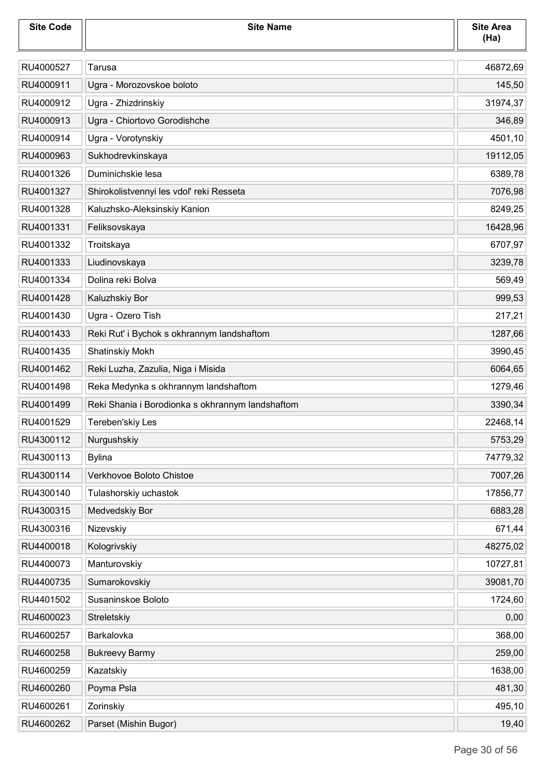| <b>Site Code</b> | <b>Site Name</b>                                 | <b>Site Area</b><br>(Ha) |
|------------------|--------------------------------------------------|--------------------------|
| RU4000527        | Tarusa                                           | 46872,69                 |
| RU4000911        | Ugra - Morozovskoe boloto                        | 145,50                   |
| RU4000912        | Ugra - Zhizdrinskiy                              | 31974,37                 |
| RU4000913        | Ugra - Chiortovo Gorodishche                     | 346,89                   |
| RU4000914        | Ugra - Vorotynskiy                               | 4501,10                  |
| RU4000963        | Sukhodrevkinskaya                                | 19112,05                 |
| RU4001326        | Duminichskie lesa                                | 6389,78                  |
| RU4001327        | Shirokolistvennyi les vdol' reki Resseta         | 7076,98                  |
| RU4001328        | Kaluzhsko-Aleksinskiy Kanion                     | 8249,25                  |
| RU4001331        | Feliksovskaya                                    | 16428,96                 |
| RU4001332        | Troitskaya                                       | 6707,97                  |
| RU4001333        | Liudinovskaya                                    | 3239,78                  |
| RU4001334        | Dolina reki Bolva                                | 569,49                   |
| RU4001428        | Kaluzhskiy Bor                                   | 999,53                   |
| RU4001430        | Ugra - Ozero Tish                                | 217,21                   |
| RU4001433        | Reki Rut' i Bychok s okhrannym landshaftom       | 1287,66                  |
| RU4001435        | <b>Shatinskiy Mokh</b>                           | 3990,45                  |
| RU4001462        | Reki Luzha, Zazulia, Niga i Misida               | 6064,65                  |
| RU4001498        | Reka Medynka s okhrannym landshaftom             | 1279,46                  |
| RU4001499        | Reki Shania i Borodionka s okhrannym landshaftom | 3390,34                  |
| RU4001529        | Tereben'skiy Les                                 | 22468,14                 |
| RU4300112        | Nurgushskiy                                      | 5753,29                  |
| RU4300113        | <b>Bylina</b>                                    | 74779,32                 |
| RU4300114        | Verkhovoe Boloto Chistoe                         | 7007,26                  |
| RU4300140        | Tulashorskiy uchastok                            | 17856,77                 |
| RU4300315        | Medvedskiy Bor                                   | 6883,28                  |
| RU4300316        | Nizevskiy                                        | 671,44                   |
| RU4400018        | Kologrivskiy                                     | 48275,02                 |
| RU4400073        | Manturovskiy                                     | 10727,81                 |
| RU4400735        | Sumarokovskiy                                    | 39081,70                 |
| RU4401502        | Susaninskoe Boloto                               | 1724,60                  |
| RU4600023        | Streletskiy                                      | 0,00                     |
| RU4600257        | Barkalovka                                       | 368,00                   |
| RU4600258        | <b>Bukreevy Barmy</b>                            | 259,00                   |
| RU4600259        | Kazatskiy                                        | 1638,00                  |
| RU4600260        | Poyma Psla                                       | 481,30                   |
| RU4600261        | Zorinskiy                                        | 495,10                   |
| RU4600262        | Parset (Mishin Bugor)                            | 19,40                    |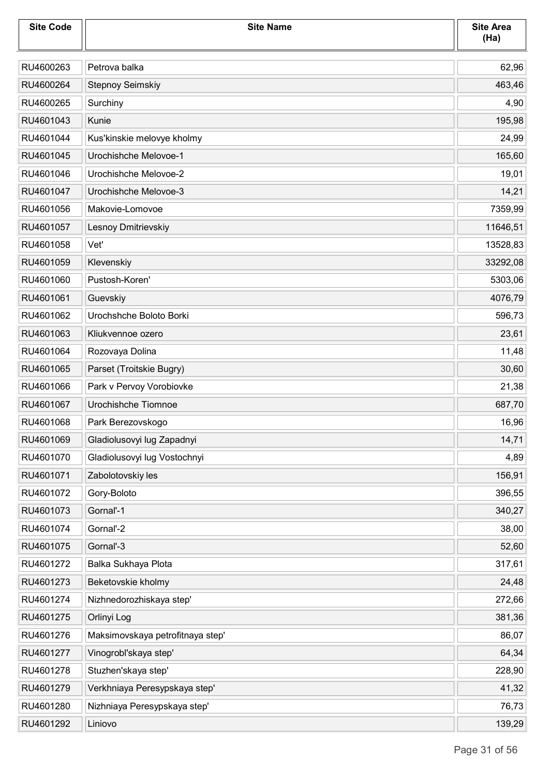| <b>Site Code</b> | <b>Site Name</b>                 | <b>Site Area</b><br>(Ha) |
|------------------|----------------------------------|--------------------------|
| RU4600263        | Petrova balka                    | 62,96                    |
| RU4600264        | <b>Stepnoy Seimskiy</b>          | 463,46                   |
| RU4600265        | Surchiny                         | 4,90                     |
| RU4601043        | Kunie                            | 195,98                   |
| RU4601044        | Kus'kinskie melovye kholmy       | 24,99                    |
| RU4601045        | Urochishche Melovoe-1            | 165,60                   |
| RU4601046        | Urochishche Melovoe-2            | 19,01                    |
| RU4601047        | Urochishche Melovoe-3            | 14,21                    |
| RU4601056        | Makovie-Lomovoe                  | 7359,99                  |
| RU4601057        | Lesnoy Dmitrievskiy              | 11646,51                 |
| RU4601058        | Vet'                             | 13528,83                 |
| RU4601059        | Klevenskiy                       | 33292,08                 |
| RU4601060        | Pustosh-Koren'                   | 5303,06                  |
| RU4601061        | Guevskiy                         | 4076,79                  |
| RU4601062        | Urochshche Boloto Borki          | 596,73                   |
| RU4601063        | Kliukvennoe ozero                | 23,61                    |
| RU4601064        | Rozovaya Dolina                  | 11,48                    |
| RU4601065        | Parset (Troitskie Bugry)         | 30,60                    |
| RU4601066        | Park v Pervoy Vorobiovke         | 21,38                    |
| RU4601067        | Urochishche Tiomnoe              | 687,70                   |
| RU4601068        | Park Berezovskogo                | 16,96                    |
| RU4601069        | Gladiolusovyi lug Zapadnyi       | 14,71                    |
| RU4601070        | Gladiolusovyi lug Vostochnyi     | 4,89                     |
| RU4601071        | Zabolotovskiy les                | 156,91                   |
| RU4601072        | Gory-Boloto                      | 396,55                   |
| RU4601073        | Gornal'-1                        | 340,27                   |
| RU4601074        | Gornal'-2                        | 38,00                    |
| RU4601075        | Gornal'-3                        | 52,60                    |
| RU4601272        | Balka Sukhaya Plota              | 317,61                   |
| RU4601273        | Beketovskie kholmy               | 24,48                    |
| RU4601274        | Nizhnedorozhiskaya step'         | 272,66                   |
| RU4601275        | Orlinyi Log                      | 381,36                   |
| RU4601276        | Maksimovskaya petrofitnaya step' | 86,07                    |
| RU4601277        | Vinogrobl'skaya step'            | 64,34                    |
| RU4601278        | Stuzhen'skaya step'              | 228,90                   |
| RU4601279        | Verkhniaya Peresypskaya step'    | 41,32                    |
| RU4601280        | Nizhniaya Peresypskaya step'     | 76,73                    |
| RU4601292        | Liniovo                          | 139,29                   |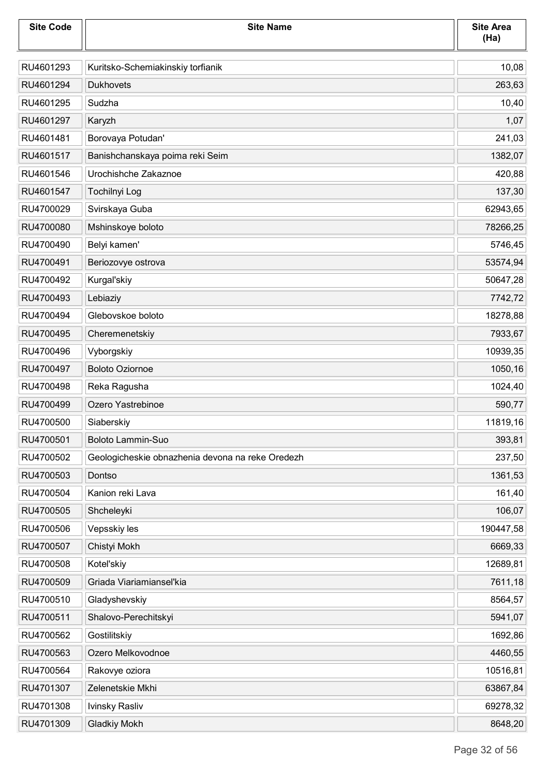| <b>Site Code</b> | <b>Site Name</b>                                 | <b>Site Area</b><br>(Ha) |
|------------------|--------------------------------------------------|--------------------------|
| RU4601293        | Kuritsko-Schemiakinskiy torfianik                | 10,08                    |
| RU4601294        | <b>Dukhovets</b>                                 | 263,63                   |
| RU4601295        | Sudzha                                           | 10,40                    |
| RU4601297        | Karyzh                                           | 1,07                     |
| RU4601481        | Borovaya Potudan'                                | 241,03                   |
| RU4601517        | Banishchanskaya poima reki Seim                  | 1382,07                  |
| RU4601546        | Urochishche Zakaznoe                             | 420,88                   |
| RU4601547        | <b>Tochilnyi Log</b>                             | 137,30                   |
| RU4700029        | Svirskaya Guba                                   | 62943,65                 |
| RU4700080        | Mshinskoye boloto                                | 78266,25                 |
| RU4700490        | Belyi kamen'                                     | 5746,45                  |
| RU4700491        | Beriozovye ostrova                               | 53574,94                 |
| RU4700492        | Kurgal'skiy                                      | 50647,28                 |
| RU4700493        | Lebiaziy                                         | 7742,72                  |
| RU4700494        | Glebovskoe boloto                                | 18278,88                 |
| RU4700495        | Cheremenetskiy                                   | 7933,67                  |
| RU4700496        | Vyborgskiy                                       | 10939,35                 |
| RU4700497        | <b>Boloto Oziornoe</b>                           | 1050,16                  |
| RU4700498        | Reka Ragusha                                     | 1024,40                  |
| RU4700499        | Ozero Yastrebinoe                                | 590,77                   |
| RU4700500        | Siaberskiy                                       | 11819,16                 |
| RU4700501        | <b>Boloto Lammin-Suo</b>                         | 393,81                   |
| RU4700502        | Geologicheskie obnazhenia devona na reke Oredezh | 237,50                   |
| RU4700503        | Dontso                                           | 1361,53                  |
| RU4700504        | Kanion reki Lava                                 | 161,40                   |
| RU4700505        | Shcheleyki                                       | 106,07                   |
| RU4700506        | Vepsskiy les                                     | 190447,58                |
| RU4700507        | Chistyi Mokh                                     | 6669,33                  |
| RU4700508        | Kotel'skiy                                       | 12689,81                 |
| RU4700509        | Griada Viariamiansel'kia                         | 7611,18                  |
| RU4700510        | Gladyshevskiy                                    | 8564,57                  |
| RU4700511        | Shalovo-Perechitskyi                             | 5941,07                  |
| RU4700562        | Gostilitskiy                                     | 1692,86                  |
| RU4700563        | Ozero Melkovodnoe                                | 4460,55                  |
| RU4700564        | Rakovye oziora                                   | 10516,81                 |
| RU4701307        | Zelenetskie Mkhi                                 | 63867,84                 |
| RU4701308        | Ivinsky Rasliv                                   | 69278,32                 |
| RU4701309        | <b>Gladkiy Mokh</b>                              | 8648,20                  |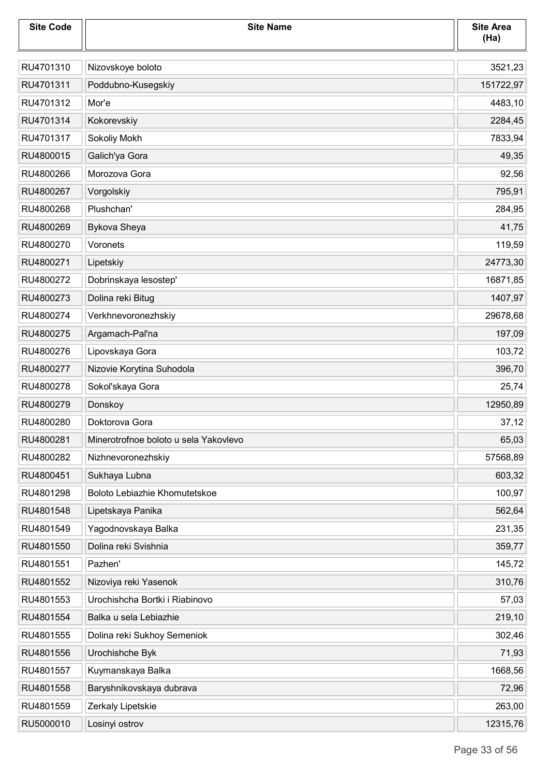| <b>Site Code</b> | <b>Site Name</b>                      | <b>Site Area</b><br>(Ha) |
|------------------|---------------------------------------|--------------------------|
| RU4701310        | Nizovskoye boloto                     | 3521,23                  |
| RU4701311        | Poddubno-Kusegskiy                    | 151722,97                |
| RU4701312        | Mor'e                                 | 4483,10                  |
| RU4701314        | Kokorevskiy                           | 2284,45                  |
| RU4701317        | Sokoliy Mokh                          | 7833,94                  |
| RU4800015        | Galich'ya Gora                        | 49,35                    |
| RU4800266        | Morozova Gora                         | 92,56                    |
| RU4800267        | Vorgolskiy                            | 795,91                   |
| RU4800268        | Plushchan'                            | 284,95                   |
| RU4800269        | Bykova Sheya                          | 41,75                    |
| RU4800270        | Voronets                              | 119,59                   |
| RU4800271        | Lipetskiy                             | 24773,30                 |
| RU4800272        | Dobrinskaya lesostep'                 | 16871,85                 |
| RU4800273        | Dolina reki Bitug                     | 1407,97                  |
| RU4800274        | Verkhnevoronezhskiy                   | 29678,68                 |
| RU4800275        | Argamach-Pal'na                       | 197,09                   |
| RU4800276        | Lipovskaya Gora                       | 103,72                   |
| RU4800277        | Nizovie Korytina Suhodola             | 396,70                   |
| RU4800278        | Sokol'skaya Gora                      | 25,74                    |
| RU4800279        | Donskoy                               | 12950,89                 |
| RU4800280        | Doktorova Gora                        | 37,12                    |
| RU4800281        | Minerotrofnoe boloto u sela Yakovlevo | 65,03                    |
| RU4800282        | Nizhnevoronezhskiy                    | 57568,89                 |
| RU4800451        | Sukhaya Lubna                         | 603,32                   |
| RU4801298        | Boloto Lebiazhie Khomutetskoe         | 100,97                   |
| RU4801548        | Lipetskaya Panika                     | 562,64                   |
| RU4801549        | Yagodnovskaya Balka                   | 231,35                   |
| RU4801550        | Dolina reki Svishnia                  | 359,77                   |
| RU4801551        | Pazhen'                               | 145,72                   |
| RU4801552        | Nizoviya reki Yasenok                 | 310,76                   |
| RU4801553        | Urochishcha Bortki i Riabinovo        | 57,03                    |
| RU4801554        | Balka u sela Lebiazhie                | 219,10                   |
| RU4801555        | Dolina reki Sukhoy Semeniok           | 302,46                   |
| RU4801556        | Urochishche Byk                       | 71,93                    |
| RU4801557        | Kuymanskaya Balka                     | 1668,56                  |
| RU4801558        | Baryshnikovskaya dubrava              | 72,96                    |
| RU4801559        | Zerkaly Lipetskie                     | 263,00                   |
| RU5000010        | Losinyi ostrov                        | 12315,76                 |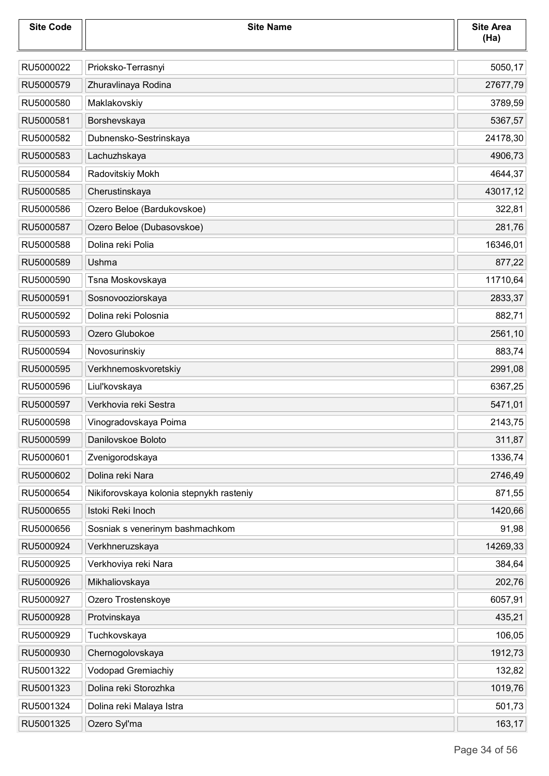| <b>Site Code</b> | <b>Site Name</b>                         | <b>Site Area</b><br>(Ha) |
|------------------|------------------------------------------|--------------------------|
| RU5000022        | Prioksko-Terrasnyi                       | 5050,17                  |
| RU5000579        | Zhuravlinaya Rodina                      | 27677,79                 |
| RU5000580        | Maklakovskiy                             | 3789,59                  |
| RU5000581        | Borshevskaya                             | 5367,57                  |
| RU5000582        | Dubnensko-Sestrinskaya                   | 24178,30                 |
| RU5000583        | Lachuzhskaya                             | 4906,73                  |
| RU5000584        | Radovitskiy Mokh                         | 4644,37                  |
| RU5000585        | Cherustinskaya                           | 43017,12                 |
| RU5000586        | Ozero Beloe (Bardukovskoe)               | 322,81                   |
| RU5000587        | Ozero Beloe (Dubasovskoe)                | 281,76                   |
| RU5000588        | Dolina reki Polia                        | 16346,01                 |
| RU5000589        | Ushma                                    | 877,22                   |
| RU5000590        | Tsna Moskovskaya                         | 11710,64                 |
| RU5000591        | Sosnovooziorskaya                        | 2833,37                  |
| RU5000592        | Dolina reki Polosnia                     | 882,71                   |
| RU5000593        | Ozero Glubokoe                           | 2561,10                  |
| RU5000594        | Novosurinskiy                            | 883,74                   |
| RU5000595        | Verkhnemoskvoretskiy                     | 2991,08                  |
| RU5000596        | Liul'kovskaya                            | 6367,25                  |
| RU5000597        | Verkhovia reki Sestra                    | 5471,01                  |
| RU5000598        | Vinogradovskaya Poima                    | 2143,75                  |
| RU5000599        | Danilovskoe Boloto                       | 311,87                   |
| RU5000601        | Zvenigorodskaya                          | 1336,74                  |
| RU5000602        | Dolina reki Nara                         | 2746,49                  |
| RU5000654        | Nikiforovskaya kolonia stepnykh rasteniy | 871,55                   |
| RU5000655        | Istoki Reki Inoch                        | 1420,66                  |
| RU5000656        | Sosniak s venerinym bashmachkom          | 91,98                    |
| RU5000924        | Verkhneruzskaya                          | 14269,33                 |
| RU5000925        | Verkhoviya reki Nara                     | 384,64                   |
| RU5000926        | Mikhaliovskaya                           | 202,76                   |
| RU5000927        | Ozero Trostenskoye                       | 6057,91                  |
| RU5000928        | Protvinskaya                             | 435,21                   |
| RU5000929        | Tuchkovskaya                             | 106,05                   |
| RU5000930        | Chernogolovskaya                         | 1912,73                  |
| RU5001322        | <b>Vodopad Gremiachiy</b>                | 132,82                   |
| RU5001323        | Dolina reki Storozhka                    | 1019,76                  |
| RU5001324        | Dolina reki Malaya Istra                 | 501,73                   |
| RU5001325        | Ozero Syl'ma                             | 163,17                   |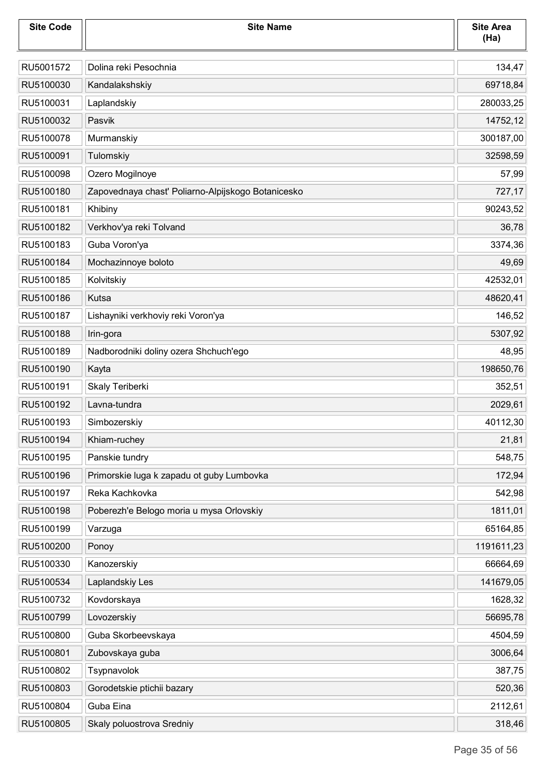| <b>Site Code</b> | <b>Site Name</b>                                   | <b>Site Area</b><br>(Ha) |
|------------------|----------------------------------------------------|--------------------------|
| RU5001572        | Dolina reki Pesochnia                              | 134,47                   |
| RU5100030        | Kandalakshskiy                                     | 69718,84                 |
| RU5100031        | Laplandskiy                                        | 280033,25                |
| RU5100032        | Pasvik                                             | 14752,12                 |
| RU5100078        | Murmanskiy                                         | 300187,00                |
| RU5100091        | Tulomskiy                                          | 32598,59                 |
| RU5100098        | Ozero Mogilnoye                                    | 57,99                    |
| RU5100180        | Zapovednaya chast' Poliarno-Alpijskogo Botanicesko | 727,17                   |
| RU5100181        | Khibiny                                            | 90243,52                 |
| RU5100182        | Verkhov'ya reki Tolvand                            | 36,78                    |
| RU5100183        | Guba Voron'ya                                      | 3374,36                  |
| RU5100184        | Mochazinnoye boloto                                | 49,69                    |
| RU5100185        | Kolvitskiy                                         | 42532,01                 |
| RU5100186        | Kutsa                                              | 48620,41                 |
| RU5100187        | Lishayniki verkhoviy reki Voron'ya                 | 146,52                   |
| RU5100188        | Irin-gora                                          | 5307,92                  |
| RU5100189        | Nadborodniki doliny ozera Shchuch'ego              | 48,95                    |
| RU5100190        | Kayta                                              | 198650,76                |
| RU5100191        | Skaly Teriberki                                    | 352,51                   |
| RU5100192        | Lavna-tundra                                       | 2029,61                  |
| RU5100193        | Simbozerskiy                                       | 40112,30                 |
| RU5100194        | Khiam-ruchey                                       | 21,81                    |
| RU5100195        | Panskie tundry                                     | 548,75                   |
| RU5100196        | Primorskie luga k zapadu ot guby Lumbovka          | 172,94                   |
| RU5100197        | Reka Kachkovka                                     | 542,98                   |
| RU5100198        | Poberezh'e Belogo moria u mysa Orlovskiy           | 1811,01                  |
| RU5100199        | Varzuga                                            | 65164,85                 |
| RU5100200        | Ponoy                                              | 1191611,23               |
| RU5100330        | Kanozerskiy                                        | 66664,69                 |
| RU5100534        | Laplandskiy Les                                    | 141679,05                |
| RU5100732        | Kovdorskaya                                        | 1628,32                  |
| RU5100799        | Lovozerskiy                                        | 56695,78                 |
| RU5100800        | Guba Skorbeevskaya                                 | 4504,59                  |
| RU5100801        | Zubovskaya guba                                    | 3006,64                  |
| RU5100802        | Tsypnavolok                                        | 387,75                   |
| RU5100803        | Gorodetskie ptichii bazary                         | 520,36                   |
| RU5100804        | Guba Eina                                          | 2112,61                  |
| RU5100805        | Skaly poluostrova Sredniy                          | 318,46                   |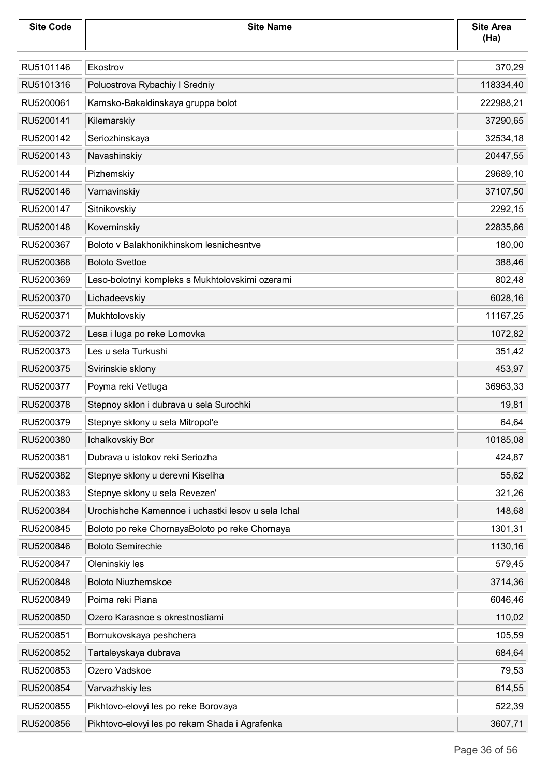| <b>Site Code</b> | <b>Site Name</b>                                   | <b>Site Area</b><br>(Ha) |
|------------------|----------------------------------------------------|--------------------------|
| RU5101146        | Ekostrov                                           | 370,29                   |
| RU5101316        | Poluostrova Rybachiy I Sredniy                     | 118334,40                |
| RU5200061        | Kamsko-Bakaldinskaya gruppa bolot                  | 222988,21                |
| RU5200141        | Kilemarskiy                                        | 37290,65                 |
| RU5200142        | Seriozhinskaya                                     | 32534,18                 |
| RU5200143        | Navashinskiy                                       | 20447,55                 |
| RU5200144        | Pizhemskiy                                         | 29689,10                 |
| RU5200146        | Varnavinskiy                                       | 37107,50                 |
| RU5200147        | Sitnikovskiy                                       | 2292,15                  |
| RU5200148        | Koverninskiy                                       | 22835,66                 |
| RU5200367        | Boloto v Balakhonikhinskom lesnichesntve           | 180,00                   |
| RU5200368        | <b>Boloto Svetloe</b>                              | 388,46                   |
| RU5200369        | Leso-bolotnyi kompleks s Mukhtolovskimi ozerami    | 802,48                   |
| RU5200370        | Lichadeevskiy                                      | 6028,16                  |
| RU5200371        | Mukhtolovskiy                                      | 11167,25                 |
| RU5200372        | Lesa i luga po reke Lomovka                        | 1072,82                  |
| RU5200373        | Les u sela Turkushi                                | 351,42                   |
| RU5200375        | Svirinskie sklony                                  | 453,97                   |
| RU5200377        | Poyma reki Vetluga                                 | 36963,33                 |
| RU5200378        | Stepnoy sklon i dubrava u sela Surochki            | 19,81                    |
| RU5200379        | Stepnye sklony u sela Mitropol'e                   | 64,64                    |
| RU5200380        | Ichalkovskiy Bor                                   | 10185,08                 |
| RU5200381        | Dubrava u istokov reki Seriozha                    | 424,87                   |
| RU5200382        | Stepnye sklony u derevni Kiseliha                  | 55,62                    |
| RU5200383        | Stepnye sklony u sela Revezen'                     | 321,26                   |
| RU5200384        | Urochishche Kamennoe i uchastki lesov u sela Ichal | 148,68                   |
| RU5200845        | Boloto po reke ChornayaBoloto po reke Chornaya     | 1301,31                  |
| RU5200846        | <b>Boloto Semirechie</b>                           | 1130,16                  |
| RU5200847        | Oleninskiy les                                     | 579,45                   |
| RU5200848        | <b>Boloto Niuzhemskoe</b>                          | 3714,36                  |
| RU5200849        | Poima reki Piana                                   | 6046,46                  |
| RU5200850        | Ozero Karasnoe s okrestnostiami                    | 110,02                   |
| RU5200851        | Bornukovskaya peshchera                            | 105,59                   |
| RU5200852        | Tartaleyskaya dubrava                              | 684,64                   |
| RU5200853        | Ozero Vadskoe                                      | 79,53                    |
| RU5200854        | Varvazhskiy les                                    | 614,55                   |
| RU5200855        | Pikhtovo-elovyi les po reke Borovaya               | 522,39                   |
| RU5200856        | Pikhtovo-elovyi les po rekam Shada i Agrafenka     | 3607,71                  |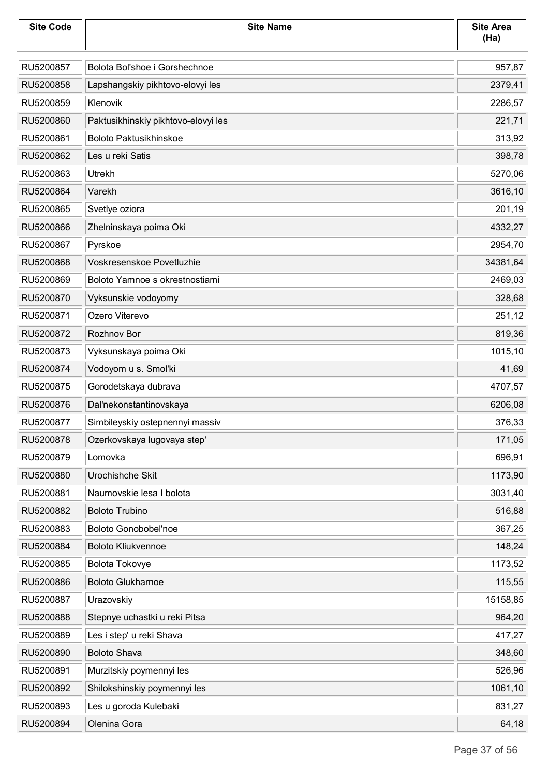| <b>Site Code</b> | <b>Site Name</b>                    | <b>Site Area</b><br>(Ha) |
|------------------|-------------------------------------|--------------------------|
| RU5200857        | Bolota Bol'shoe i Gorshechnoe       | 957,87                   |
| RU5200858        | Lapshangskiy pikhtovo-elovyi les    | 2379,41                  |
| RU5200859        | Klenovik                            | 2286,57                  |
| RU5200860        | Paktusikhinskiy pikhtovo-elovyi les | 221,71                   |
| RU5200861        | <b>Boloto Paktusikhinskoe</b>       | 313,92                   |
| RU5200862        | Les u reki Satis                    | 398,78                   |
| RU5200863        | Utrekh                              | 5270,06                  |
| RU5200864        | Varekh                              | 3616,10                  |
| RU5200865        | Svetlye oziora                      | 201,19                   |
| RU5200866        | Zhelninskaya poima Oki              | 4332,27                  |
| RU5200867        | Pyrskoe                             | 2954,70                  |
| RU5200868        | Voskresenskoe Povetluzhie           | 34381,64                 |
| RU5200869        | Boloto Yamnoe s okrestnostiami      | 2469,03                  |
| RU5200870        | Vyksunskie vodoyomy                 | 328,68                   |
| RU5200871        | Ozero Viterevo                      | 251,12                   |
| RU5200872        | Rozhnov Bor                         | 819,36                   |
| RU5200873        | Vyksunskaya poima Oki               | 1015,10                  |
| RU5200874        | Vodoyom u s. Smol'ki                | 41,69                    |
| RU5200875        | Gorodetskaya dubrava                | 4707,57                  |
| RU5200876        | Dal'nekonstantinovskaya             | 6206,08                  |
| RU5200877        | Simbileyskiy ostepnennyi massiv     | 376,33                   |
| RU5200878        | Ozerkovskaya lugovaya step'         | 171,05                   |
| RU5200879        | Lomovka                             | 696,91                   |
| RU5200880        | Urochishche Skit                    | 1173,90                  |
| RU5200881        | Naumovskie lesa I bolota            | 3031,40                  |
| RU5200882        | <b>Boloto Trubino</b>               | 516,88                   |
| RU5200883        | <b>Boloto Gonobobel'noe</b>         | 367,25                   |
| RU5200884        | <b>Boloto Kliukvennoe</b>           | 148,24                   |
| RU5200885        | Bolota Tokovye                      | 1173,52                  |
| RU5200886        | <b>Boloto Glukharnoe</b>            | 115,55                   |
| RU5200887        | Urazovskiy                          | 15158,85                 |
| RU5200888        | Stepnye uchastki u reki Pitsa       | 964,20                   |
| RU5200889        | Les i step' u reki Shava            | 417,27                   |
| RU5200890        | <b>Boloto Shava</b>                 | 348,60                   |
| RU5200891        | Murzitskiy poymennyi les            | 526,96                   |
| RU5200892        | Shilokshinskiy poymennyi les        | 1061,10                  |
| RU5200893        | Les u goroda Kulebaki               | 831,27                   |
| RU5200894        | Olenina Gora                        | 64,18                    |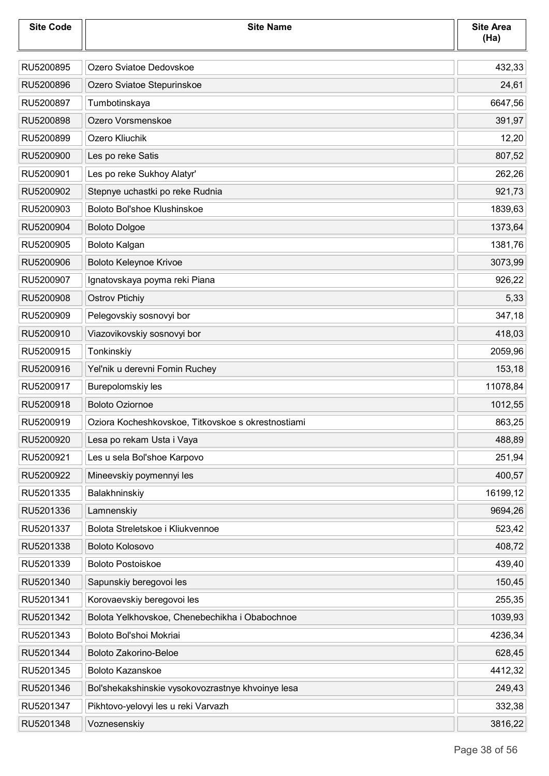| <b>Site Code</b> | <b>Site Name</b>                                   | <b>Site Area</b><br>(Ha) |
|------------------|----------------------------------------------------|--------------------------|
| RU5200895        | Ozero Sviatoe Dedovskoe                            | 432,33                   |
| RU5200896        | Ozero Sviatoe Stepurinskoe                         | 24,61                    |
| RU5200897        | Tumbotinskaya                                      | 6647,56                  |
| RU5200898        | Ozero Vorsmenskoe                                  | 391,97                   |
| RU5200899        | Ozero Kliuchik                                     | 12,20                    |
| RU5200900        | Les po reke Satis                                  | 807,52                   |
| RU5200901        | Les po reke Sukhoy Alatyr'                         | 262,26                   |
| RU5200902        | Stepnye uchastki po reke Rudnia                    | 921,73                   |
| RU5200903        | Boloto Bol'shoe Klushinskoe                        | 1839,63                  |
| RU5200904        | <b>Boloto Dolgoe</b>                               | 1373,64                  |
| RU5200905        | Boloto Kalgan                                      | 1381,76                  |
| RU5200906        | Boloto Keleynoe Krivoe                             | 3073,99                  |
| RU5200907        | Ignatovskaya poyma reki Piana                      | 926,22                   |
| RU5200908        | <b>Ostrov Ptichiy</b>                              | 5,33                     |
| RU5200909        | Pelegovskiy sosnovyi bor                           | 347,18                   |
| RU5200910        | Viazovikovskiy sosnovyi bor                        | 418,03                   |
| RU5200915        | Tonkinskiy                                         | 2059,96                  |
| RU5200916        | Yel'nik u derevni Fomin Ruchey                     | 153,18                   |
| RU5200917        | Burepolomskiy les                                  | 11078,84                 |
| RU5200918        | <b>Boloto Oziornoe</b>                             | 1012,55                  |
| RU5200919        | Oziora Kocheshkovskoe, Titkovskoe s okrestnostiami | 863,25                   |
| RU5200920        | Lesa po rekam Usta i Vaya                          | 488,89                   |
| RU5200921        | Les u sela Bol'shoe Karpovo                        | 251,94                   |
| RU5200922        | Mineevskiy poymennyi les                           | 400,57                   |
| RU5201335        | Balakhninskiy                                      | 16199,12                 |
| RU5201336        | Lamnenskiy                                         | 9694,26                  |
| RU5201337        | Bolota Streletskoe i Kliukvennoe                   | 523,42                   |
| RU5201338        | <b>Boloto Kolosovo</b>                             | 408,72                   |
| RU5201339        | <b>Boloto Postoiskoe</b>                           | 439,40                   |
| RU5201340        | Sapunskiy beregovoi les                            | 150,45                   |
| RU5201341        | Korovaevskiy beregovoi les                         | 255,35                   |
| RU5201342        | Bolota Yelkhovskoe, Chenebechikha i Obabochnoe     | 1039,93                  |
| RU5201343        | Boloto Bol'shoi Mokriai                            | 4236,34                  |
| RU5201344        | Boloto Zakorino-Beloe                              | 628,45                   |
| RU5201345        | Boloto Kazanskoe                                   | 4412,32                  |
| RU5201346        | Bol'shekakshinskie vysokovozrastnye khvoinye lesa  | 249,43                   |
| RU5201347        | Pikhtovo-yelovyi les u reki Varvazh                | 332,38                   |
| RU5201348        | Voznesenskiy                                       | 3816,22                  |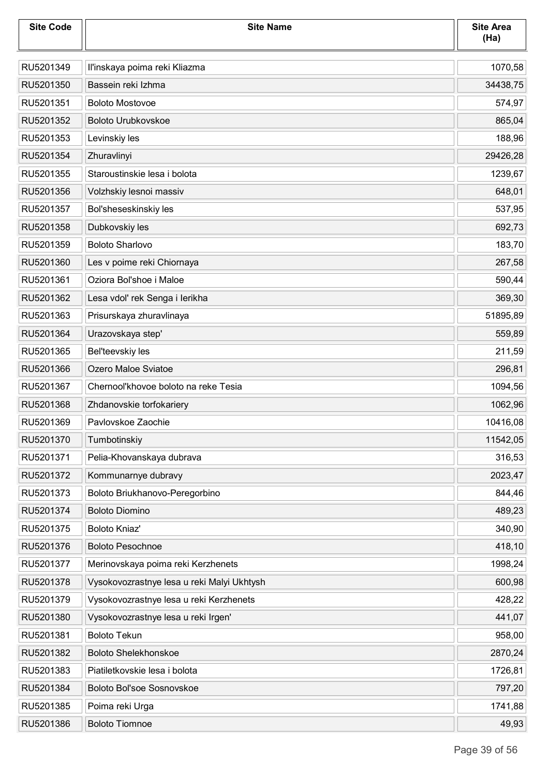| <b>Site Code</b> | <b>Site Name</b>                           | <b>Site Area</b><br>(Ha) |
|------------------|--------------------------------------------|--------------------------|
| RU5201349        | Il'inskaya poima reki Kliazma              | 1070,58                  |
| RU5201350        | Bassein reki Izhma                         | 34438,75                 |
| RU5201351        | <b>Boloto Mostovoe</b>                     | 574,97                   |
| RU5201352        | <b>Boloto Urubkovskoe</b>                  | 865,04                   |
| RU5201353        | Levinskiy les                              | 188,96                   |
| RU5201354        | Zhuravlinyi                                | 29426,28                 |
| RU5201355        | Staroustinskie lesa i bolota               | 1239,67                  |
| RU5201356        | Volzhskiy lesnoi massiv                    | 648,01                   |
| RU5201357        | Bol'sheseskinskiy les                      | 537,95                   |
| RU5201358        | Dubkovskiy les                             | 692,73                   |
| RU5201359        | <b>Boloto Sharlovo</b>                     | 183,70                   |
| RU5201360        | Les v poime reki Chiornaya                 | 267,58                   |
| RU5201361        | Oziora Bol'shoe i Maloe                    | 590,44                   |
| RU5201362        | Lesa vdol' rek Senga i lerikha             | 369,30                   |
| RU5201363        | Prisurskaya zhuravlinaya                   | 51895,89                 |
| RU5201364        | Urazovskaya step'                          | 559,89                   |
| RU5201365        | Bel'teevskiy les                           | 211,59                   |
| RU5201366        | Ozero Maloe Sviatoe                        | 296,81                   |
| RU5201367        | Chernool'khovoe boloto na reke Tesia       | 1094,56                  |
| RU5201368        | Zhdanovskie torfokariery                   | 1062,96                  |
| RU5201369        | Pavlovskoe Zaochie                         | 10416,08                 |
| RU5201370        | Tumbotinskiy                               | 11542,05                 |
| RU5201371        | Pelia-Khovanskaya dubrava                  | 316,53                   |
| RU5201372        | Kommunarnye dubravy                        | 2023,47                  |
| RU5201373        | Boloto Briukhanovo-Peregorbino             | 844,46                   |
| RU5201374        | <b>Boloto Diomino</b>                      | 489,23                   |
| RU5201375        | Boloto Kniaz'                              | 340,90                   |
| RU5201376        | <b>Boloto Pesochnoe</b>                    | 418,10                   |
| RU5201377        | Merinovskaya poima reki Kerzhenets         | 1998,24                  |
| RU5201378        | Vysokovozrastnye lesa u reki Malyi Ukhtysh | 600,98                   |
| RU5201379        | Vysokovozrastnye lesa u reki Kerzhenets    | 428,22                   |
| RU5201380        | Vysokovozrastnye lesa u reki Irgen'        | 441,07                   |
| RU5201381        | <b>Boloto Tekun</b>                        | 958,00                   |
| RU5201382        | <b>Boloto Shelekhonskoe</b>                | 2870,24                  |
| RU5201383        | Piatiletkovskie lesa i bolota              | 1726,81                  |
| RU5201384        | Boloto Bol'soe Sosnovskoe                  | 797,20                   |
| RU5201385        | Poima reki Urga                            | 1741,88                  |
| RU5201386        | <b>Boloto Tiomnoe</b>                      | 49,93                    |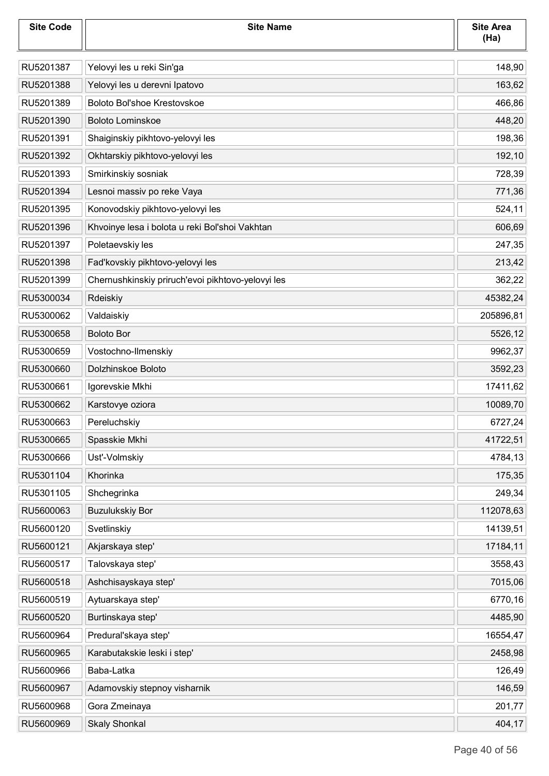| <b>Site Code</b> | <b>Site Name</b>                                  | <b>Site Area</b><br>(Ha) |
|------------------|---------------------------------------------------|--------------------------|
| RU5201387        | Yelovyi les u reki Sin'ga                         | 148,90                   |
| RU5201388        | Yelovyi les u derevni Ipatovo                     | 163,62                   |
| RU5201389        | Boloto Bol'shoe Krestovskoe                       | 466,86                   |
| RU5201390        | <b>Boloto Lominskoe</b>                           | 448,20                   |
| RU5201391        | Shaiginskiy pikhtovo-yelovyi les                  | 198,36                   |
| RU5201392        | Okhtarskiy pikhtovo-yelovyi les                   | 192,10                   |
| RU5201393        | Smirkinskiy sosniak                               | 728,39                   |
| RU5201394        | Lesnoi massiv po reke Vaya                        | 771,36                   |
| RU5201395        | Konovodskiy pikhtovo-yelovyi les                  | 524,11                   |
| RU5201396        | Khvoinye lesa i bolota u reki Bol'shoi Vakhtan    | 606,69                   |
| RU5201397        | Poletaevskiy les                                  | 247,35                   |
| RU5201398        | Fad'kovskiy pikhtovo-yelovyi les                  | 213,42                   |
| RU5201399        | Chernushkinskiy priruch'evoi pikhtovo-yelovyi les | 362,22                   |
| RU5300034        | Rdeiskiy                                          | 45382,24                 |
| RU5300062        | Valdaiskiy                                        | 205896,81                |
| RU5300658        | <b>Boloto Bor</b>                                 | 5526,12                  |
| RU5300659        | Vostochno-Ilmenskiy                               | 9962,37                  |
| RU5300660        | Dolzhinskoe Boloto                                | 3592,23                  |
| RU5300661        | Igorevskie Mkhi                                   | 17411,62                 |
| RU5300662        | Karstovye oziora                                  | 10089,70                 |
| RU5300663        | Pereluchskiy                                      | 6727,24                  |
| RU5300665        | Spasskie Mkhi                                     | 41722,51                 |
| RU5300666        | Ust'-Volmskiy                                     | 4784,13                  |
| RU5301104        | Khorinka                                          | 175,35                   |
| RU5301105        | Shchegrinka                                       | 249,34                   |
| RU5600063        | <b>Buzulukskiy Bor</b>                            | 112078,63                |
| RU5600120        | Svetlinskiy                                       | 14139,51                 |
| RU5600121        | Akjarskaya step'                                  | 17184,11                 |
| RU5600517        | Talovskaya step'                                  | 3558,43                  |
| RU5600518        | Ashchisayskaya step'                              | 7015,06                  |
| RU5600519        | Aytuarskaya step'                                 | 6770,16                  |
| RU5600520        | Burtinskaya step'                                 | 4485,90                  |
| RU5600964        | Predural'skaya step'                              | 16554,47                 |
| RU5600965        | Karabutakskie leski i step'                       | 2458,98                  |
| RU5600966        | Baba-Latka                                        | 126,49                   |
| RU5600967        | Adamovskiy stepnoy visharnik                      | 146,59                   |
| RU5600968        | Gora Zmeinaya                                     | 201,77                   |
| RU5600969        | <b>Skaly Shonkal</b>                              | 404,17                   |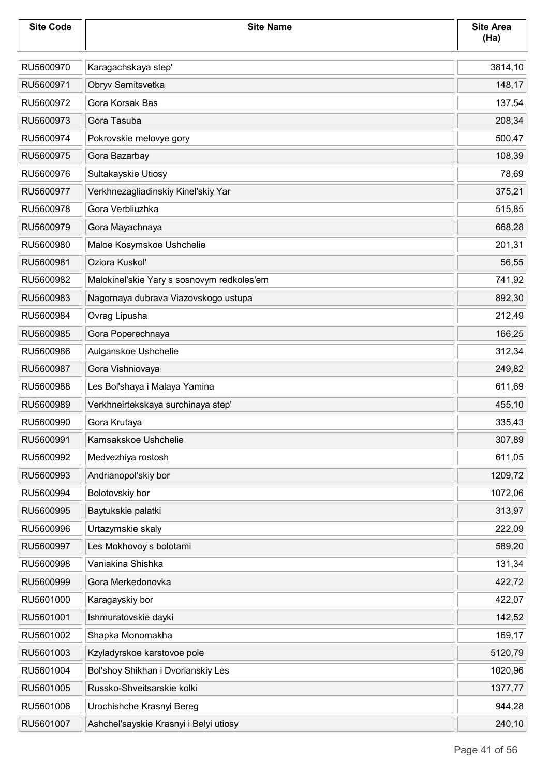| <b>Site Code</b> | <b>Site Name</b>                           | <b>Site Area</b><br>(Ha) |
|------------------|--------------------------------------------|--------------------------|
| RU5600970        | Karagachskaya step'                        | 3814,10                  |
| RU5600971        | Obryv Semitsvetka                          | 148,17                   |
| RU5600972        | Gora Korsak Bas                            | 137,54                   |
| RU5600973        | Gora Tasuba                                | 208,34                   |
| RU5600974        | Pokrovskie melovye gory                    | 500,47                   |
| RU5600975        | Gora Bazarbay                              | 108,39                   |
| RU5600976        | Sultakayskie Utiosy                        | 78,69                    |
| RU5600977        | Verkhnezagliadinskiy Kinel'skiy Yar        | 375,21                   |
| RU5600978        | Gora Verbliuzhka                           | 515,85                   |
| RU5600979        | Gora Mayachnaya                            | 668,28                   |
| RU5600980        | Maloe Kosymskoe Ushchelie                  | 201,31                   |
| RU5600981        | Oziora Kuskol'                             | 56,55                    |
| RU5600982        | Malokinel'skie Yary s sosnovym redkoles'em | 741,92                   |
| RU5600983        | Nagornaya dubrava Viazovskogo ustupa       | 892,30                   |
| RU5600984        | Ovrag Lipusha                              | 212,49                   |
| RU5600985        | Gora Poperechnaya                          | 166,25                   |
| RU5600986        | Aulganskoe Ushchelie                       | 312,34                   |
| RU5600987        | Gora Vishniovaya                           | 249,82                   |
| RU5600988        | Les Bol'shaya i Malaya Yamina              | 611,69                   |
| RU5600989        | Verkhneirtekskaya surchinaya step'         | 455,10                   |
| RU5600990        | Gora Krutaya                               | 335,43                   |
| RU5600991        | Kamsakskoe Ushchelie                       | 307,89                   |
| RU5600992        | Medvezhiya rostosh                         | 611,05                   |
| RU5600993        | Andrianopol'skiy bor                       | 1209,72                  |
| RU5600994        | Bolotovskiy bor                            | 1072,06                  |
| RU5600995        | Baytukskie palatki                         | 313,97                   |
| RU5600996        | Urtazymskie skaly                          | 222,09                   |
| RU5600997        | Les Mokhovoy s bolotami                    | 589,20                   |
| RU5600998        | Vaniakina Shishka                          | 131,34                   |
| RU5600999        | Gora Merkedonovka                          | 422,72                   |
| RU5601000        | Karagayskiy bor                            | 422,07                   |
| RU5601001        | Ishmuratovskie dayki                       | 142,52                   |
| RU5601002        | Shapka Monomakha                           | 169,17                   |
| RU5601003        | Kzyladyrskoe karstovoe pole                | 5120,79                  |
| RU5601004        | Bol'shoy Shikhan i Dvorianskiy Les         | 1020,96                  |
| RU5601005        | Russko-Shveitsarskie kolki                 | 1377,77                  |
| RU5601006        | Urochishche Krasnyi Bereg                  | 944,28                   |
| RU5601007        | Ashchel'sayskie Krasnyi i Belyi utiosy     | 240,10                   |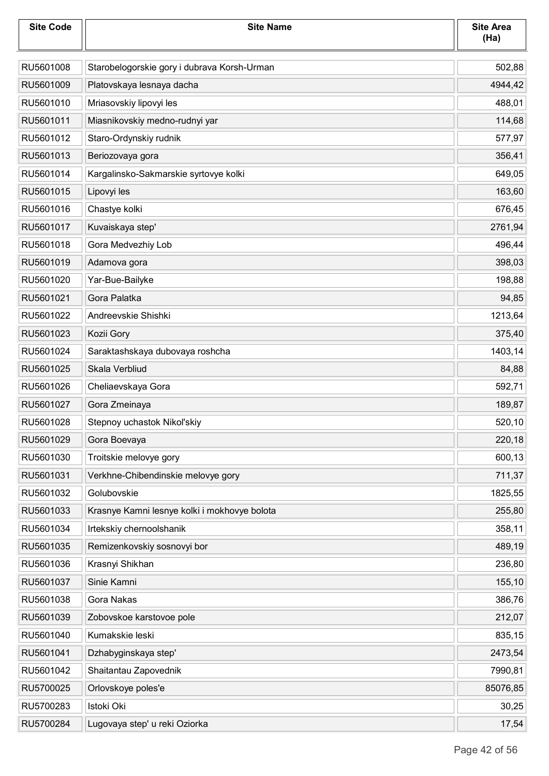| <b>Site Code</b> | <b>Site Name</b>                             | <b>Site Area</b><br>(Ha) |
|------------------|----------------------------------------------|--------------------------|
| RU5601008        | Starobelogorskie gory i dubrava Korsh-Urman  | 502,88                   |
| RU5601009        | Platovskaya lesnaya dacha                    | 4944,42                  |
| RU5601010        | Mriasovskiy lipovyi les                      | 488,01                   |
| RU5601011        | Miasnikovskiy medno-rudnyi yar               | 114,68                   |
| RU5601012        | Staro-Ordynskiy rudnik                       | 577,97                   |
| RU5601013        | Beriozovaya gora                             | 356,41                   |
| RU5601014        | Kargalinsko-Sakmarskie syrtovye kolki        | 649,05                   |
| RU5601015        | Lipovyi les                                  | 163,60                   |
| RU5601016        | Chastye kolki                                | 676,45                   |
| RU5601017        | Kuvaiskaya step'                             | 2761,94                  |
| RU5601018        | Gora Medvezhiy Lob                           | 496,44                   |
| RU5601019        | Adamova gora                                 | 398,03                   |
| RU5601020        | Yar-Bue-Bailyke                              | 198,88                   |
| RU5601021        | Gora Palatka                                 | 94,85                    |
| RU5601022        | Andreevskie Shishki                          | 1213,64                  |
| RU5601023        | Kozii Gory                                   | 375,40                   |
| RU5601024        | Saraktashskaya dubovaya roshcha              | 1403,14                  |
| RU5601025        | Skala Verbliud                               | 84,88                    |
| RU5601026        | Cheliaevskaya Gora                           | 592,71                   |
| RU5601027        | Gora Zmeinaya                                | 189,87                   |
| RU5601028        | Stepnoy uchastok Nikol'skiy                  | 520,10                   |
| RU5601029        | Gora Boevaya                                 | 220,18                   |
| RU5601030        | Troitskie melovye gory                       | 600,13                   |
| RU5601031        | Verkhne-Chibendinskie melovye gory           | 711,37                   |
| RU5601032        | Golubovskie                                  | 1825,55                  |
| RU5601033        | Krasnye Kamni lesnye kolki i mokhovye bolota | 255,80                   |
| RU5601034        | Irtekskiy chernoolshanik                     | 358,11                   |
| RU5601035        | Remizenkovskiy sosnovyi bor                  | 489,19                   |
| RU5601036        | Krasnyi Shikhan                              | 236,80                   |
| RU5601037        | Sinie Kamni                                  | 155,10                   |
| RU5601038        | Gora Nakas                                   | 386,76                   |
| RU5601039        | Zobovskoe karstovoe pole                     | 212,07                   |
| RU5601040        | Kumakskie leski                              | 835,15                   |
| RU5601041        | Dzhabyginskaya step'                         | 2473,54                  |
| RU5601042        | Shaitantau Zapovednik                        | 7990,81                  |
| RU5700025        | Orlovskoye poles'e                           | 85076,85                 |
| RU5700283        | Istoki Oki                                   | 30,25                    |
| RU5700284        | Lugovaya step' u reki Oziorka                | 17,54                    |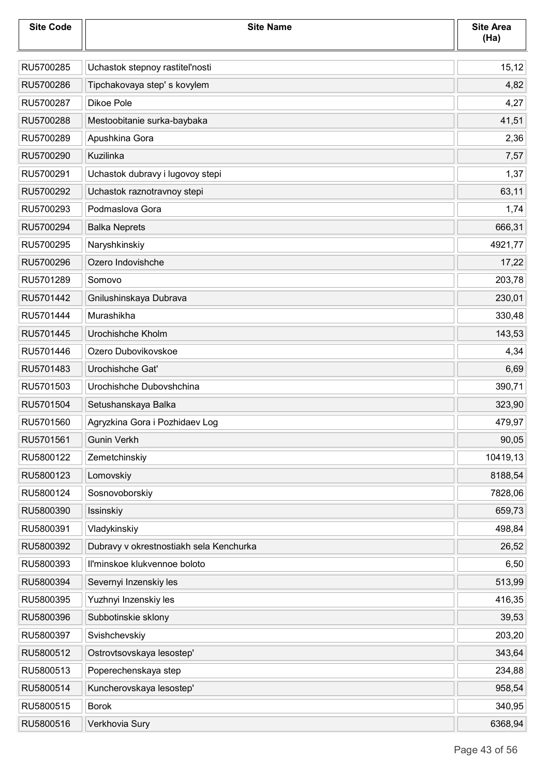| <b>Site Code</b> | <b>Site Name</b>                        | <b>Site Area</b><br>(Ha) |
|------------------|-----------------------------------------|--------------------------|
| RU5700285        | Uchastok stepnoy rastiteľnosti          | 15,12                    |
| RU5700286        | Tipchakovaya step' s kovylem            | 4,82                     |
| RU5700287        | Dikoe Pole                              | 4,27                     |
| RU5700288        | Mestoobitanie surka-baybaka             | 41,51                    |
| RU5700289        | Apushkina Gora                          | 2,36                     |
| RU5700290        | Kuzilinka                               | 7,57                     |
| RU5700291        | Uchastok dubravy i lugovoy stepi        | 1,37                     |
| RU5700292        | Uchastok raznotravnoy stepi             | 63,11                    |
| RU5700293        | Podmaslova Gora                         | 1,74                     |
| RU5700294        | <b>Balka Neprets</b>                    | 666,31                   |
| RU5700295        | Naryshkinskiy                           | 4921,77                  |
| RU5700296        | Ozero Indovishche                       | 17,22                    |
| RU5701289        | Somovo                                  | 203,78                   |
| RU5701442        | Gnilushinskaya Dubrava                  | 230,01                   |
| RU5701444        | Murashikha                              | 330,48                   |
| RU5701445        | Urochishche Kholm                       | 143,53                   |
| RU5701446        | Ozero Dubovikovskoe                     | 4,34                     |
| RU5701483        | Urochishche Gat'                        | 6,69                     |
| RU5701503        | Urochishche Dubovshchina                | 390,71                   |
| RU5701504        | Setushanskaya Balka                     | 323,90                   |
| RU5701560        | Agryzkina Gora i Pozhidaev Log          | 479,97                   |
| RU5701561        | <b>Gunin Verkh</b>                      | 90,05                    |
| RU5800122        | Zemetchinskiy                           | 10419,13                 |
| RU5800123        | Lomovskiy                               | 8188,54                  |
| RU5800124        | Sosnovoborskiy                          | 7828,06                  |
| RU5800390        | Issinskiy                               | 659,73                   |
| RU5800391        | Vladykinskiy                            | 498,84                   |
| RU5800392        | Dubravy v okrestnostiakh sela Kenchurka | 26,52                    |
| RU5800393        | Il'minskoe klukvennoe boloto            | 6,50                     |
| RU5800394        | Severnyi Inzenskiy les                  | 513,99                   |
| RU5800395        | Yuzhnyi Inzenskiy les                   | 416,35                   |
| RU5800396        | Subbotinskie sklony                     | 39,53                    |
| RU5800397        | Svishchevskiy                           | 203,20                   |
| RU5800512        | Ostrovtsovskaya lesostep'               | 343,64                   |
| RU5800513        | Poperechenskaya step                    | 234,88                   |
| RU5800514        | Kuncherovskaya lesostep'                | 958,54                   |
| RU5800515        | <b>Borok</b>                            | 340,95                   |
| RU5800516        | Verkhovia Sury                          | 6368,94                  |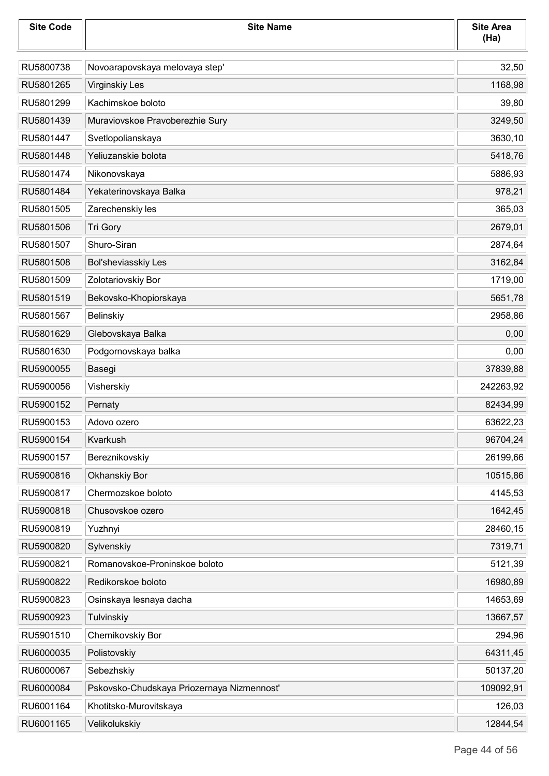| <b>Site Code</b> | <b>Site Name</b>                          | <b>Site Area</b><br>(Ha) |
|------------------|-------------------------------------------|--------------------------|
| RU5800738        | Novoarapovskaya melovaya step'            | 32,50                    |
| RU5801265        | <b>Virginskiy Les</b>                     | 1168,98                  |
| RU5801299        | Kachimskoe boloto                         | 39,80                    |
| RU5801439        | Muraviovskoe Pravoberezhie Sury           | 3249,50                  |
| RU5801447        | Svetlopolianskaya                         | 3630,10                  |
| RU5801448        | Yeliuzanskie bolota                       | 5418,76                  |
| RU5801474        | Nikonovskaya                              | 5886,93                  |
| RU5801484        | Yekaterinovskaya Balka                    | 978,21                   |
| RU5801505        | Zarechenskiy les                          | 365,03                   |
| RU5801506        | Tri Gory                                  | 2679,01                  |
| RU5801507        | Shuro-Siran                               | 2874,64                  |
| RU5801508        | Bol'sheviasskiy Les                       | 3162,84                  |
| RU5801509        | Zolotariovskiy Bor                        | 1719,00                  |
| RU5801519        | Bekovsko-Khopiorskaya                     | 5651,78                  |
| RU5801567        | Belinskiy                                 | 2958,86                  |
| RU5801629        | Glebovskaya Balka                         | 0,00                     |
| RU5801630        | Podgornovskaya balka                      | 0,00                     |
| RU5900055        | Basegi                                    | 37839,88                 |
| RU5900056        | Visherskiy                                | 242263,92                |
| RU5900152        | Pernaty                                   | 82434,99                 |
| RU5900153        | Adovo ozero                               | 63622,23                 |
| RU5900154        | Kvarkush                                  | 96704,24                 |
| RU5900157        | Bereznikovskiy                            | 26199,66                 |
| RU5900816        | Okhanskiy Bor                             | 10515,86                 |
| RU5900817        | Chermozskoe boloto                        | 4145,53                  |
| RU5900818        | Chusovskoe ozero                          | 1642,45                  |
| RU5900819        | Yuzhnyi                                   | 28460,15                 |
| RU5900820        | Sylvenskiy                                | 7319,71                  |
| RU5900821        | Romanovskoe-Proninskoe boloto             | 5121,39                  |
| RU5900822        | Redikorskoe boloto                        | 16980,89                 |
| RU5900823        | Osinskaya lesnaya dacha                   | 14653,69                 |
| RU5900923        | Tulvinskiy                                | 13667,57                 |
| RU5901510        | Chernikovskiy Bor                         | 294,96                   |
| RU6000035        | Polistovskiy                              | 64311,45                 |
| RU6000067        | Sebezhskiy                                | 50137,20                 |
| RU6000084        | Pskovsko-Chudskaya Priozernaya Nizmennosť | 109092,91                |
| RU6001164        | Khotitsko-Murovitskaya                    | 126,03                   |
| RU6001165        | Velikolukskiy                             | 12844,54                 |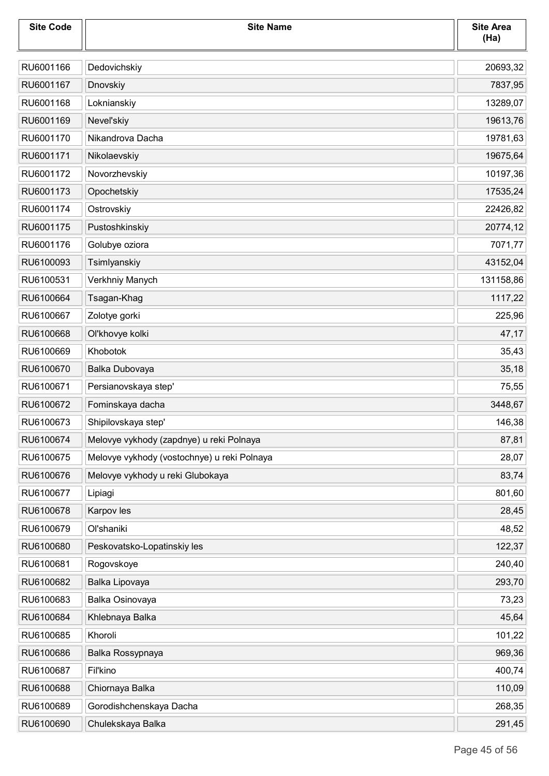| <b>Site Code</b> | <b>Site Name</b>                            | <b>Site Area</b><br>(Ha) |
|------------------|---------------------------------------------|--------------------------|
| RU6001166        | Dedovichskiy                                | 20693,32                 |
| RU6001167        | Dnovskiy                                    | 7837,95                  |
| RU6001168        | Loknianskiy                                 | 13289,07                 |
| RU6001169        | Nevel'skiy                                  | 19613,76                 |
| RU6001170        | Nikandrova Dacha                            | 19781,63                 |
| RU6001171        | Nikolaevskiy                                | 19675,64                 |
| RU6001172        | Novorzhevskiy                               | 10197,36                 |
| RU6001173        | Opochetskiy                                 | 17535,24                 |
| RU6001174        | Ostrovskiy                                  | 22426,82                 |
| RU6001175        | Pustoshkinskiy                              | 20774,12                 |
| RU6001176        | Golubye oziora                              | 7071,77                  |
| RU6100093        | Tsimlyanskiy                                | 43152,04                 |
| RU6100531        | Verkhniy Manych                             | 131158,86                |
| RU6100664        | Tsagan-Khag                                 | 1117,22                  |
| RU6100667        | Zolotye gorki                               | 225,96                   |
| RU6100668        | Ol'khovye kolki                             | 47,17                    |
| RU6100669        | Khobotok                                    | 35,43                    |
| RU6100670        | Balka Dubovaya                              | 35,18                    |
| RU6100671        | Persianovskaya step'                        | 75,55                    |
| RU6100672        | Fominskaya dacha                            | 3448,67                  |
| RU6100673        | Shipilovskaya step'                         | 146,38                   |
| RU6100674        | Melovye vykhody (zapdnye) u reki Polnaya    | 87,81                    |
| RU6100675        | Melovye vykhody (vostochnye) u reki Polnaya | 28,07                    |
| RU6100676        | Melovye vykhody u reki Glubokaya            | 83,74                    |
| RU6100677        | Lipiagi                                     | 801,60                   |
| RU6100678        | Karpov les                                  | 28,45                    |
| RU6100679        | Ol'shaniki                                  | 48,52                    |
| RU6100680        | Peskovatsko-Lopatinskiy les                 | 122,37                   |
| RU6100681        | Rogovskoye                                  | 240,40                   |
| RU6100682        | Balka Lipovaya                              | 293,70                   |
| RU6100683        | Balka Osinovaya                             | 73,23                    |
| RU6100684        | Khlebnaya Balka                             | 45,64                    |
| RU6100685        | Khoroli                                     | 101,22                   |
| RU6100686        | Balka Rossypnaya                            | 969,36                   |
| RU6100687        | Fil'kino                                    | 400,74                   |
| RU6100688        | Chiornaya Balka                             | 110,09                   |
| RU6100689        | Gorodishchenskaya Dacha                     | 268,35                   |
| RU6100690        | Chulekskaya Balka                           | 291,45                   |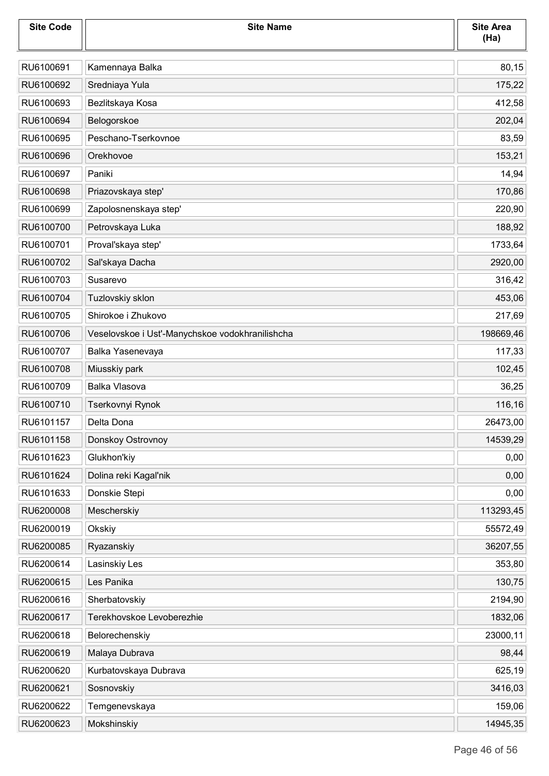| <b>Site Code</b> | <b>Site Name</b>                                | <b>Site Area</b><br>(Ha) |
|------------------|-------------------------------------------------|--------------------------|
| RU6100691        | Kamennaya Balka                                 | 80,15                    |
| RU6100692        | Sredniaya Yula                                  | 175,22                   |
| RU6100693        | Bezlitskaya Kosa                                | 412,58                   |
| RU6100694        | Belogorskoe                                     | 202,04                   |
| RU6100695        | Peschano-Tserkovnoe                             | 83,59                    |
| RU6100696        | Orekhovoe                                       | 153,21                   |
| RU6100697        | Paniki                                          | 14,94                    |
| RU6100698        | Priazovskaya step'                              | 170,86                   |
| RU6100699        | Zapolosnenskaya step'                           | 220,90                   |
| RU6100700        | Petrovskaya Luka                                | 188,92                   |
| RU6100701        | Proval'skaya step'                              | 1733,64                  |
| RU6100702        | Sal'skaya Dacha                                 | 2920,00                  |
| RU6100703        | Susarevo                                        | 316,42                   |
| RU6100704        | Tuzlovskiy sklon                                | 453,06                   |
| RU6100705        | Shirokoe i Zhukovo                              | 217,69                   |
| RU6100706        | Veselovskoe i Ust'-Manychskoe vodokhranilishcha | 198669,46                |
| RU6100707        | Balka Yasenevaya                                | 117,33                   |
| RU6100708        | Miusskiy park                                   | 102,45                   |
| RU6100709        | Balka Vlasova                                   | 36,25                    |
| RU6100710        | Tserkovnyi Rynok                                | 116,16                   |
| RU6101157        | Delta Dona                                      | 26473,00                 |
| RU6101158        | Donskoy Ostrovnoy                               | 14539,29                 |
| RU6101623        | Glukhon'kiy                                     | 0,00                     |
| RU6101624        | Dolina reki Kagal'nik                           | 0,00                     |
| RU6101633        | Donskie Stepi                                   | 0,00                     |
| RU6200008        | Mescherskiy                                     | 113293,45                |
| RU6200019        | Okskiy                                          | 55572,49                 |
| RU6200085        | Ryazanskiy                                      | 36207,55                 |
| RU6200614        | Lasinskiy Les                                   | 353,80                   |
| RU6200615        | Les Panika                                      | 130,75                   |
| RU6200616        | Sherbatovskiy                                   | 2194,90                  |
| RU6200617        | Terekhovskoe Levoberezhie                       | 1832,06                  |
| RU6200618        | Belorechenskiy                                  | 23000,11                 |
| RU6200619        | Malaya Dubrava                                  | 98,44                    |
| RU6200620        | Kurbatovskaya Dubrava                           | 625,19                   |
| RU6200621        | Sosnovskiy                                      | 3416,03                  |
| RU6200622        | Temgenevskaya                                   | 159,06                   |
| RU6200623        | Mokshinskiy                                     | 14945,35                 |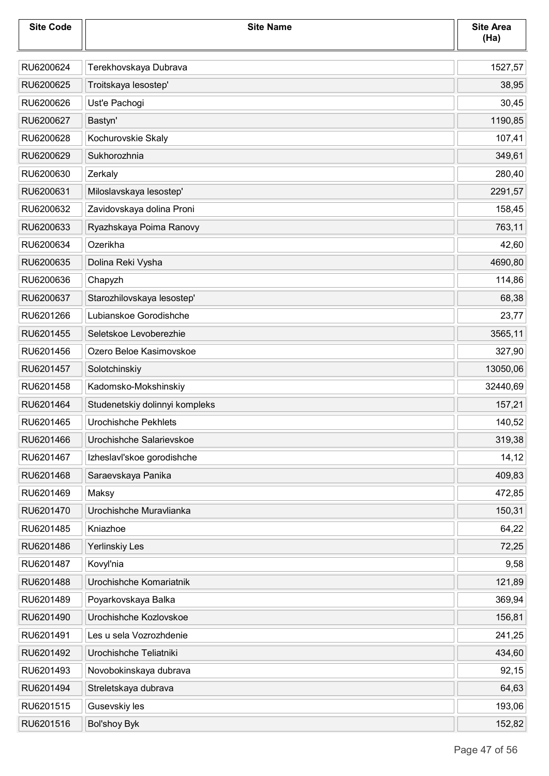| <b>Site Code</b> | <b>Site Name</b>               | <b>Site Area</b><br>(Ha) |
|------------------|--------------------------------|--------------------------|
| RU6200624        | Terekhovskaya Dubrava          | 1527,57                  |
| RU6200625        | Troitskaya lesostep'           | 38,95                    |
| RU6200626        | Ust'e Pachogi                  | 30,45                    |
| RU6200627        | Bastyn'                        | 1190,85                  |
| RU6200628        | Kochurovskie Skaly             | 107,41                   |
| RU6200629        | Sukhorozhnia                   | 349,61                   |
| RU6200630        | Zerkaly                        | 280,40                   |
| RU6200631        | Miloslavskaya lesostep'        | 2291,57                  |
| RU6200632        | Zavidovskaya dolina Proni      | 158,45                   |
| RU6200633        | Ryazhskaya Poima Ranovy        | 763,11                   |
| RU6200634        | Ozerikha                       | 42,60                    |
| RU6200635        | Dolina Reki Vysha              | 4690,80                  |
| RU6200636        | Chapyzh                        | 114,86                   |
| RU6200637        | Starozhilovskaya lesostep'     | 68,38                    |
| RU6201266        | Lubianskoe Gorodishche         | 23,77                    |
| RU6201455        | Seletskoe Levoberezhie         | 3565,11                  |
| RU6201456        | Ozero Beloe Kasimovskoe        | 327,90                   |
| RU6201457        | Solotchinskiy                  | 13050,06                 |
| RU6201458        | Kadomsko-Mokshinskiy           | 32440,69                 |
| RU6201464        | Studenetskiy dolinnyi kompleks | 157,21                   |
| RU6201465        | Urochishche Pekhlets           | 140,52                   |
| RU6201466        | Urochishche Salarievskoe       | 319,38                   |
| RU6201467        | Izheslavl'skoe gorodishche     | 14,12                    |
| RU6201468        | Saraevskaya Panika             | 409,83                   |
| RU6201469        | Maksy                          | 472,85                   |
| RU6201470        | Urochishche Muravlianka        | 150,31                   |
| RU6201485        | Kniazhoe                       | 64,22                    |
| RU6201486        | Yerlinskiy Les                 | 72,25                    |
| RU6201487        | Kovyl'nia                      | 9,58                     |
| RU6201488        | Urochishche Komariatnik        | 121,89                   |
| RU6201489        | Poyarkovskaya Balka            | 369,94                   |
| RU6201490        | Urochishche Kozlovskoe         | 156,81                   |
| RU6201491        | Les u sela Vozrozhdenie        | 241,25                   |
| RU6201492        | Urochishche Teliatniki         | 434,60                   |
| RU6201493        | Novobokinskaya dubrava         | 92,15                    |
| RU6201494        | Streletskaya dubrava           | 64,63                    |
| RU6201515        | Gusevskiy les                  | 193,06                   |
| RU6201516        | <b>Bol'shoy Byk</b>            | 152,82                   |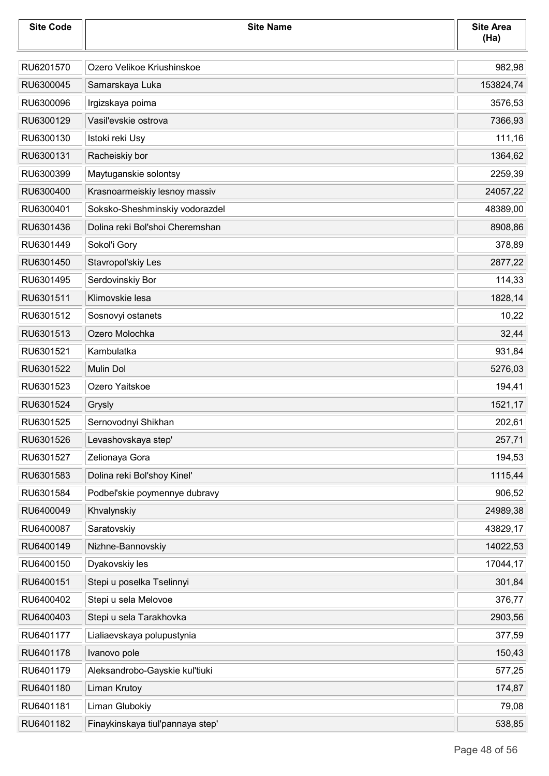| <b>Site Code</b> | <b>Site Name</b>                 | <b>Site Area</b><br>(Ha) |
|------------------|----------------------------------|--------------------------|
| RU6201570        | Ozero Velikoe Kriushinskoe       | 982,98                   |
| RU6300045        | Samarskaya Luka                  | 153824,74                |
| RU6300096        | Irgizskaya poima                 | 3576,53                  |
| RU6300129        | Vasil'evskie ostrova             | 7366,93                  |
| RU6300130        | Istoki reki Usy                  | 111,16                   |
| RU6300131        | Racheiskiy bor                   | 1364,62                  |
| RU6300399        | Maytuganskie solontsy            | 2259,39                  |
| RU6300400        | Krasnoarmeiskiy lesnoy massiv    | 24057,22                 |
| RU6300401        | Soksko-Sheshminskiy vodorazdel   | 48389,00                 |
| RU6301436        | Dolina reki Bol'shoi Cheremshan  | 8908,86                  |
| RU6301449        | Sokol'i Gory                     | 378,89                   |
| RU6301450        | Stavropol'skiy Les               | 2877,22                  |
| RU6301495        | Serdovinskiy Bor                 | 114,33                   |
| RU6301511        | Klimovskie lesa                  | 1828,14                  |
| RU6301512        | Sosnovyi ostanets                | 10,22                    |
| RU6301513        | Ozero Molochka                   | 32,44                    |
| RU6301521        | Kambulatka                       | 931,84                   |
| RU6301522        | Mulin Dol                        | 5276,03                  |
| RU6301523        | Ozero Yaitskoe                   | 194,41                   |
| RU6301524        | Grysly                           | 1521,17                  |
| RU6301525        | Sernovodnyi Shikhan              | 202,61                   |
| RU6301526        | Levashovskaya step'              | 257,71                   |
| RU6301527        | Zelionaya Gora                   | 194,53                   |
| RU6301583        | Dolina reki Bol'shoy Kinel'      | 1115,44                  |
| RU6301584        | Podbel'skie poymennye dubravy    | 906,52                   |
| RU6400049        | Khvalynskiy                      | 24989,38                 |
| RU6400087        | Saratovskiy                      | 43829,17                 |
| RU6400149        | Nizhne-Bannovskiy                | 14022,53                 |
| RU6400150        | Dyakovskiy les                   | 17044,17                 |
| RU6400151        | Stepi u poselka Tselinnyi        | 301,84                   |
| RU6400402        | Stepi u sela Melovoe             | 376,77                   |
| RU6400403        | Stepi u sela Tarakhovka          | 2903,56                  |
| RU6401177        | Lialiaevskaya polupustynia       | 377,59                   |
| RU6401178        | Ivanovo pole                     | 150,43                   |
| RU6401179        | Aleksandrobo-Gayskie kul'tiuki   | 577,25                   |
| RU6401180        | Liman Krutoy                     | 174,87                   |
| RU6401181        | Liman Glubokiy                   | 79,08                    |
| RU6401182        | Finaykinskaya tiul'pannaya step' | 538,85                   |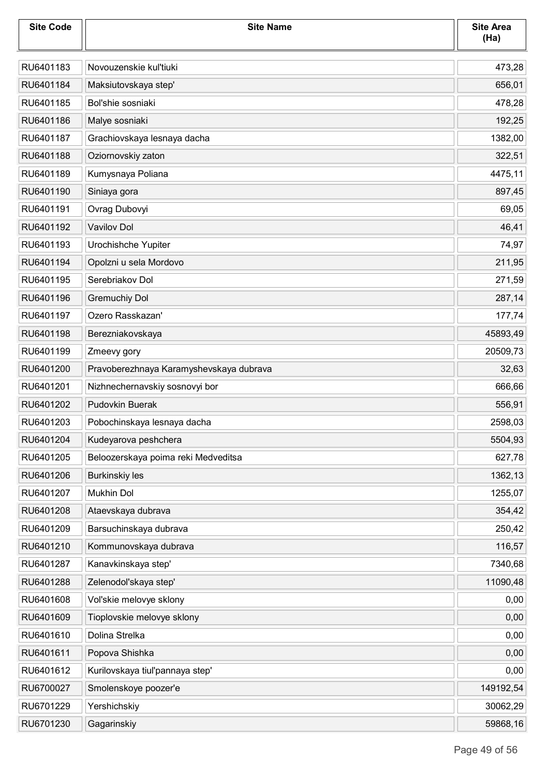| <b>Site Code</b> | <b>Site Name</b>                        | <b>Site Area</b><br>(Ha) |
|------------------|-----------------------------------------|--------------------------|
| RU6401183        | Novouzenskie kul'tiuki                  | 473,28                   |
| RU6401184        | Maksiutovskaya step'                    | 656,01                   |
| RU6401185        | Bol'shie sosniaki                       | 478,28                   |
| RU6401186        | Malye sosniaki                          | 192,25                   |
| RU6401187        | Grachiovskaya lesnaya dacha             | 1382,00                  |
| RU6401188        | Oziornovskiy zaton                      | 322,51                   |
| RU6401189        | Kumysnaya Poliana                       | 4475,11                  |
| RU6401190        | Siniaya gora                            | 897,45                   |
| RU6401191        | Ovrag Dubovyi                           | 69,05                    |
| RU6401192        | Vavilov Dol                             | 46,41                    |
| RU6401193        | Urochishche Yupiter                     | 74,97                    |
| RU6401194        | Opolzni u sela Mordovo                  | 211,95                   |
| RU6401195        | Serebriakov Dol                         | 271,59                   |
| RU6401196        | <b>Gremuchiy Dol</b>                    | 287,14                   |
| RU6401197        | Ozero Rasskazan'                        | 177,74                   |
| RU6401198        | Berezniakovskaya                        | 45893,49                 |
| RU6401199        | Zmeevy gory                             | 20509,73                 |
| RU6401200        | Pravoberezhnaya Karamyshevskaya dubrava | 32,63                    |
| RU6401201        | Nizhnechernavskiy sosnovyi bor          | 666,66                   |
| RU6401202        | Pudovkin Buerak                         | 556,91                   |
| RU6401203        | Pobochinskaya lesnaya dacha             | 2598,03                  |
| RU6401204        | Kudeyarova peshchera                    | 5504,93                  |
| RU6401205        | Beloozerskaya poima reki Medveditsa     | 627,78                   |
| RU6401206        | <b>Burkinskiy les</b>                   | 1362,13                  |
| RU6401207        | Mukhin Dol                              | 1255,07                  |
| RU6401208        | Ataevskaya dubrava                      | 354,42                   |
| RU6401209        | Barsuchinskaya dubrava                  | 250,42                   |
| RU6401210        | Kommunovskaya dubrava                   | 116,57                   |
| RU6401287        | Kanavkinskaya step'                     | 7340,68                  |
| RU6401288        | Zelenodol'skaya step'                   | 11090,48                 |
| RU6401608        | Vol'skie melovye sklony                 | 0,00                     |
| RU6401609        | Tioplovskie melovye sklony              | 0,00                     |
| RU6401610        | Dolina Strelka                          | 0,00                     |
| RU6401611        | Popova Shishka                          | 0,00                     |
| RU6401612        | Kurilovskaya tiul'pannaya step'         | 0,00                     |
| RU6700027        | Smolenskoye poozer'e                    | 149192,54                |
| RU6701229        | Yershichskiy                            | 30062,29                 |
| RU6701230        | Gagarinskiy                             | 59868,16                 |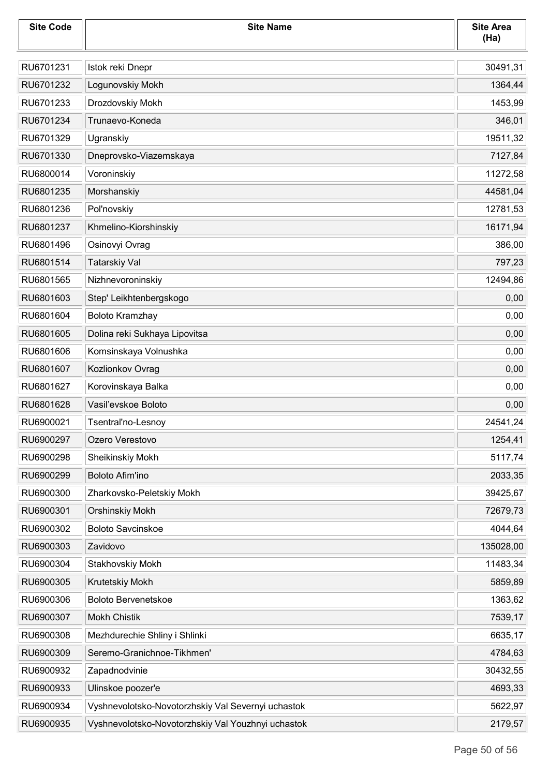| <b>Site Code</b> | <b>Site Name</b>                                   | <b>Site Area</b><br>(Ha) |
|------------------|----------------------------------------------------|--------------------------|
| RU6701231        | Istok reki Dnepr                                   | 30491,31                 |
| RU6701232        | Logunovskiy Mokh                                   | 1364,44                  |
| RU6701233        | Drozdovskiy Mokh                                   | 1453,99                  |
| RU6701234        | Trunaevo-Koneda                                    | 346,01                   |
| RU6701329        | Ugranskiy                                          | 19511,32                 |
| RU6701330        | Dneprovsko-Viazemskaya                             | 7127,84                  |
| RU6800014        | Voroninskiy                                        | 11272,58                 |
| RU6801235        | Morshanskiy                                        | 44581,04                 |
| RU6801236        | Poľnovskiy                                         | 12781,53                 |
| RU6801237        | Khmelino-Kiorshinskiy                              | 16171,94                 |
| RU6801496        | Osinovyi Ovrag                                     | 386,00                   |
| RU6801514        | <b>Tatarskiy Val</b>                               | 797,23                   |
| RU6801565        | Nizhnevoroninskiy                                  | 12494,86                 |
| RU6801603        | Step' Leikhtenbergskogo                            | 0,00                     |
| RU6801604        | <b>Boloto Kramzhay</b>                             | 0,00                     |
| RU6801605        | Dolina reki Sukhaya Lipovitsa                      | 0,00                     |
| RU6801606        | Komsinskaya Volnushka                              | 0,00                     |
| RU6801607        | Kozlionkov Ovrag                                   | 0,00                     |
| RU6801627        | Korovinskaya Balka                                 | 0,00                     |
| RU6801628        | Vasil'evskoe Boloto                                | 0,00                     |
| RU6900021        | Tsentral'no-Lesnoy                                 | 24541,24                 |
| RU6900297        | Ozero Verestovo                                    | 1254,41                  |
| RU6900298        | Sheikinskiy Mokh                                   | 5117,74                  |
| RU6900299        | Boloto Afim'ino                                    | 2033,35                  |
| RU6900300        | Zharkovsko-Peletskiy Mokh                          | 39425,67                 |
| RU6900301        | Orshinskiy Mokh                                    | 72679,73                 |
| RU6900302        | <b>Boloto Savcinskoe</b>                           | 4044,64                  |
| RU6900303        | Zavidovo                                           | 135028,00                |
| RU6900304        | Stakhovskiy Mokh                                   | 11483,34                 |
| RU6900305        | Krutetskiy Mokh                                    | 5859,89                  |
| RU6900306        | <b>Boloto Bervenetskoe</b>                         | 1363,62                  |
| RU6900307        | <b>Mokh Chistik</b>                                | 7539,17                  |
| RU6900308        | Mezhdurechie Shliny i Shlinki                      | 6635,17                  |
| RU6900309        | Seremo-Granichnoe-Tikhmen'                         | 4784,63                  |
| RU6900932        | Zapadnodvinie                                      | 30432,55                 |
| RU6900933        | Ulinskoe poozer'e                                  | 4693,33                  |
| RU6900934        | Vyshnevolotsko-Novotorzhskiy Val Severnyi uchastok | 5622,97                  |
| RU6900935        | Vyshnevolotsko-Novotorzhskiy Val Youzhnyi uchastok | 2179,57                  |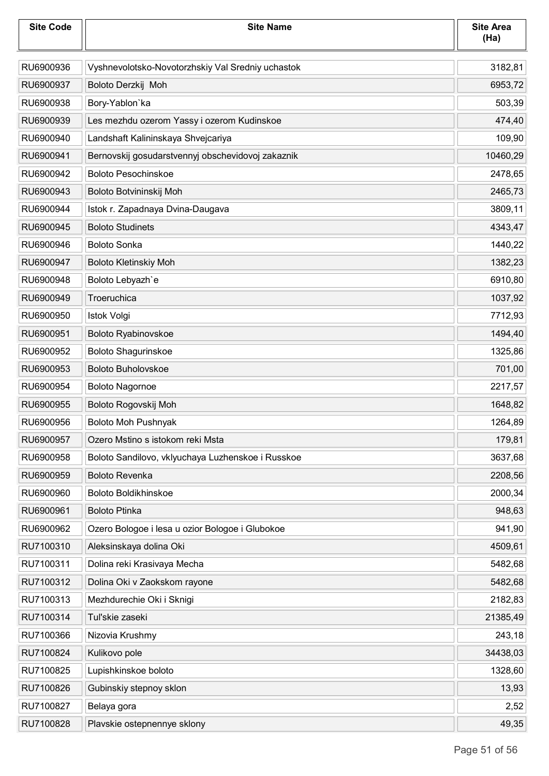| <b>Site Code</b> | <b>Site Name</b>                                  | <b>Site Area</b><br>(Ha) |
|------------------|---------------------------------------------------|--------------------------|
| RU6900936        | Vyshnevolotsko-Novotorzhskiy Val Sredniy uchastok | 3182,81                  |
| RU6900937        | Boloto Derzkij Moh                                | 6953,72                  |
| RU6900938        | Bory-Yablon'ka                                    | 503,39                   |
| RU6900939        | Les mezhdu ozerom Yassy i ozerom Kudinskoe        | 474,40                   |
| RU6900940        | Landshaft Kalininskaya Shvejcariya                | 109,90                   |
| RU6900941        | Bernovskij gosudarstvennyj obschevidovoj zakaznik | 10460,29                 |
| RU6900942        | <b>Boloto Pesochinskoe</b>                        | 2478,65                  |
| RU6900943        | Boloto Botvininskij Moh                           | 2465,73                  |
| RU6900944        | Istok r. Zapadnaya Dvina-Daugava                  | 3809,11                  |
| RU6900945        | <b>Boloto Studinets</b>                           | 4343,47                  |
| RU6900946        | <b>Boloto Sonka</b>                               | 1440,22                  |
| RU6900947        | <b>Boloto Kletinskiy Moh</b>                      | 1382,23                  |
| RU6900948        | Boloto Lebyazh'e                                  | 6910,80                  |
| RU6900949        | Troeruchica                                       | 1037,92                  |
| RU6900950        | Istok Volgi                                       | 7712,93                  |
| RU6900951        | Boloto Ryabinovskoe                               | 1494,40                  |
| RU6900952        | <b>Boloto Shagurinskoe</b>                        | 1325,86                  |
| RU6900953        | <b>Boloto Buholovskoe</b>                         | 701,00                   |
| RU6900954        | <b>Boloto Nagornoe</b>                            | 2217,57                  |
| RU6900955        | Boloto Rogovskij Moh                              | 1648,82                  |
| RU6900956        | <b>Boloto Moh Pushnyak</b>                        | 1264,89                  |
| RU6900957        | Ozero Mstino s istokom reki Msta                  | 179,81                   |
| RU6900958        | Boloto Sandilovo, vklyuchaya Luzhenskoe i Russkoe | 3637,68                  |
| RU6900959        | <b>Boloto Revenka</b>                             | 2208,56                  |
| RU6900960        | <b>Boloto Boldikhinskoe</b>                       | 2000,34                  |
| RU6900961        | <b>Boloto Ptinka</b>                              | 948,63                   |
| RU6900962        | Ozero Bologoe i lesa u ozior Bologoe i Glubokoe   | 941,90                   |
| RU7100310        | Aleksinskaya dolina Oki                           | 4509,61                  |
| RU7100311        | Dolina reki Krasivaya Mecha                       | 5482,68                  |
| RU7100312        | Dolina Oki v Zaokskom rayone                      | 5482,68                  |
| RU7100313        | Mezhdurechie Oki i Sknigi                         | 2182,83                  |
| RU7100314        | Tul'skie zaseki                                   | 21385,49                 |
| RU7100366        | Nizovia Krushmy                                   | 243,18                   |
| RU7100824        | Kulikovo pole                                     | 34438,03                 |
| RU7100825        | Lupishkinskoe boloto                              | 1328,60                  |
| RU7100826        | Gubinskiy stepnoy sklon                           | 13,93                    |
| RU7100827        | Belaya gora                                       | 2,52                     |
| RU7100828        | Plavskie ostepnennye sklony                       | 49,35                    |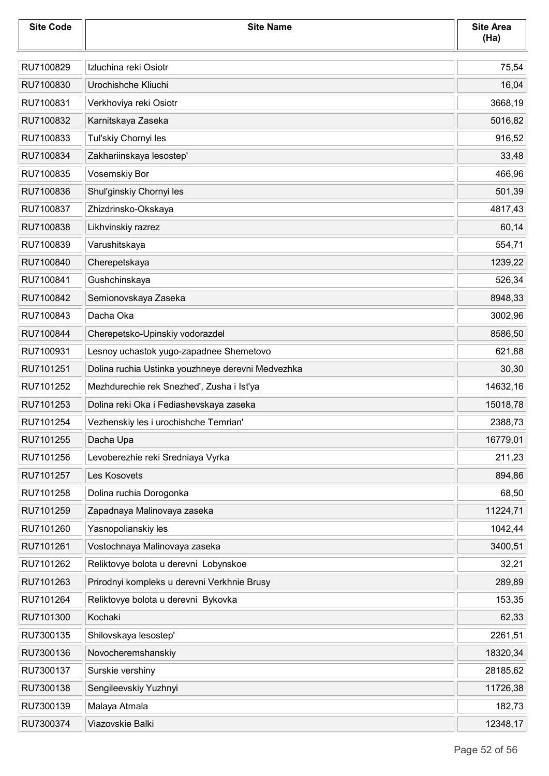| <b>Site Code</b> | <b>Site Name</b>                                  | <b>Site Area</b><br>(Ha) |
|------------------|---------------------------------------------------|--------------------------|
| RU7100829        | Izluchina reki Osiotr                             | 75,54                    |
| RU7100830        | Urochishche Kliuchi                               | 16,04                    |
| RU7100831        | Verkhoviya reki Osiotr                            | 3668,19                  |
| RU7100832        | Karnitskaya Zaseka                                | 5016,82                  |
| RU7100833        | Tul'skiy Chornyi les                              | 916,52                   |
| RU7100834        | Zakhariinskaya lesostep'                          | 33,48                    |
| RU7100835        | Vosemskiy Bor                                     | 466,96                   |
| RU7100836        | Shul'ginskiy Chornyi les                          | 501,39                   |
| RU7100837        | Zhizdrinsko-Okskaya                               | 4817,43                  |
| RU7100838        | Likhvinskiy razrez                                | 60,14                    |
| RU7100839        | Varushitskaya                                     | 554,71                   |
| RU7100840        | Cherepetskaya                                     | 1239,22                  |
| RU7100841        | Gushchinskaya                                     | 526,34                   |
| RU7100842        | Semionovskaya Zaseka                              | 8948,33                  |
| RU7100843        | Dacha Oka                                         | 3002,96                  |
| RU7100844        | Cherepetsko-Upinskiy vodorazdel                   | 8586,50                  |
| RU7100931        | Lesnoy uchastok yugo-zapadnee Shemetovo           | 621,88                   |
| RU7101251        | Dolina ruchia Ustinka youzhneye derevni Medvezhka | 30,30                    |
| RU7101252        | Mezhdurechie rek Snezhed', Zusha i Ist'ya         | 14632,16                 |
| RU7101253        | Dolina reki Oka i Fediashevskaya zaseka           | 15018,78                 |
| RU7101254        | Vezhenskiy les i urochishche Temrian'             | 2388,73                  |
| RU7101255        | Dacha Upa                                         | 16779,01                 |
| RU7101256        | Levoberezhie reki Sredniaya Vyrka                 | 211,23                   |
| RU7101257        | Les Kosovets                                      | 894,86                   |
| RU7101258        | Dolina ruchia Dorogonka                           | 68,50                    |
| RU7101259        | Zapadnaya Malinovaya zaseka                       | 11224,71                 |
| RU7101260        | Yasnopolianskiy les                               | 1042,44                  |
| RU7101261        | Vostochnaya Malinovaya zaseka                     | 3400,51                  |
| RU7101262        | Reliktovye bolota u derevni Lobynskoe             | 32,21                    |
| RU7101263        | Prirodnyi kompleks u derevni Verkhnie Brusy       | 289,89                   |
| RU7101264        | Reliktovye bolota u derevni Bykovka               | 153,35                   |
| RU7101300        | Kochaki                                           | 62,33                    |
| RU7300135        | Shilovskaya lesostep'                             | 2261,51                  |
| RU7300136        | Novocheremshanskiy                                | 18320,34                 |
| RU7300137        | Surskie vershiny                                  | 28185,62                 |
| RU7300138        | Sengileevskiy Yuzhnyi                             | 11726,38                 |
| RU7300139        | Malaya Atmala                                     | 182,73                   |
| RU7300374        | Viazovskie Balki                                  | 12348,17                 |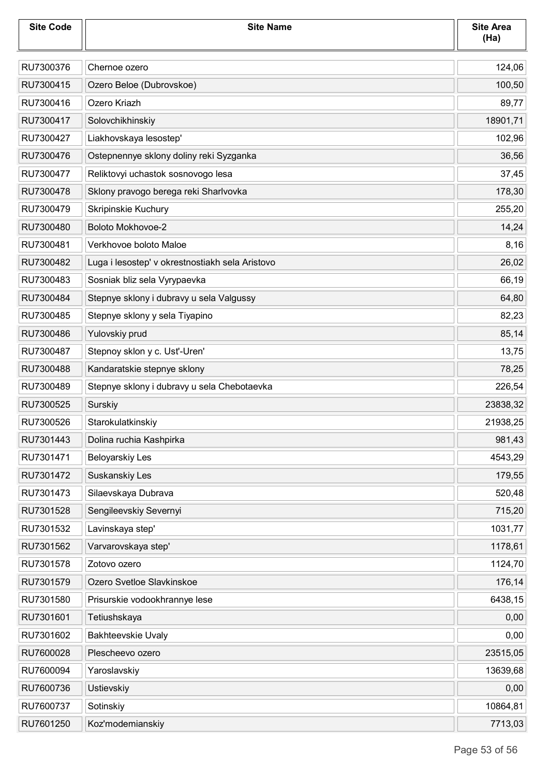| <b>Site Code</b> | <b>Site Name</b>                                | <b>Site Area</b><br>(Ha) |
|------------------|-------------------------------------------------|--------------------------|
| RU7300376        | Chernoe ozero                                   | 124,06                   |
| RU7300415        | Ozero Beloe (Dubrovskoe)                        | 100,50                   |
| RU7300416        | Ozero Kriazh                                    | 89,77                    |
| RU7300417        | Solovchikhinskiy                                | 18901,71                 |
| RU7300427        | Liakhovskaya lesostep'                          | 102,96                   |
| RU7300476        | Ostepnennye sklony doliny reki Syzganka         | 36,56                    |
| RU7300477        | Reliktovyi uchastok sosnovogo lesa              | 37,45                    |
| RU7300478        | Sklony pravogo berega reki Sharlvovka           | 178,30                   |
| RU7300479        | <b>Skripinskie Kuchury</b>                      | 255,20                   |
| RU7300480        | <b>Boloto Mokhovoe-2</b>                        | 14,24                    |
| RU7300481        | Verkhovoe boloto Maloe                          | 8,16                     |
| RU7300482        | Luga i lesostep' v okrestnostiakh sela Aristovo | 26,02                    |
| RU7300483        | Sosniak bliz sela Vyrypaevka                    | 66,19                    |
| RU7300484        | Stepnye sklony i dubravy u sela Valgussy        | 64,80                    |
| RU7300485        | Stepnye sklony y sela Tiyapino                  | 82,23                    |
| RU7300486        | Yulovskiy prud                                  | 85,14                    |
| RU7300487        | Stepnoy sklon y c. Ust'-Uren'                   | 13,75                    |
| RU7300488        | Kandaratskie stepnye sklony                     | 78,25                    |
| RU7300489        | Stepnye sklony i dubravy u sela Chebotaevka     | 226,54                   |
| RU7300525        | Surskiy                                         | 23838,32                 |
| RU7300526        | Starokulatkinskiy                               | 21938,25                 |
| RU7301443        | Dolina ruchia Kashpirka                         | 981,43                   |
| RU7301471        | Beloyarskiy Les                                 | 4543,29                  |
| RU7301472        | Suskanskiy Les                                  | 179,55                   |
| RU7301473        | Silaevskaya Dubrava                             | 520,48                   |
| RU7301528        | Sengileevskiy Severnyi                          | 715,20                   |
| RU7301532        | Lavinskaya step'                                | 1031,77                  |
| RU7301562        | Varvarovskaya step'                             | 1178,61                  |
| RU7301578        | Zotovo ozero                                    | 1124,70                  |
| RU7301579        | Ozero Svetloe Slavkinskoe                       | 176,14                   |
| RU7301580        | Prisurskie vodookhrannye lese                   | 6438,15                  |
| RU7301601        | Tetiushskaya                                    | 0,00                     |
| RU7301602        | <b>Bakhteevskie Uvaly</b>                       | 0,00                     |
| RU7600028        | Plescheevo ozero                                | 23515,05                 |
| RU7600094        | Yaroslavskiy                                    | 13639,68                 |
| RU7600736        | Ustievskiy                                      | 0,00                     |
| RU7600737        | Sotinskiy                                       | 10864,81                 |
| RU7601250        | Koz'modemianskiy                                | 7713,03                  |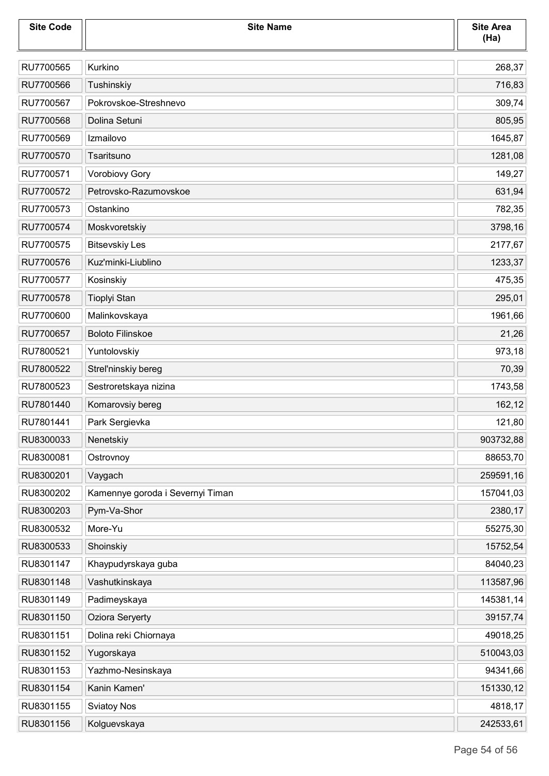| <b>Site Code</b> | <b>Site Name</b>                 | <b>Site Area</b><br>(Ha) |
|------------------|----------------------------------|--------------------------|
| RU7700565        | Kurkino                          | 268,37                   |
| RU7700566        | Tushinskiy                       | 716,83                   |
| RU7700567        | Pokrovskoe-Streshnevo            | 309,74                   |
| RU7700568        | Dolina Setuni                    | 805,95                   |
| RU7700569        | Izmailovo                        | 1645,87                  |
| RU7700570        | Tsaritsuno                       | 1281,08                  |
| RU7700571        | Vorobiovy Gory                   | 149,27                   |
| RU7700572        | Petrovsko-Razumovskoe            | 631,94                   |
| RU7700573        | Ostankino                        | 782,35                   |
| RU7700574        | Moskvoretskiy                    | 3798,16                  |
| RU7700575        | <b>Bitsevskiy Les</b>            | 2177,67                  |
| RU7700576        | Kuz'minki-Liublino               | 1233,37                  |
| RU7700577        | Kosinskiy                        | 475,35                   |
| RU7700578        | <b>Tioplyi Stan</b>              | 295,01                   |
| RU7700600        | Malinkovskaya                    | 1961,66                  |
| RU7700657        | <b>Boloto Filinskoe</b>          | 21,26                    |
| RU7800521        | Yuntolovskiy                     | 973,18                   |
| RU7800522        | Strel'ninskiy bereg              | 70,39                    |
| RU7800523        | Sestroretskaya nizina            | 1743,58                  |
| RU7801440        | Komarovsiy bereg                 | 162,12                   |
| RU7801441        | Park Sergievka                   | 121,80                   |
| RU8300033        | Nenetskiy                        | 903732,88                |
| RU8300081        | Ostrovnoy                        | 88653,70                 |
| RU8300201        | Vaygach                          | 259591,16                |
| RU8300202        | Kamennye goroda i Severnyi Timan | 157041,03                |
| RU8300203        | Pym-Va-Shor                      | 2380,17                  |
| RU8300532        | More-Yu                          | 55275,30                 |
| RU8300533        | Shoinskiy                        | 15752,54                 |
| RU8301147        | Khaypudyrskaya guba              | 84040,23                 |
| RU8301148        | Vashutkinskaya                   | 113587,96                |
| RU8301149        | Padimeyskaya                     | 145381,14                |
| RU8301150        | <b>Oziora Seryerty</b>           | 39157,74                 |
| RU8301151        | Dolina reki Chiornaya            | 49018,25                 |
| RU8301152        | Yugorskaya                       | 510043,03                |
| RU8301153        | Yazhmo-Nesinskaya                | 94341,66                 |
| RU8301154        | Kanin Kamen'                     | 151330,12                |
| RU8301155        | <b>Sviatoy Nos</b>               | 4818,17                  |
| RU8301156        | Kolguevskaya                     | 242533,61                |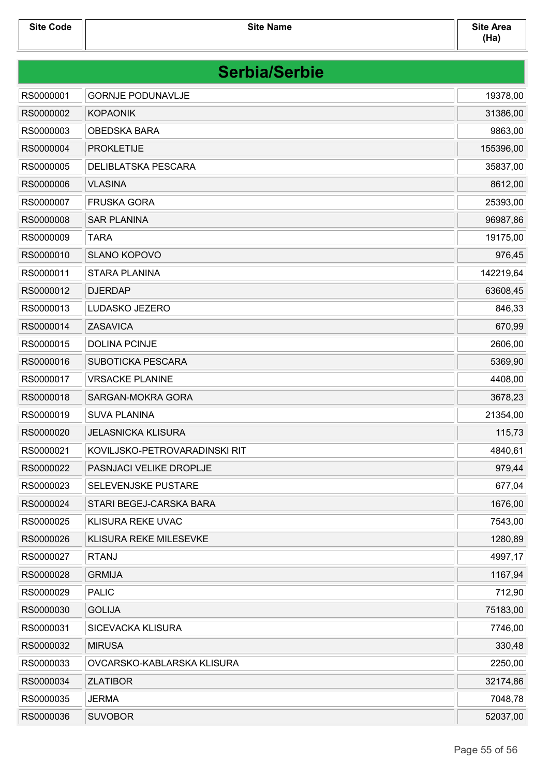| <b>Serbia/Serbie</b> |                               |           |
|----------------------|-------------------------------|-----------|
| RS0000001            | <b>GORNJE PODUNAVLJE</b>      | 19378,00  |
| RS0000002            | <b>KOPAONIK</b>               | 31386,00  |
| RS0000003            | <b>OBEDSKA BARA</b>           | 9863,00   |
| RS0000004            | <b>PROKLETIJE</b>             | 155396,00 |
| RS0000005            | <b>DELIBLATSKA PESCARA</b>    | 35837,00  |
| RS0000006            | <b>VLASINA</b>                | 8612,00   |
| RS0000007            | <b>FRUSKA GORA</b>            | 25393,00  |
| RS0000008            | <b>SAR PLANINA</b>            | 96987,86  |
| RS0000009            | <b>TARA</b>                   | 19175,00  |
| RS0000010            | <b>SLANO KOPOVO</b>           | 976,45    |
| RS0000011            | <b>STARA PLANINA</b>          | 142219,64 |
| RS0000012            | <b>DJERDAP</b>                | 63608,45  |
| RS0000013            | LUDASKO JEZERO                | 846,33    |
| RS0000014            | <b>ZASAVICA</b>               | 670,99    |
| RS0000015            | <b>DOLINA PCINJE</b>          | 2606,00   |
| RS0000016            | <b>SUBOTICKA PESCARA</b>      | 5369,90   |
| RS0000017            | <b>VRSACKE PLANINE</b>        | 4408,00   |
| RS0000018            | SARGAN-MOKRA GORA             | 3678,23   |
| RS0000019            | <b>SUVA PLANINA</b>           | 21354,00  |
| RS0000020            | <b>JELASNICKA KLISURA</b>     | 115,73    |
| RS0000021            | KOVILJSKO-PETROVARADINSKI RIT | 4840,61   |
| RS0000022            | PASNJACI VELIKE DROPLJE       | 979,44    |
| RS0000023            | SELEVENJSKE PUSTARE           | 677,04    |
| RS0000024            | STARI BEGEJ-CARSKA BARA       | 1676,00   |
| RS0000025            | KLISURA REKE UVAC             | 7543,00   |
| RS0000026            | KLISURA REKE MILESEVKE        | 1280,89   |
| RS0000027            | <b>RTANJ</b>                  | 4997,17   |
| RS0000028            | <b>GRMIJA</b>                 | 1167,94   |
| RS0000029            | <b>PALIC</b>                  | 712,90    |
| RS0000030            | <b>GOLIJA</b>                 | 75183,00  |
| RS0000031            | SICEVACKA KLISURA             | 7746,00   |
| RS0000032            | <b>MIRUSA</b>                 | 330,48    |
| RS0000033            | OVCARSKO-KABLARSKA KLISURA    | 2250,00   |
| RS0000034            | <b>ZLATIBOR</b>               | 32174,86  |
| RS0000035            | <b>JERMA</b>                  | 7048,78   |
| RS0000036            | <b>SUVOBOR</b>                | 52037,00  |